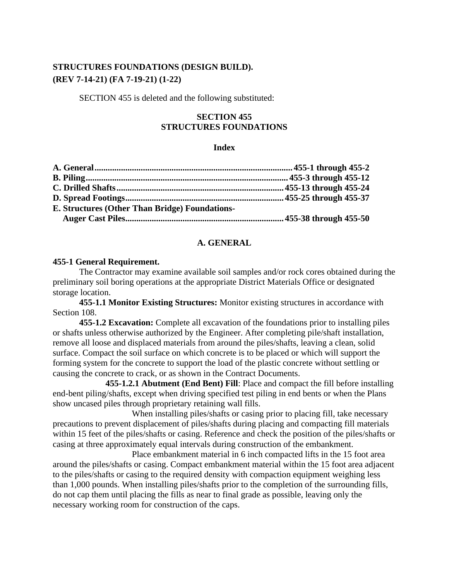# **STRUCTURES FOUNDATIONS (DESIGN BUILD). (REV 7-14-21) (FA 7-19-21) (1-22)**

SECTION 455 is deleted and the following substituted:

# **SECTION 455 STRUCTURES FOUNDATIONS**

## **Index**

## **A. GENERAL**

### **455-1 General Requirement.**

The Contractor may examine available soil samples and/or rock cores obtained during the preliminary soil boring operations at the appropriate District Materials Office or designated storage location.

**455-1.1 Monitor Existing Structures:** Monitor existing structures in accordance with Section 108.

**455-1.2 Excavation:** Complete all excavation of the foundations prior to installing piles or shafts unless otherwise authorized by the Engineer. After completing pile/shaft installation, remove all loose and displaced materials from around the piles/shafts, leaving a clean, solid surface. Compact the soil surface on which concrete is to be placed or which will support the forming system for the concrete to support the load of the plastic concrete without settling or causing the concrete to crack, or as shown in the Contract Documents.

**455-1.2.1 Abutment (End Bent) Fill**: Place and compact the fill before installing end-bent piling/shafts, except when driving specified test piling in end bents or when the Plans show uncased piles through proprietary retaining wall fills.

When installing piles/shafts or casing prior to placing fill, take necessary precautions to prevent displacement of piles/shafts during placing and compacting fill materials within 15 feet of the piles/shafts or casing. Reference and check the position of the piles/shafts or casing at three approximately equal intervals during construction of the embankment.

Place embankment material in 6 inch compacted lifts in the 15 foot area around the piles/shafts or casing. Compact embankment material within the 15 foot area adjacent to the piles/shafts or casing to the required density with compaction equipment weighing less than 1,000 pounds. When installing piles/shafts prior to the completion of the surrounding fills, do not cap them until placing the fills as near to final grade as possible, leaving only the necessary working room for construction of the caps.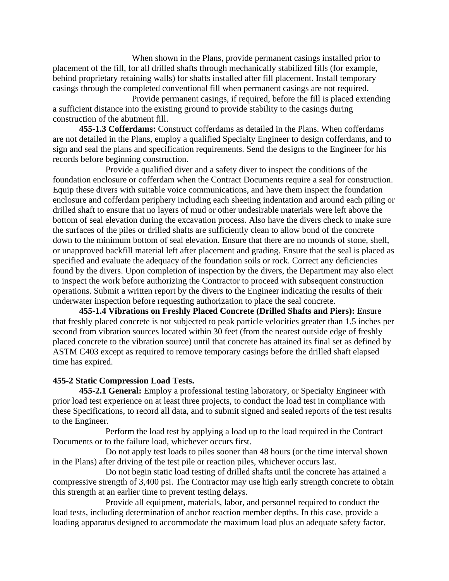When shown in the Plans, provide permanent casings installed prior to placement of the fill, for all drilled shafts through mechanically stabilized fills (for example, behind proprietary retaining walls) for shafts installed after fill placement. Install temporary casings through the completed conventional fill when permanent casings are not required.

Provide permanent casings, if required, before the fill is placed extending a sufficient distance into the existing ground to provide stability to the casings during construction of the abutment fill.

**455-1.3 Cofferdams:** Construct cofferdams as detailed in the Plans. When cofferdams are not detailed in the Plans, employ a qualified Specialty Engineer to design cofferdams, and to sign and seal the plans and specification requirements. Send the designs to the Engineer for his records before beginning construction.

Provide a qualified diver and a safety diver to inspect the conditions of the foundation enclosure or cofferdam when the Contract Documents require a seal for construction. Equip these divers with suitable voice communications, and have them inspect the foundation enclosure and cofferdam periphery including each sheeting indentation and around each piling or drilled shaft to ensure that no layers of mud or other undesirable materials were left above the bottom of seal elevation during the excavation process. Also have the divers check to make sure the surfaces of the piles or drilled shafts are sufficiently clean to allow bond of the concrete down to the minimum bottom of seal elevation. Ensure that there are no mounds of stone, shell, or unapproved backfill material left after placement and grading. Ensure that the seal is placed as specified and evaluate the adequacy of the foundation soils or rock. Correct any deficiencies found by the divers. Upon completion of inspection by the divers, the Department may also elect to inspect the work before authorizing the Contractor to proceed with subsequent construction operations. Submit a written report by the divers to the Engineer indicating the results of their underwater inspection before requesting authorization to place the seal concrete.

**455-1.4 Vibrations on Freshly Placed Concrete (Drilled Shafts and Piers):** Ensure that freshly placed concrete is not subjected to peak particle velocities greater than 1.5 inches per second from vibration sources located within 30 feet (from the nearest outside edge of freshly placed concrete to the vibration source) until that concrete has attained its final set as defined by ASTM C403 except as required to remove temporary casings before the drilled shaft elapsed time has expired.

### **455-2 Static Compression Load Tests.**

**455-2.1 General:** Employ a professional testing laboratory, or Specialty Engineer with prior load test experience on at least three projects, to conduct the load test in compliance with these Specifications, to record all data, and to submit signed and sealed reports of the test results to the Engineer.

Perform the load test by applying a load up to the load required in the Contract Documents or to the failure load, whichever occurs first.

Do not apply test loads to piles sooner than 48 hours (or the time interval shown in the Plans) after driving of the test pile or reaction piles, whichever occurs last.

Do not begin static load testing of drilled shafts until the concrete has attained a compressive strength of 3,400 psi. The Contractor may use high early strength concrete to obtain this strength at an earlier time to prevent testing delays.

Provide all equipment, materials, labor, and personnel required to conduct the load tests, including determination of anchor reaction member depths. In this case, provide a loading apparatus designed to accommodate the maximum load plus an adequate safety factor.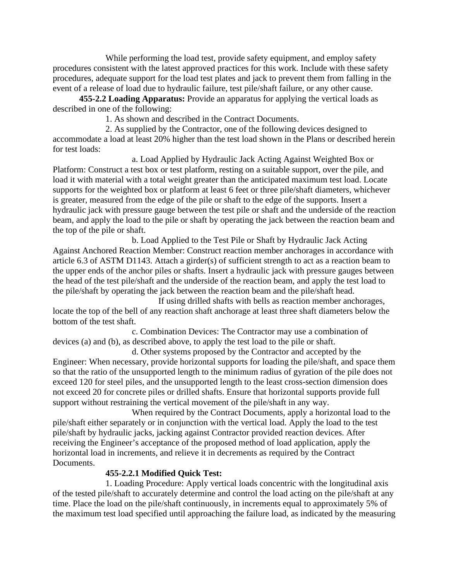While performing the load test, provide safety equipment, and employ safety procedures consistent with the latest approved practices for this work. Include with these safety procedures, adequate support for the load test plates and jack to prevent them from falling in the event of a release of load due to hydraulic failure, test pile/shaft failure, or any other cause.

**455-2.2 Loading Apparatus:** Provide an apparatus for applying the vertical loads as described in one of the following:

1. As shown and described in the Contract Documents.

2. As supplied by the Contractor, one of the following devices designed to accommodate a load at least 20% higher than the test load shown in the Plans or described herein for test loads:

a. Load Applied by Hydraulic Jack Acting Against Weighted Box or Platform: Construct a test box or test platform, resting on a suitable support, over the pile, and load it with material with a total weight greater than the anticipated maximum test load. Locate supports for the weighted box or platform at least 6 feet or three pile/shaft diameters, whichever is greater, measured from the edge of the pile or shaft to the edge of the supports. Insert a hydraulic jack with pressure gauge between the test pile or shaft and the underside of the reaction beam, and apply the load to the pile or shaft by operating the jack between the reaction beam and the top of the pile or shaft.

b. Load Applied to the Test Pile or Shaft by Hydraulic Jack Acting Against Anchored Reaction Member: Construct reaction member anchorages in accordance with article 6.3 of ASTM D1143. Attach a girder(s) of sufficient strength to act as a reaction beam to the upper ends of the anchor piles or shafts. Insert a hydraulic jack with pressure gauges between the head of the test pile/shaft and the underside of the reaction beam, and apply the test load to the pile/shaft by operating the jack between the reaction beam and the pile/shaft head.

If using drilled shafts with bells as reaction member anchorages, locate the top of the bell of any reaction shaft anchorage at least three shaft diameters below the bottom of the test shaft.

c. Combination Devices: The Contractor may use a combination of devices (a) and (b), as described above, to apply the test load to the pile or shaft.

d. Other systems proposed by the Contractor and accepted by the Engineer: When necessary, provide horizontal supports for loading the pile/shaft, and space them so that the ratio of the unsupported length to the minimum radius of gyration of the pile does not exceed 120 for steel piles, and the unsupported length to the least cross-section dimension does not exceed 20 for concrete piles or drilled shafts. Ensure that horizontal supports provide full support without restraining the vertical movement of the pile/shaft in any way.

When required by the Contract Documents, apply a horizontal load to the pile/shaft either separately or in conjunction with the vertical load. Apply the load to the test pile/shaft by hydraulic jacks, jacking against Contractor provided reaction devices. After receiving the Engineer's acceptance of the proposed method of load application, apply the horizontal load in increments, and relieve it in decrements as required by the Contract Documents.

# **455-2.2.1 Modified Quick Test:**

1. Loading Procedure: Apply vertical loads concentric with the longitudinal axis of the tested pile/shaft to accurately determine and control the load acting on the pile/shaft at any time. Place the load on the pile/shaft continuously, in increments equal to approximately 5% of the maximum test load specified until approaching the failure load, as indicated by the measuring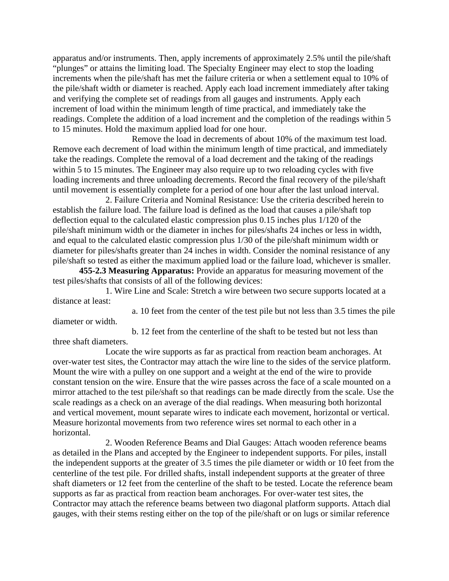apparatus and/or instruments. Then, apply increments of approximately 2.5% until the pile/shaft "plunges" or attains the limiting load. The Specialty Engineer may elect to stop the loading increments when the pile/shaft has met the failure criteria or when a settlement equal to 10% of the pile/shaft width or diameter is reached. Apply each load increment immediately after taking and verifying the complete set of readings from all gauges and instruments. Apply each increment of load within the minimum length of time practical, and immediately take the readings. Complete the addition of a load increment and the completion of the readings within 5 to 15 minutes. Hold the maximum applied load for one hour.

Remove the load in decrements of about 10% of the maximum test load. Remove each decrement of load within the minimum length of time practical, and immediately take the readings. Complete the removal of a load decrement and the taking of the readings within 5 to 15 minutes. The Engineer may also require up to two reloading cycles with five loading increments and three unloading decrements. Record the final recovery of the pile/shaft until movement is essentially complete for a period of one hour after the last unload interval.

2. Failure Criteria and Nominal Resistance: Use the criteria described herein to establish the failure load. The failure load is defined as the load that causes a pile/shaft top deflection equal to the calculated elastic compression plus 0.15 inches plus 1/120 of the pile/shaft minimum width or the diameter in inches for piles/shafts 24 inches or less in width, and equal to the calculated elastic compression plus 1/30 of the pile/shaft minimum width or diameter for piles/shafts greater than 24 inches in width. Consider the nominal resistance of any pile/shaft so tested as either the maximum applied load or the failure load, whichever is smaller.

**455-2.3 Measuring Apparatus:** Provide an apparatus for measuring movement of the test piles/shafts that consists of all of the following devices:

1. Wire Line and Scale: Stretch a wire between two secure supports located at a distance at least:

a. 10 feet from the center of the test pile but not less than 3.5 times the pile diameter or width.

b. 12 feet from the centerline of the shaft to be tested but not less than three shaft diameters.

Locate the wire supports as far as practical from reaction beam anchorages. At over-water test sites, the Contractor may attach the wire line to the sides of the service platform. Mount the wire with a pulley on one support and a weight at the end of the wire to provide constant tension on the wire. Ensure that the wire passes across the face of a scale mounted on a mirror attached to the test pile/shaft so that readings can be made directly from the scale. Use the scale readings as a check on an average of the dial readings. When measuring both horizontal and vertical movement, mount separate wires to indicate each movement, horizontal or vertical. Measure horizontal movements from two reference wires set normal to each other in a horizontal.

2. Wooden Reference Beams and Dial Gauges: Attach wooden reference beams as detailed in the Plans and accepted by the Engineer to independent supports. For piles, install the independent supports at the greater of 3.5 times the pile diameter or width or 10 feet from the centerline of the test pile. For drilled shafts, install independent supports at the greater of three shaft diameters or 12 feet from the centerline of the shaft to be tested. Locate the reference beam supports as far as practical from reaction beam anchorages. For over-water test sites, the Contractor may attach the reference beams between two diagonal platform supports. Attach dial gauges, with their stems resting either on the top of the pile/shaft or on lugs or similar reference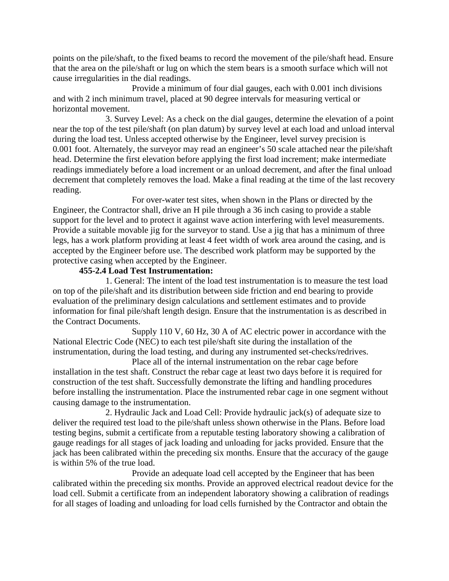points on the pile/shaft, to the fixed beams to record the movement of the pile/shaft head. Ensure that the area on the pile/shaft or lug on which the stem bears is a smooth surface which will not cause irregularities in the dial readings.

Provide a minimum of four dial gauges, each with 0.001 inch divisions and with 2 inch minimum travel, placed at 90 degree intervals for measuring vertical or horizontal movement.

3. Survey Level: As a check on the dial gauges, determine the elevation of a point near the top of the test pile/shaft (on plan datum) by survey level at each load and unload interval during the load test. Unless accepted otherwise by the Engineer, level survey precision is 0.001 foot. Alternately, the surveyor may read an engineer's 50 scale attached near the pile/shaft head. Determine the first elevation before applying the first load increment; make intermediate readings immediately before a load increment or an unload decrement, and after the final unload decrement that completely removes the load. Make a final reading at the time of the last recovery reading.

For over-water test sites, when shown in the Plans or directed by the Engineer, the Contractor shall, drive an H pile through a 36 inch casing to provide a stable support for the level and to protect it against wave action interfering with level measurements. Provide a suitable movable jig for the surveyor to stand. Use a jig that has a minimum of three legs, has a work platform providing at least 4 feet width of work area around the casing, and is accepted by the Engineer before use. The described work platform may be supported by the protective casing when accepted by the Engineer.

# **455-2.4 Load Test Instrumentation:**

1. General: The intent of the load test instrumentation is to measure the test load on top of the pile/shaft and its distribution between side friction and end bearing to provide evaluation of the preliminary design calculations and settlement estimates and to provide information for final pile/shaft length design. Ensure that the instrumentation is as described in the Contract Documents.

Supply 110 V, 60 Hz, 30 A of AC electric power in accordance with the National Electric Code (NEC) to each test pile/shaft site during the installation of the instrumentation, during the load testing, and during any instrumented set-checks/redrives.

Place all of the internal instrumentation on the rebar cage before installation in the test shaft. Construct the rebar cage at least two days before it is required for construction of the test shaft. Successfully demonstrate the lifting and handling procedures before installing the instrumentation. Place the instrumented rebar cage in one segment without causing damage to the instrumentation.

2. Hydraulic Jack and Load Cell: Provide hydraulic jack(s) of adequate size to deliver the required test load to the pile/shaft unless shown otherwise in the Plans. Before load testing begins, submit a certificate from a reputable testing laboratory showing a calibration of gauge readings for all stages of jack loading and unloading for jacks provided. Ensure that the jack has been calibrated within the preceding six months. Ensure that the accuracy of the gauge is within 5% of the true load.

Provide an adequate load cell accepted by the Engineer that has been calibrated within the preceding six months. Provide an approved electrical readout device for the load cell. Submit a certificate from an independent laboratory showing a calibration of readings for all stages of loading and unloading for load cells furnished by the Contractor and obtain the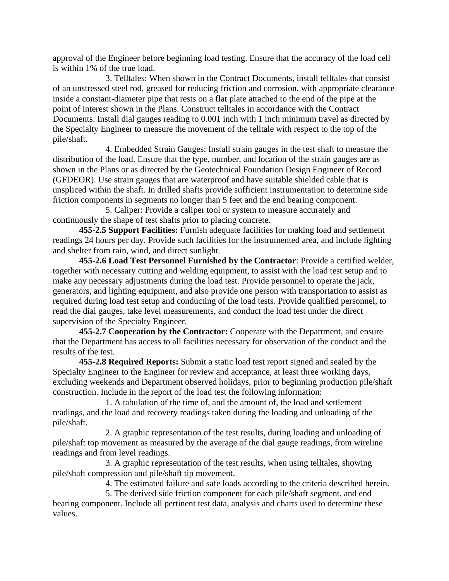approval of the Engineer before beginning load testing. Ensure that the accuracy of the load cell is within 1% of the true load.

3. Telltales: When shown in the Contract Documents, install telltales that consist of an unstressed steel rod, greased for reducing friction and corrosion, with appropriate clearance inside a constant-diameter pipe that rests on a flat plate attached to the end of the pipe at the point of interest shown in the Plans. Construct telltales in accordance with the Contract Documents. Install dial gauges reading to 0.001 inch with 1 inch minimum travel as directed by the Specialty Engineer to measure the movement of the telltale with respect to the top of the pile/shaft.

4. Embedded Strain Gauges: Install strain gauges in the test shaft to measure the distribution of the load. Ensure that the type, number, and location of the strain gauges are as shown in the Plans or as directed by the Geotechnical Foundation Design Engineer of Record (GFDEOR). Use strain gauges that are waterproof and have suitable shielded cable that is unspliced within the shaft. In drilled shafts provide sufficient instrumentation to determine side friction components in segments no longer than 5 feet and the end bearing component.

5. Caliper: Provide a caliper tool or system to measure accurately and continuously the shape of test shafts prior to placing concrete.

**455-2.5 Support Facilities:** Furnish adequate facilities for making load and settlement readings 24 hours per day. Provide such facilities for the instrumented area, and include lighting and shelter from rain, wind, and direct sunlight.

**455-2.6 Load Test Personnel Furnished by the Contractor**: Provide a certified welder, together with necessary cutting and welding equipment, to assist with the load test setup and to make any necessary adjustments during the load test. Provide personnel to operate the jack, generators, and lighting equipment, and also provide one person with transportation to assist as required during load test setup and conducting of the load tests. Provide qualified personnel, to read the dial gauges, take level measurements, and conduct the load test under the direct supervision of the Specialty Engineer.

**455-2.7 Cooperation by the Contractor:** Cooperate with the Department, and ensure that the Department has access to all facilities necessary for observation of the conduct and the results of the test.

**455-2.8 Required Reports:** Submit a static load test report signed and sealed by the Specialty Engineer to the Engineer for review and acceptance, at least three working days, excluding weekends and Department observed holidays, prior to beginning production pile/shaft construction. Include in the report of the load test the following information:

1. A tabulation of the time of, and the amount of, the load and settlement readings, and the load and recovery readings taken during the loading and unloading of the pile/shaft.

2. A graphic representation of the test results, during loading and unloading of pile/shaft top movement as measured by the average of the dial gauge readings, from wireline readings and from level readings.

3. A graphic representation of the test results, when using telltales, showing pile/shaft compression and pile/shaft tip movement.

4. The estimated failure and safe loads according to the criteria described herein.

5. The derived side friction component for each pile/shaft segment, and end bearing component. Include all pertinent test data, analysis and charts used to determine these values.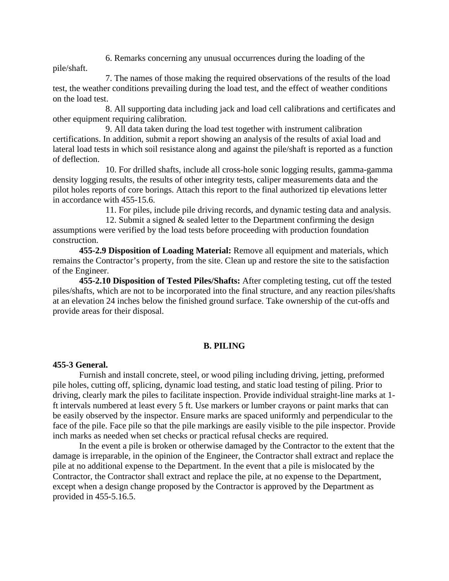6. Remarks concerning any unusual occurrences during the loading of the

pile/shaft.

7. The names of those making the required observations of the results of the load test, the weather conditions prevailing during the load test, and the effect of weather conditions on the load test.

8. All supporting data including jack and load cell calibrations and certificates and other equipment requiring calibration.

9. All data taken during the load test together with instrument calibration certifications. In addition, submit a report showing an analysis of the results of axial load and lateral load tests in which soil resistance along and against the pile/shaft is reported as a function of deflection.

10. For drilled shafts, include all cross-hole sonic logging results, gamma-gamma density logging results, the results of other integrity tests, caliper measurements data and the pilot holes reports of core borings. Attach this report to the final authorized tip elevations letter in accordance with 455-15.6.

11. For piles, include pile driving records, and dynamic testing data and analysis.

12. Submit a signed & sealed letter to the Department confirming the design assumptions were verified by the load tests before proceeding with production foundation construction.

**455-2.9 Disposition of Loading Material:** Remove all equipment and materials, which remains the Contractor's property, from the site. Clean up and restore the site to the satisfaction of the Engineer.

**455-2.10 Disposition of Tested Piles/Shafts:** After completing testing, cut off the tested piles/shafts, which are not to be incorporated into the final structure, and any reaction piles/shafts at an elevation 24 inches below the finished ground surface. Take ownership of the cut-offs and provide areas for their disposal.

# **B. PILING**

## **455-3 General.**

Furnish and install concrete, steel, or wood piling including driving, jetting, preformed pile holes, cutting off, splicing, dynamic load testing, and static load testing of piling. Prior to driving, clearly mark the piles to facilitate inspection. Provide individual straight-line marks at 1 ft intervals numbered at least every 5 ft. Use markers or lumber crayons or paint marks that can be easily observed by the inspector. Ensure marks are spaced uniformly and perpendicular to the face of the pile. Face pile so that the pile markings are easily visible to the pile inspector. Provide inch marks as needed when set checks or practical refusal checks are required.

In the event a pile is broken or otherwise damaged by the Contractor to the extent that the damage is irreparable, in the opinion of the Engineer, the Contractor shall extract and replace the pile at no additional expense to the Department. In the event that a pile is mislocated by the Contractor, the Contractor shall extract and replace the pile, at no expense to the Department, except when a design change proposed by the Contractor is approved by the Department as provided in 455-5.16.5.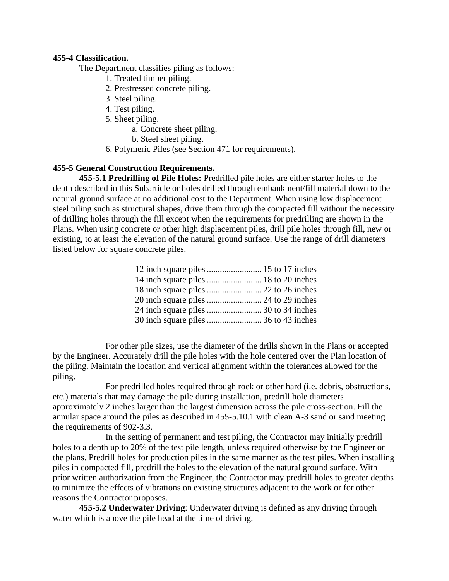### **455-4 Classification.**

The Department classifies piling as follows:

- 1. Treated timber piling.
- 2. Prestressed concrete piling.
- 3. Steel piling.
- 4. Test piling.
- 5. Sheet piling.
	- a. Concrete sheet piling.
	- b. Steel sheet piling.
- 6. Polymeric Piles (see Section 471 for requirements).

# **455-5 General Construction Requirements.**

**455-5.1 Predrilling of Pile Holes:** Predrilled pile holes are either starter holes to the depth described in this Subarticle or holes drilled through embankment/fill material down to the natural ground surface at no additional cost to the Department. When using low displacement steel piling such as structural shapes, drive them through the compacted fill without the necessity of drilling holes through the fill except when the requirements for predrilling are shown in the Plans. When using concrete or other high displacement piles, drill pile holes through fill, new or existing, to at least the elevation of the natural ground surface. Use the range of drill diameters listed below for square concrete piles.

For other pile sizes, use the diameter of the drills shown in the Plans or accepted by the Engineer. Accurately drill the pile holes with the hole centered over the Plan location of the piling. Maintain the location and vertical alignment within the tolerances allowed for the piling.

For predrilled holes required through rock or other hard (i.e. debris, obstructions, etc.) materials that may damage the pile during installation, predrill hole diameters approximately 2 inches larger than the largest dimension across the pile cross-section. Fill the annular space around the piles as described in 455-5.10.1 with clean A-3 sand or sand meeting the requirements of 902-3.3.

In the setting of permanent and test piling, the Contractor may initially predrill holes to a depth up to 20% of the test pile length, unless required otherwise by the Engineer or the plans. Predrill holes for production piles in the same manner as the test piles. When installing piles in compacted fill, predrill the holes to the elevation of the natural ground surface. With prior written authorization from the Engineer, the Contractor may predrill holes to greater depths to minimize the effects of vibrations on existing structures adjacent to the work or for other reasons the Contractor proposes.

**455-5.2 Underwater Driving**: Underwater driving is defined as any driving through water which is above the pile head at the time of driving.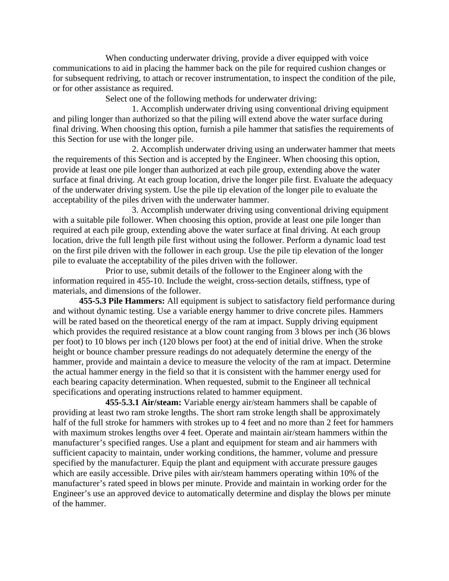When conducting underwater driving, provide a diver equipped with voice communications to aid in placing the hammer back on the pile for required cushion changes or for subsequent redriving, to attach or recover instrumentation, to inspect the condition of the pile, or for other assistance as required.

Select one of the following methods for underwater driving:

1. Accomplish underwater driving using conventional driving equipment and piling longer than authorized so that the piling will extend above the water surface during final driving. When choosing this option, furnish a pile hammer that satisfies the requirements of this Section for use with the longer pile.

2. Accomplish underwater driving using an underwater hammer that meets the requirements of this Section and is accepted by the Engineer. When choosing this option, provide at least one pile longer than authorized at each pile group, extending above the water surface at final driving. At each group location, drive the longer pile first. Evaluate the adequacy of the underwater driving system. Use the pile tip elevation of the longer pile to evaluate the acceptability of the piles driven with the underwater hammer.

3. Accomplish underwater driving using conventional driving equipment with a suitable pile follower. When choosing this option, provide at least one pile longer than required at each pile group, extending above the water surface at final driving. At each group location, drive the full length pile first without using the follower. Perform a dynamic load test on the first pile driven with the follower in each group. Use the pile tip elevation of the longer pile to evaluate the acceptability of the piles driven with the follower.

Prior to use, submit details of the follower to the Engineer along with the information required in 455-10. Include the weight, cross-section details, stiffness, type of materials, and dimensions of the follower.

**455-5.3 Pile Hammers:** All equipment is subject to satisfactory field performance during and without dynamic testing. Use a variable energy hammer to drive concrete piles. Hammers will be rated based on the theoretical energy of the ram at impact. Supply driving equipment which provides the required resistance at a blow count ranging from 3 blows per inch (36 blows per foot) to 10 blows per inch (120 blows per foot) at the end of initial drive. When the stroke height or bounce chamber pressure readings do not adequately determine the energy of the hammer, provide and maintain a device to measure the velocity of the ram at impact. Determine the actual hammer energy in the field so that it is consistent with the hammer energy used for each bearing capacity determination. When requested, submit to the Engineer all technical specifications and operating instructions related to hammer equipment.

**455-5.3.1 Air/steam:** Variable energy air/steam hammers shall be capable of providing at least two ram stroke lengths. The short ram stroke length shall be approximately half of the full stroke for hammers with strokes up to 4 feet and no more than 2 feet for hammers with maximum strokes lengths over 4 feet. Operate and maintain air/steam hammers within the manufacturer's specified ranges. Use a plant and equipment for steam and air hammers with sufficient capacity to maintain, under working conditions, the hammer, volume and pressure specified by the manufacturer. Equip the plant and equipment with accurate pressure gauges which are easily accessible. Drive piles with air/steam hammers operating within 10% of the manufacturer's rated speed in blows per minute. Provide and maintain in working order for the Engineer's use an approved device to automatically determine and display the blows per minute of the hammer.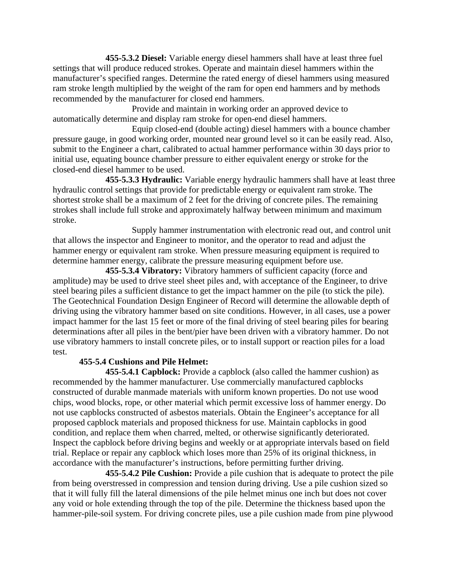**455-5.3.2 Diesel:** Variable energy diesel hammers shall have at least three fuel settings that will produce reduced strokes. Operate and maintain diesel hammers within the manufacturer's specified ranges. Determine the rated energy of diesel hammers using measured ram stroke length multiplied by the weight of the ram for open end hammers and by methods recommended by the manufacturer for closed end hammers.

Provide and maintain in working order an approved device to automatically determine and display ram stroke for open-end diesel hammers.

Equip closed-end (double acting) diesel hammers with a bounce chamber pressure gauge, in good working order, mounted near ground level so it can be easily read. Also, submit to the Engineer a chart, calibrated to actual hammer performance within 30 days prior to initial use, equating bounce chamber pressure to either equivalent energy or stroke for the closed-end diesel hammer to be used.

**455-5.3.3 Hydraulic:** Variable energy hydraulic hammers shall have at least three hydraulic control settings that provide for predictable energy or equivalent ram stroke. The shortest stroke shall be a maximum of 2 feet for the driving of concrete piles. The remaining strokes shall include full stroke and approximately halfway between minimum and maximum stroke.

Supply hammer instrumentation with electronic read out, and control unit that allows the inspector and Engineer to monitor, and the operator to read and adjust the hammer energy or equivalent ram stroke. When pressure measuring equipment is required to determine hammer energy, calibrate the pressure measuring equipment before use.

**455-5.3.4 Vibratory:** Vibratory hammers of sufficient capacity (force and amplitude) may be used to drive steel sheet piles and, with acceptance of the Engineer, to drive steel bearing piles a sufficient distance to get the impact hammer on the pile (to stick the pile). The Geotechnical Foundation Design Engineer of Record will determine the allowable depth of driving using the vibratory hammer based on site conditions. However, in all cases, use a power impact hammer for the last 15 feet or more of the final driving of steel bearing piles for bearing determinations after all piles in the bent/pier have been driven with a vibratory hammer. Do not use vibratory hammers to install concrete piles, or to install support or reaction piles for a load test.

# **455-5.4 Cushions and Pile Helmet:**

**455-5.4.1 Capblock:** Provide a capblock (also called the hammer cushion) as recommended by the hammer manufacturer. Use commercially manufactured capblocks constructed of durable manmade materials with uniform known properties. Do not use wood chips, wood blocks, rope, or other material which permit excessive loss of hammer energy. Do not use capblocks constructed of asbestos materials. Obtain the Engineer's acceptance for all proposed capblock materials and proposed thickness for use. Maintain capblocks in good condition, and replace them when charred, melted, or otherwise significantly deteriorated. Inspect the capblock before driving begins and weekly or at appropriate intervals based on field trial. Replace or repair any capblock which loses more than 25% of its original thickness, in accordance with the manufacturer's instructions, before permitting further driving.

**455-5.4.2 Pile Cushion:** Provide a pile cushion that is adequate to protect the pile from being overstressed in compression and tension during driving. Use a pile cushion sized so that it will fully fill the lateral dimensions of the pile helmet minus one inch but does not cover any void or hole extending through the top of the pile. Determine the thickness based upon the hammer-pile-soil system. For driving concrete piles, use a pile cushion made from pine plywood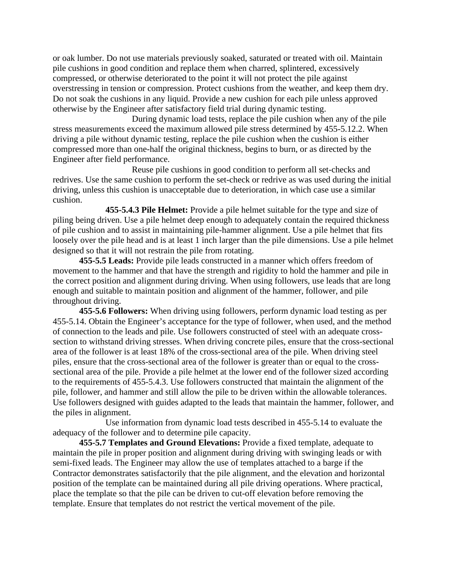or oak lumber. Do not use materials previously soaked, saturated or treated with oil. Maintain pile cushions in good condition and replace them when charred, splintered, excessively compressed, or otherwise deteriorated to the point it will not protect the pile against overstressing in tension or compression. Protect cushions from the weather, and keep them dry. Do not soak the cushions in any liquid. Provide a new cushion for each pile unless approved otherwise by the Engineer after satisfactory field trial during dynamic testing.

During dynamic load tests, replace the pile cushion when any of the pile stress measurements exceed the maximum allowed pile stress determined by 455-5.12.2. When driving a pile without dynamic testing, replace the pile cushion when the cushion is either compressed more than one-half the original thickness, begins to burn, or as directed by the Engineer after field performance.

Reuse pile cushions in good condition to perform all set-checks and redrives. Use the same cushion to perform the set-check or redrive as was used during the initial driving, unless this cushion is unacceptable due to deterioration, in which case use a similar cushion.

**455-5.4.3 Pile Helmet:** Provide a pile helmet suitable for the type and size of piling being driven. Use a pile helmet deep enough to adequately contain the required thickness of pile cushion and to assist in maintaining pile-hammer alignment. Use a pile helmet that fits loosely over the pile head and is at least 1 inch larger than the pile dimensions. Use a pile helmet designed so that it will not restrain the pile from rotating.

**455-5.5 Leads:** Provide pile leads constructed in a manner which offers freedom of movement to the hammer and that have the strength and rigidity to hold the hammer and pile in the correct position and alignment during driving. When using followers, use leads that are long enough and suitable to maintain position and alignment of the hammer, follower, and pile throughout driving.

**455-5.6 Followers:** When driving using followers, perform dynamic load testing as per 455-5.14. Obtain the Engineer's acceptance for the type of follower, when used, and the method of connection to the leads and pile. Use followers constructed of steel with an adequate crosssection to withstand driving stresses. When driving concrete piles, ensure that the cross-sectional area of the follower is at least 18% of the cross-sectional area of the pile. When driving steel piles, ensure that the cross-sectional area of the follower is greater than or equal to the crosssectional area of the pile. Provide a pile helmet at the lower end of the follower sized according to the requirements of 455-5.4.3. Use followers constructed that maintain the alignment of the pile, follower, and hammer and still allow the pile to be driven within the allowable tolerances. Use followers designed with guides adapted to the leads that maintain the hammer, follower, and the piles in alignment.

Use information from dynamic load tests described in 455-5.14 to evaluate the adequacy of the follower and to determine pile capacity.

**455-5.7 Templates and Ground Elevations:** Provide a fixed template, adequate to maintain the pile in proper position and alignment during driving with swinging leads or with semi-fixed leads. The Engineer may allow the use of templates attached to a barge if the Contractor demonstrates satisfactorily that the pile alignment, and the elevation and horizontal position of the template can be maintained during all pile driving operations. Where practical, place the template so that the pile can be driven to cut-off elevation before removing the template. Ensure that templates do not restrict the vertical movement of the pile.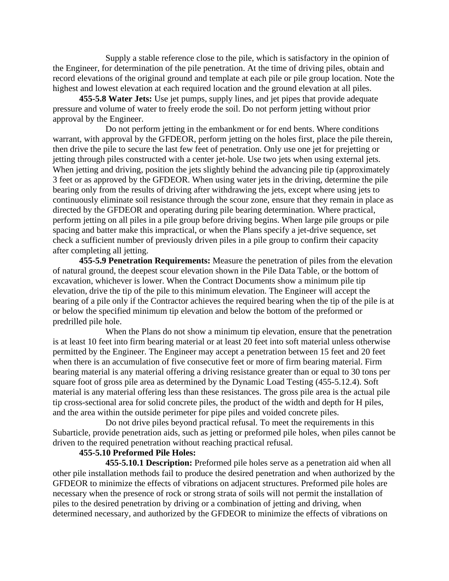Supply a stable reference close to the pile, which is satisfactory in the opinion of the Engineer, for determination of the pile penetration. At the time of driving piles, obtain and record elevations of the original ground and template at each pile or pile group location. Note the highest and lowest elevation at each required location and the ground elevation at all piles.

**455-5.8 Water Jets:** Use jet pumps, supply lines, and jet pipes that provide adequate pressure and volume of water to freely erode the soil. Do not perform jetting without prior approval by the Engineer.

Do not perform jetting in the embankment or for end bents. Where conditions warrant, with approval by the GFDEOR, perform jetting on the holes first, place the pile therein, then drive the pile to secure the last few feet of penetration. Only use one jet for prejetting or jetting through piles constructed with a center jet-hole. Use two jets when using external jets. When jetting and driving, position the jets slightly behind the advancing pile tip (approximately 3 feet or as approved by the GFDEOR. When using water jets in the driving, determine the pile bearing only from the results of driving after withdrawing the jets, except where using jets to continuously eliminate soil resistance through the scour zone, ensure that they remain in place as directed by the GFDEOR and operating during pile bearing determination. Where practical, perform jetting on all piles in a pile group before driving begins. When large pile groups or pile spacing and batter make this impractical, or when the Plans specify a jet-drive sequence, set check a sufficient number of previously driven piles in a pile group to confirm their capacity after completing all jetting.

**455-5.9 Penetration Requirements:** Measure the penetration of piles from the elevation of natural ground, the deepest scour elevation shown in the Pile Data Table, or the bottom of excavation, whichever is lower. When the Contract Documents show a minimum pile tip elevation, drive the tip of the pile to this minimum elevation. The Engineer will accept the bearing of a pile only if the Contractor achieves the required bearing when the tip of the pile is at or below the specified minimum tip elevation and below the bottom of the preformed or predrilled pile hole.

When the Plans do not show a minimum tip elevation, ensure that the penetration is at least 10 feet into firm bearing material or at least 20 feet into soft material unless otherwise permitted by the Engineer. The Engineer may accept a penetration between 15 feet and 20 feet when there is an accumulation of five consecutive feet or more of firm bearing material. Firm bearing material is any material offering a driving resistance greater than or equal to 30 tons per square foot of gross pile area as determined by the Dynamic Load Testing (455-5.12.4). Soft material is any material offering less than these resistances. The gross pile area is the actual pile tip cross-sectional area for solid concrete piles, the product of the width and depth for H piles, and the area within the outside perimeter for pipe piles and voided concrete piles.

Do not drive piles beyond practical refusal. To meet the requirements in this Subarticle, provide penetration aids, such as jetting or preformed pile holes, when piles cannot be driven to the required penetration without reaching practical refusal.

### **455-5.10 Preformed Pile Holes:**

**455-5.10.1 Description:** Preformed pile holes serve as a penetration aid when all other pile installation methods fail to produce the desired penetration and when authorized by the GFDEOR to minimize the effects of vibrations on adjacent structures. Preformed pile holes are necessary when the presence of rock or strong strata of soils will not permit the installation of piles to the desired penetration by driving or a combination of jetting and driving, when determined necessary, and authorized by the GFDEOR to minimize the effects of vibrations on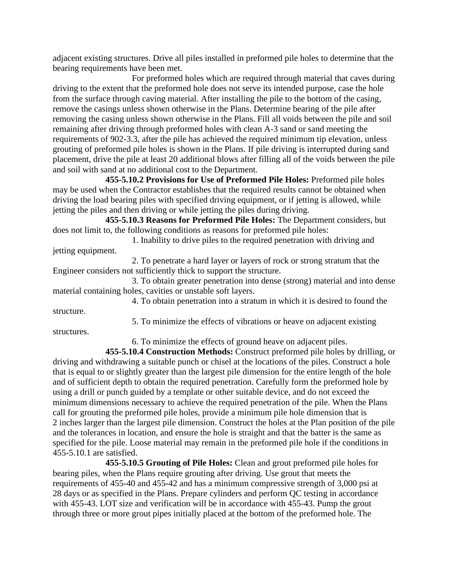adjacent existing structures. Drive all piles installed in preformed pile holes to determine that the bearing requirements have been met.

For preformed holes which are required through material that caves during driving to the extent that the preformed hole does not serve its intended purpose, case the hole from the surface through caving material. After installing the pile to the bottom of the casing, remove the casings unless shown otherwise in the Plans. Determine bearing of the pile after removing the casing unless shown otherwise in the Plans. Fill all voids between the pile and soil remaining after driving through preformed holes with clean A-3 sand or sand meeting the requirements of 902-3.3, after the pile has achieved the required minimum tip elevation, unless grouting of preformed pile holes is shown in the Plans. If pile driving is interrupted during sand placement, drive the pile at least 20 additional blows after filling all of the voids between the pile and soil with sand at no additional cost to the Department.

**455-5.10.2 Provisions for Use of Preformed Pile Holes:** Preformed pile holes may be used when the Contractor establishes that the required results cannot be obtained when driving the load bearing piles with specified driving equipment, or if jetting is allowed, while jetting the piles and then driving or while jetting the piles during driving.

**455-5.10.3 Reasons for Preformed Pile Holes:** The Department considers, but does not limit to, the following conditions as reasons for preformed pile holes:

1. Inability to drive piles to the required penetration with driving and jetting equipment.

2. To penetrate a hard layer or layers of rock or strong stratum that the Engineer considers not sufficiently thick to support the structure.

3. To obtain greater penetration into dense (strong) material and into dense material containing holes, cavities or unstable soft layers.

4. To obtain penetration into a stratum in which it is desired to found the structure.

structures.

5. To minimize the effects of vibrations or heave on adjacent existing

6. To minimize the effects of ground heave on adjacent piles.

**455-5.10.4 Construction Methods:** Construct preformed pile holes by drilling, or driving and withdrawing a suitable punch or chisel at the locations of the piles. Construct a hole that is equal to or slightly greater than the largest pile dimension for the entire length of the hole and of sufficient depth to obtain the required penetration. Carefully form the preformed hole by using a drill or punch guided by a template or other suitable device, and do not exceed the minimum dimensions necessary to achieve the required penetration of the pile. When the Plans call for grouting the preformed pile holes, provide a minimum pile hole dimension that is 2 inches larger than the largest pile dimension. Construct the holes at the Plan position of the pile and the tolerances in location, and ensure the hole is straight and that the batter is the same as specified for the pile. Loose material may remain in the preformed pile hole if the conditions in 455-5.10.1 are satisfied.

**455-5.10.5 Grouting of Pile Holes:** Clean and grout preformed pile holes for bearing piles, when the Plans require grouting after driving. Use grout that meets the requirements of 455-40 and 455-42 and has a minimum compressive strength of 3,000 psi at 28 days or as specified in the Plans. Prepare cylinders and perform QC testing in accordance with 455-43. LOT size and verification will be in accordance with 455-43. Pump the grout through three or more grout pipes initially placed at the bottom of the preformed hole. The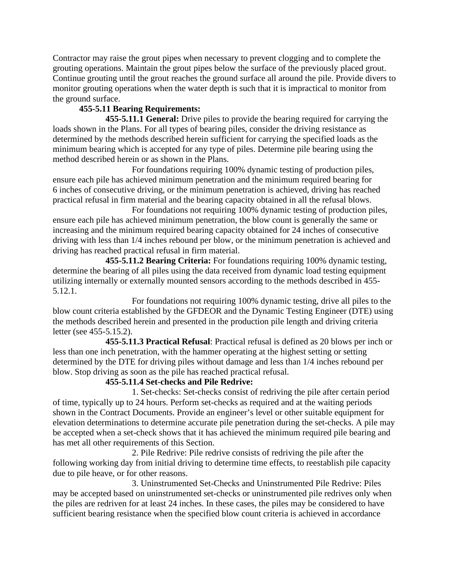Contractor may raise the grout pipes when necessary to prevent clogging and to complete the grouting operations. Maintain the grout pipes below the surface of the previously placed grout. Continue grouting until the grout reaches the ground surface all around the pile. Provide divers to monitor grouting operations when the water depth is such that it is impractical to monitor from the ground surface.

# **455-5.11 Bearing Requirements:**

**455-5.11.1 General:** Drive piles to provide the bearing required for carrying the loads shown in the Plans. For all types of bearing piles, consider the driving resistance as determined by the methods described herein sufficient for carrying the specified loads as the minimum bearing which is accepted for any type of piles. Determine pile bearing using the method described herein or as shown in the Plans.

For foundations requiring 100% dynamic testing of production piles, ensure each pile has achieved minimum penetration and the minimum required bearing for 6 inches of consecutive driving, or the minimum penetration is achieved, driving has reached practical refusal in firm material and the bearing capacity obtained in all the refusal blows.

For foundations not requiring 100% dynamic testing of production piles, ensure each pile has achieved minimum penetration, the blow count is generally the same or increasing and the minimum required bearing capacity obtained for 24 inches of consecutive driving with less than 1/4 inches rebound per blow, or the minimum penetration is achieved and driving has reached practical refusal in firm material.

**455-5.11.2 Bearing Criteria:** For foundations requiring 100% dynamic testing, determine the bearing of all piles using the data received from dynamic load testing equipment utilizing internally or externally mounted sensors according to the methods described in 455- 5.12.1.

For foundations not requiring 100% dynamic testing, drive all piles to the blow count criteria established by the GFDEOR and the Dynamic Testing Engineer (DTE) using the methods described herein and presented in the production pile length and driving criteria letter (see 455-5.15.2).

**455-5.11.3 Practical Refusal**: Practical refusal is defined as 20 blows per inch or less than one inch penetration, with the hammer operating at the highest setting or setting determined by the DTE for driving piles without damage and less than 1/4 inches rebound per blow. Stop driving as soon as the pile has reached practical refusal.

# **455-5.11.4 Set-checks and Pile Redrive:**

1. Set-checks: Set-checks consist of redriving the pile after certain period of time, typically up to 24 hours. Perform set-checks as required and at the waiting periods shown in the Contract Documents. Provide an engineer's level or other suitable equipment for elevation determinations to determine accurate pile penetration during the set-checks. A pile may be accepted when a set-check shows that it has achieved the minimum required pile bearing and has met all other requirements of this Section.

2. Pile Redrive: Pile redrive consists of redriving the pile after the following working day from initial driving to determine time effects, to reestablish pile capacity due to pile heave, or for other reasons.

3. Uninstrumented Set-Checks and Uninstrumented Pile Redrive: Piles may be accepted based on uninstrumented set-checks or uninstrumented pile redrives only when the piles are redriven for at least 24 inches. In these cases, the piles may be considered to have sufficient bearing resistance when the specified blow count criteria is achieved in accordance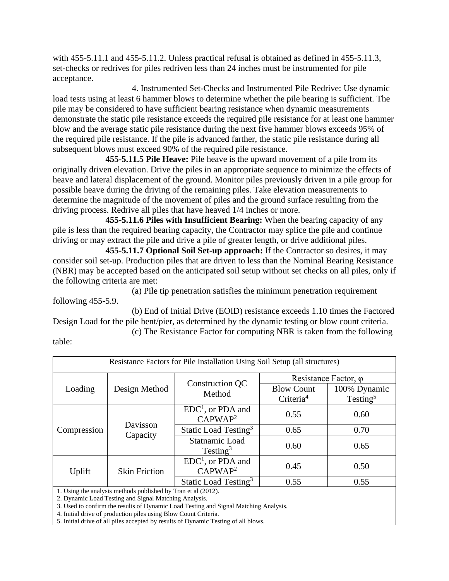with 455-5.11.1 and 455-5.11.2. Unless practical refusal is obtained as defined in 455-5.11.3, set-checks or redrives for piles redriven less than 24 inches must be instrumented for pile acceptance.

4. Instrumented Set-Checks and Instrumented Pile Redrive: Use dynamic load tests using at least 6 hammer blows to determine whether the pile bearing is sufficient. The pile may be considered to have sufficient bearing resistance when dynamic measurements demonstrate the static pile resistance exceeds the required pile resistance for at least one hammer blow and the average static pile resistance during the next five hammer blows exceeds 95% of the required pile resistance. If the pile is advanced farther, the static pile resistance during all subsequent blows must exceed 90% of the required pile resistance.

**455-5.11.5 Pile Heave:** Pile heave is the upward movement of a pile from its originally driven elevation. Drive the piles in an appropriate sequence to minimize the effects of heave and lateral displacement of the ground. Monitor piles previously driven in a pile group for possible heave during the driving of the remaining piles. Take elevation measurements to determine the magnitude of the movement of piles and the ground surface resulting from the driving process. Redrive all piles that have heaved 1/4 inches or more.

**455-5.11.6 Piles with Insufficient Bearing:** When the bearing capacity of any pile is less than the required bearing capacity, the Contractor may splice the pile and continue driving or may extract the pile and drive a pile of greater length, or drive additional piles.

**455-5.11.7 Optional Soil Set-up approach:** If the Contractor so desires, it may consider soil set-up. Production piles that are driven to less than the Nominal Bearing Resistance (NBR) may be accepted based on the anticipated soil setup without set checks on all piles, only if the following criteria are met:

(a) Pile tip penetration satisfies the minimum penetration requirement following 455-5.9.

(b) End of Initial Drive (EOID) resistance exceeds 1.10 times the Factored Design Load for the pile bent/pier, as determined by the dynamic testing or blow count criteria.

(c) The Resistance Factor for computing NBR is taken from the following

| Resistance Factors for Pile Installation Using Soil Setup (all structures) |                      |                                                      |                              |                      |
|----------------------------------------------------------------------------|----------------------|------------------------------------------------------|------------------------------|----------------------|
|                                                                            |                      |                                                      | Resistance Factor, $\varphi$ |                      |
| Loading                                                                    | Design Method        | Construction QC<br>Method                            | <b>Blow Count</b>            | 100% Dynamic         |
|                                                                            |                      |                                                      | Criteria <sup>4</sup>        | Testing <sup>5</sup> |
| Compression                                                                | Davisson<br>Capacity | EDC <sup>1</sup> , or PDA and<br>CAPWAP <sup>2</sup> | 0.55                         | 0.60                 |
|                                                                            |                      | Static Load Testing <sup>3</sup>                     | 0.65                         | 0.70                 |
|                                                                            |                      | Statnamic Load<br>Testing <sup>3</sup>               | 0.60                         | 0.65                 |
| Uplift                                                                     | <b>Skin Friction</b> | $EDC1$ , or PDA and<br>CAPWAP <sup>2</sup>           | 0.45                         | 0.50                 |
|                                                                            |                      | Static Load Testing <sup>3</sup>                     | 0.55                         | 0.55                 |
| 1. Using the analysis methods published by Tran et al (2012).              |                      |                                                      |                              |                      |

2. Dynamic Load Testing and Signal Matching Analysis.

table:

3. Used to confirm the results of Dynamic Load Testing and Signal Matching Analysis.

4. Initial drive of production piles using Blow Count Criteria.

5. Initial drive of all piles accepted by results of Dynamic Testing of all blows.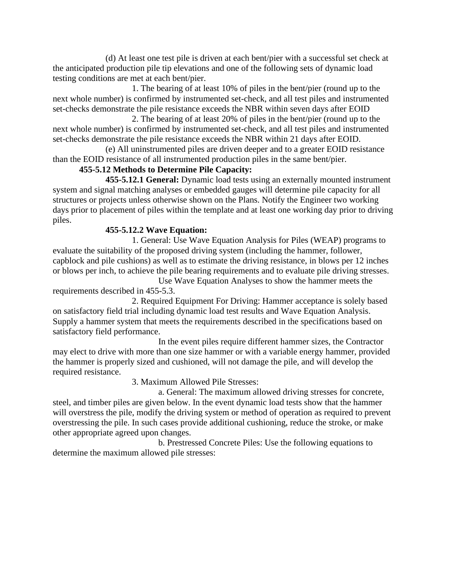(d) At least one test pile is driven at each bent/pier with a successful set check at the anticipated production pile tip elevations and one of the following sets of dynamic load testing conditions are met at each bent/pier.

1. The bearing of at least 10% of piles in the bent/pier (round up to the next whole number) is confirmed by instrumented set-check, and all test piles and instrumented set-checks demonstrate the pile resistance exceeds the NBR within seven days after EOID

2. The bearing of at least 20% of piles in the bent/pier (round up to the next whole number) is confirmed by instrumented set-check, and all test piles and instrumented set-checks demonstrate the pile resistance exceeds the NBR within 21 days after EOID.

(e) All uninstrumented piles are driven deeper and to a greater EOID resistance than the EOID resistance of all instrumented production piles in the same bent/pier.

# **455-5.12 Methods to Determine Pile Capacity:**

**455-5.12.1 General:** Dynamic load tests using an externally mounted instrument system and signal matching analyses or embedded gauges will determine pile capacity for all structures or projects unless otherwise shown on the Plans. Notify the Engineer two working days prior to placement of piles within the template and at least one working day prior to driving piles.

# **455-5.12.2 Wave Equation:**

1. General: Use Wave Equation Analysis for Piles (WEAP) programs to evaluate the suitability of the proposed driving system (including the hammer, follower, capblock and pile cushions) as well as to estimate the driving resistance, in blows per 12 inches or blows per inch, to achieve the pile bearing requirements and to evaluate pile driving stresses.

Use Wave Equation Analyses to show the hammer meets the requirements described in 455-5.3.

2. Required Equipment For Driving: Hammer acceptance is solely based on satisfactory field trial including dynamic load test results and Wave Equation Analysis. Supply a hammer system that meets the requirements described in the specifications based on satisfactory field performance.

In the event piles require different hammer sizes, the Contractor may elect to drive with more than one size hammer or with a variable energy hammer, provided the hammer is properly sized and cushioned, will not damage the pile, and will develop the required resistance.

3. Maximum Allowed Pile Stresses:

a. General: The maximum allowed driving stresses for concrete, steel, and timber piles are given below. In the event dynamic load tests show that the hammer will overstress the pile, modify the driving system or method of operation as required to prevent overstressing the pile. In such cases provide additional cushioning, reduce the stroke, or make other appropriate agreed upon changes.

b. Prestressed Concrete Piles: Use the following equations to determine the maximum allowed pile stresses: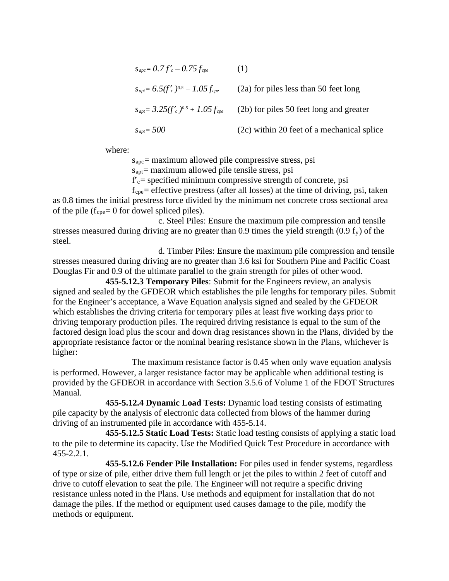$$
s_{apc} = 0.7f'_{c} - 0.75f_{cpe}
$$
 (1)  
\n
$$
s_{apt} = 6.5(f'_{c})^{0.5} + 1.05f_{cpe}
$$
 (2a) for piles less than 50 feet long  
\n
$$
s_{apt} = 3.25(f'_{c})^{0.5} + 1.05f_{cpe}
$$
 (2b) for piles 50 feet long and greater  
\n
$$
s_{apt} = 500
$$
 (2c) within 20 feet of a mechanical splice

where:

 $s<sub>apc</sub>=$  maximum allowed pile compressive stress, psi

 $s_{\text{apt}}$  = maximum allowed pile tensile stress, psi

 $f_c$  = specified minimum compressive strength of concrete, psi

 $f_{\text{cne}}$  = effective prestress (after all losses) at the time of driving, psi, taken as 0.8 times the initial prestress force divided by the minimum net concrete cross sectional area of the pile ( $f_{\text{cpe}}$ = 0 for dowel spliced piles).

c. Steel Piles: Ensure the maximum pile compression and tensile stresses measured during driving are no greater than 0.9 times the yield strength  $(0.9 f_y)$  of the steel.

d. Timber Piles: Ensure the maximum pile compression and tensile stresses measured during driving are no greater than 3.6 ksi for Southern Pine and Pacific Coast Douglas Fir and 0.9 of the ultimate parallel to the grain strength for piles of other wood.

**455-5.12.3 Temporary Piles**: Submit for the Engineers review, an analysis signed and sealed by the GFDEOR which establishes the pile lengths for temporary piles. Submit for the Engineer's acceptance, a Wave Equation analysis signed and sealed by the GFDEOR which establishes the driving criteria for temporary piles at least five working days prior to driving temporary production piles. The required driving resistance is equal to the sum of the factored design load plus the scour and down drag resistances shown in the Plans, divided by the appropriate resistance factor or the nominal bearing resistance shown in the Plans, whichever is higher:

The maximum resistance factor is 0.45 when only wave equation analysis is performed. However, a larger resistance factor may be applicable when additional testing is provided by the GFDEOR in accordance with Section 3.5.6 of Volume 1 of the FDOT Structures Manual.

**455-5.12.4 Dynamic Load Tests:** Dynamic load testing consists of estimating pile capacity by the analysis of electronic data collected from blows of the hammer during driving of an instrumented pile in accordance with 455-5.14.

**455-5.12.5 Static Load Tests:** Static load testing consists of applying a static load to the pile to determine its capacity. Use the Modified Quick Test Procedure in accordance with 455-2.2.1.

**455-5.12.6 Fender Pile Installation:** For piles used in fender systems, regardless of type or size of pile, either drive them full length or jet the piles to within 2 feet of cutoff and drive to cutoff elevation to seat the pile. The Engineer will not require a specific driving resistance unless noted in the Plans. Use methods and equipment for installation that do not damage the piles. If the method or equipment used causes damage to the pile, modify the methods or equipment.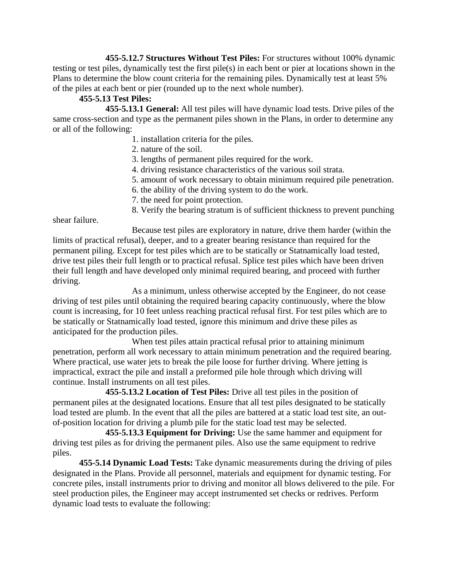**455-5.12.7 Structures Without Test Piles:** For structures without 100% dynamic testing or test piles, dynamically test the first pile(s) in each bent or pier at locations shown in the Plans to determine the blow count criteria for the remaining piles. Dynamically test at least 5% of the piles at each bent or pier (rounded up to the next whole number).

# **455-5.13 Test Piles:**

**455-5.13.1 General:** All test piles will have dynamic load tests. Drive piles of the same cross-section and type as the permanent piles shown in the Plans, in order to determine any or all of the following:

- 1. installation criteria for the piles.
- 2. nature of the soil.
- 3. lengths of permanent piles required for the work.
- 4. driving resistance characteristics of the various soil strata.
- 5. amount of work necessary to obtain minimum required pile penetration.
- 6. the ability of the driving system to do the work.
- 7. the need for point protection.
- 8. Verify the bearing stratum is of sufficient thickness to prevent punching

shear failure.

Because test piles are exploratory in nature, drive them harder (within the limits of practical refusal), deeper, and to a greater bearing resistance than required for the permanent piling. Except for test piles which are to be statically or Statnamically load tested, drive test piles their full length or to practical refusal. Splice test piles which have been driven their full length and have developed only minimal required bearing, and proceed with further driving.

As a minimum, unless otherwise accepted by the Engineer, do not cease driving of test piles until obtaining the required bearing capacity continuously, where the blow count is increasing, for 10 feet unless reaching practical refusal first. For test piles which are to be statically or Statnamically load tested, ignore this minimum and drive these piles as anticipated for the production piles.

When test piles attain practical refusal prior to attaining minimum penetration, perform all work necessary to attain minimum penetration and the required bearing. Where practical, use water jets to break the pile loose for further driving. Where jetting is impractical, extract the pile and install a preformed pile hole through which driving will continue. Install instruments on all test piles.

**455-5.13.2 Location of Test Piles:** Drive all test piles in the position of permanent piles at the designated locations. Ensure that all test piles designated to be statically load tested are plumb. In the event that all the piles are battered at a static load test site, an outof-position location for driving a plumb pile for the static load test may be selected.

**455-5.13.3 Equipment for Driving:** Use the same hammer and equipment for driving test piles as for driving the permanent piles. Also use the same equipment to redrive piles.

**455-5.14 Dynamic Load Tests:** Take dynamic measurements during the driving of piles designated in the Plans. Provide all personnel, materials and equipment for dynamic testing. For concrete piles, install instruments prior to driving and monitor all blows delivered to the pile. For steel production piles, the Engineer may accept instrumented set checks or redrives. Perform dynamic load tests to evaluate the following: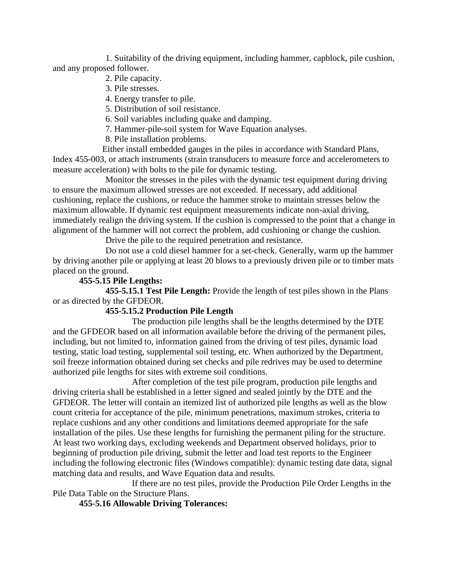1. Suitability of the driving equipment, including hammer, capblock, pile cushion, and any proposed follower.

- 2. Pile capacity.
- 3. Pile stresses.
- 4. Energy transfer to pile.
- 5. Distribution of soil resistance.
- 6. Soil variables including quake and damping.
- 7. Hammer-pile-soil system for Wave Equation analyses.
- 8. Pile installation problems.

Either install embedded gauges in the piles in accordance with Standard Plans, Index 455-003, or attach instruments (strain transducers to measure force and accelerometers to measure acceleration) with bolts to the pile for dynamic testing.

Monitor the stresses in the piles with the dynamic test equipment during driving to ensure the maximum allowed stresses are not exceeded. If necessary, add additional cushioning, replace the cushions, or reduce the hammer stroke to maintain stresses below the maximum allowable. If dynamic test equipment measurements indicate non-axial driving, immediately realign the driving system. If the cushion is compressed to the point that a change in alignment of the hammer will not correct the problem, add cushioning or change the cushion.

Drive the pile to the required penetration and resistance.

Do not use a cold diesel hammer for a set-check. Generally, warm up the hammer by driving another pile or applying at least 20 blows to a previously driven pile or to timber mats placed on the ground.

# **455-5.15 Pile Lengths:**

**455-5.15.1 Test Pile Length:** Provide the length of test piles shown in the Plans or as directed by the GFDEOR.

## **455-5.15.2 Production Pile Length**

The production pile lengths shall be the lengths determined by the DTE and the GFDEOR based on all information available before the driving of the permanent piles, including, but not limited to, information gained from the driving of test piles, dynamic load testing, static load testing, supplemental soil testing, etc. When authorized by the Department, soil freeze information obtained during set checks and pile redrives may be used to determine authorized pile lengths for sites with extreme soil conditions.

After completion of the test pile program, production pile lengths and driving criteria shall be established in a letter signed and sealed jointly by the DTE and the GFDEOR. The letter will contain an itemized list of authorized pile lengths as well as the blow count criteria for acceptance of the pile, minimum penetrations, maximum strokes, criteria to replace cushions and any other conditions and limitations deemed appropriate for the safe installation of the piles. Use these lengths for furnishing the permanent piling for the structure. At least two working days, excluding weekends and Department observed holidays, prior to beginning of production pile driving, submit the letter and load test reports to the Engineer including the following electronic files (Windows compatible): dynamic testing date data, signal matching data and results, and Wave Equation data and results.

If there are no test piles, provide the Production Pile Order Lengths in the Pile Data Table on the Structure Plans.

**455-5.16 Allowable Driving Tolerances:**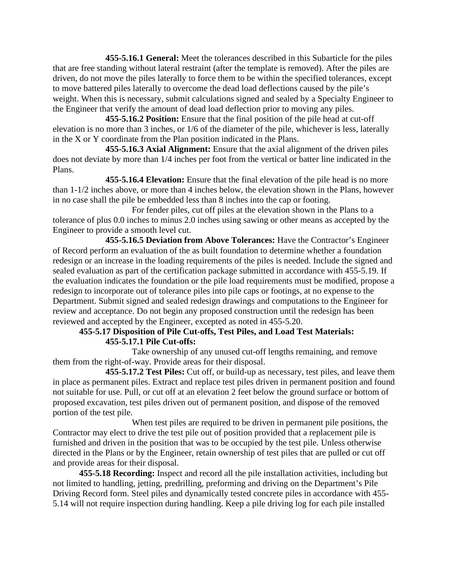**455-5.16.1 General:** Meet the tolerances described in this Subarticle for the piles that are free standing without lateral restraint (after the template is removed). After the piles are driven, do not move the piles laterally to force them to be within the specified tolerances, except to move battered piles laterally to overcome the dead load deflections caused by the pile's weight. When this is necessary, submit calculations signed and sealed by a Specialty Engineer to the Engineer that verify the amount of dead load deflection prior to moving any piles.

**455-5.16.2 Position:** Ensure that the final position of the pile head at cut-off elevation is no more than 3 inches, or 1/6 of the diameter of the pile, whichever is less, laterally in the X or Y coordinate from the Plan position indicated in the Plans.

**455-5.16.3 Axial Alignment:** Ensure that the axial alignment of the driven piles does not deviate by more than 1/4 inches per foot from the vertical or batter line indicated in the Plans.

**455-5.16.4 Elevation:** Ensure that the final elevation of the pile head is no more than 1-1/2 inches above, or more than 4 inches below, the elevation shown in the Plans, however in no case shall the pile be embedded less than 8 inches into the cap or footing.

For fender piles, cut off piles at the elevation shown in the Plans to a tolerance of plus 0.0 inches to minus 2.0 inches using sawing or other means as accepted by the Engineer to provide a smooth level cut.

**455-5.16.5 Deviation from Above Tolerances:** Have the Contractor's Engineer of Record perform an evaluation of the as built foundation to determine whether a foundation redesign or an increase in the loading requirements of the piles is needed. Include the signed and sealed evaluation as part of the certification package submitted in accordance with 455-5.19. If the evaluation indicates the foundation or the pile load requirements must be modified, propose a redesign to incorporate out of tolerance piles into pile caps or footings, at no expense to the Department. Submit signed and sealed redesign drawings and computations to the Engineer for review and acceptance. Do not begin any proposed construction until the redesign has been reviewed and accepted by the Engineer, excepted as noted in 455-5.20.

# **455-5.17 Disposition of Pile Cut-offs, Test Piles, and Load Test Materials: 455-5.17.1 Pile Cut-offs:**

Take ownership of any unused cut-off lengths remaining, and remove them from the right-of-way. Provide areas for their disposal.

**455-5.17.2 Test Piles:** Cut off, or build-up as necessary, test piles, and leave them in place as permanent piles. Extract and replace test piles driven in permanent position and found not suitable for use. Pull, or cut off at an elevation 2 feet below the ground surface or bottom of proposed excavation, test piles driven out of permanent position, and dispose of the removed portion of the test pile.

When test piles are required to be driven in permanent pile positions, the Contractor may elect to drive the test pile out of position provided that a replacement pile is furnished and driven in the position that was to be occupied by the test pile. Unless otherwise directed in the Plans or by the Engineer, retain ownership of test piles that are pulled or cut off and provide areas for their disposal.

**455-5.18 Recording:** Inspect and record all the pile installation activities, including but not limited to handling, jetting, predrilling, preforming and driving on the Department's Pile Driving Record form. Steel piles and dynamically tested concrete piles in accordance with 455- 5.14 will not require inspection during handling. Keep a pile driving log for each pile installed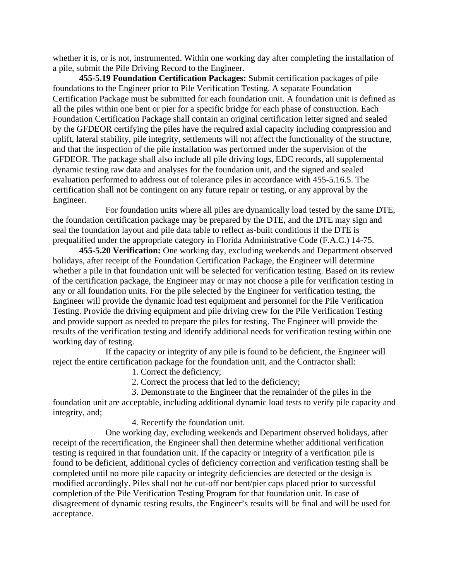whether it is, or is not, instrumented. Within one working day after completing the installation of a pile, submit the Pile Driving Record to the Engineer.

**455-5.19 Foundation Certification Packages:** Submit certification packages of pile foundations to the Engineer prior to Pile Verification Testing. A separate Foundation Certification Package must be submitted for each foundation unit. A foundation unit is defined as all the piles within one bent or pier for a specific bridge for each phase of construction. Each Foundation Certification Package shall contain an original certification letter signed and sealed by the GFDEOR certifying the piles have the required axial capacity including compression and uplift, lateral stability, pile integrity, settlements will not affect the functionality of the structure, and that the inspection of the pile installation was performed under the supervision of the GFDEOR. The package shall also include all pile driving logs, EDC records, all supplemental dynamic testing raw data and analyses for the foundation unit, and the signed and sealed evaluation performed to address out of tolerance piles in accordance with 455-5.16.5. The certification shall not be contingent on any future repair or testing, or any approval by the Engineer.

For foundation units where all piles are dynamically load tested by the same DTE, the foundation certification package may be prepared by the DTE, and the DTE may sign and seal the foundation layout and pile data table to reflect as-built conditions if the DTE is prequalified under the appropriate category in Florida Administrative Code (F.A.C.) 14-75.

**455-5.20 Verification:** One working day, excluding weekends and Department observed holidays, after receipt of the Foundation Certification Package, the Engineer will determine whether a pile in that foundation unit will be selected for verification testing. Based on its review of the certification package, the Engineer may or may not choose a pile for verification testing in any or all foundation units. For the pile selected by the Engineer for verification testing, the Engineer will provide the dynamic load test equipment and personnel for the Pile Verification Testing. Provide the driving equipment and pile driving crew for the Pile Verification Testing and provide support as needed to prepare the piles for testing. The Engineer will provide the results of the verification testing and identify additional needs for verification testing within one working day of testing.

If the capacity or integrity of any pile is found to be deficient, the Engineer will reject the entire certification package for the foundation unit, and the Contractor shall:

1. Correct the deficiency;

2. Correct the process that led to the deficiency;

3. Demonstrate to the Engineer that the remainder of the piles in the foundation unit are acceptable, including additional dynamic load tests to verify pile capacity and integrity, and;

4. Recertify the foundation unit.

One working day, excluding weekends and Department observed holidays, after receipt of the recertification, the Engineer shall then determine whether additional verification testing is required in that foundation unit. If the capacity or integrity of a verification pile is found to be deficient, additional cycles of deficiency correction and verification testing shall be completed until no more pile capacity or integrity deficiencies are detected or the design is modified accordingly. Piles shall not be cut-off nor bent/pier caps placed prior to successful completion of the Pile Verification Testing Program for that foundation unit. In case of disagreement of dynamic testing results, the Engineer's results will be final and will be used for acceptance.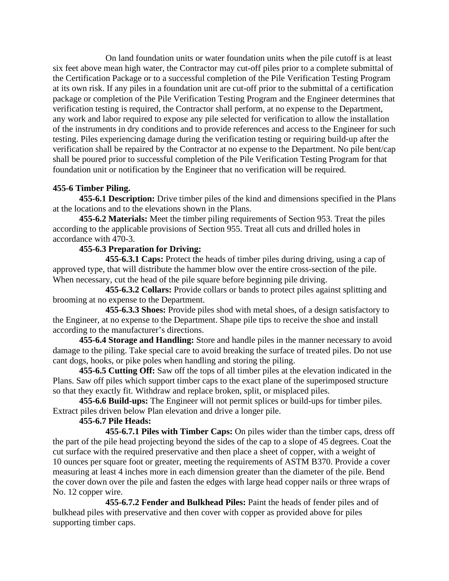On land foundation units or water foundation units when the pile cutoff is at least six feet above mean high water, the Contractor may cut-off piles prior to a complete submittal of the Certification Package or to a successful completion of the Pile Verification Testing Program at its own risk. If any piles in a foundation unit are cut-off prior to the submittal of a certification package or completion of the Pile Verification Testing Program and the Engineer determines that verification testing is required, the Contractor shall perform, at no expense to the Department, any work and labor required to expose any pile selected for verification to allow the installation of the instruments in dry conditions and to provide references and access to the Engineer for such testing. Piles experiencing damage during the verification testing or requiring build-up after the verification shall be repaired by the Contractor at no expense to the Department. No pile bent/cap shall be poured prior to successful completion of the Pile Verification Testing Program for that foundation unit or notification by the Engineer that no verification will be required.

# **455-6 Timber Piling.**

**455-6.1 Description:** Drive timber piles of the kind and dimensions specified in the Plans at the locations and to the elevations shown in the Plans.

**455-6.2 Materials:** Meet the timber piling requirements of Section 953. Treat the piles according to the applicable provisions of Section 955. Treat all cuts and drilled holes in accordance with 470-3.

# **455-6.3 Preparation for Driving:**

**455-6.3.1 Caps:** Protect the heads of timber piles during driving, using a cap of approved type, that will distribute the hammer blow over the entire cross-section of the pile. When necessary, cut the head of the pile square before beginning pile driving.

**455-6.3.2 Collars:** Provide collars or bands to protect piles against splitting and brooming at no expense to the Department.

**455-6.3.3 Shoes:** Provide piles shod with metal shoes, of a design satisfactory to the Engineer, at no expense to the Department. Shape pile tips to receive the shoe and install according to the manufacturer's directions.

**455-6.4 Storage and Handling:** Store and handle piles in the manner necessary to avoid damage to the piling. Take special care to avoid breaking the surface of treated piles. Do not use cant dogs, hooks, or pike poles when handling and storing the piling.

**455-6.5 Cutting Off:** Saw off the tops of all timber piles at the elevation indicated in the Plans. Saw off piles which support timber caps to the exact plane of the superimposed structure so that they exactly fit. Withdraw and replace broken, split, or misplaced piles.

**455-6.6 Build-ups:** The Engineer will not permit splices or build-ups for timber piles. Extract piles driven below Plan elevation and drive a longer pile.

# **455-6.7 Pile Heads:**

**455-6.7.1 Piles with Timber Caps:** On piles wider than the timber caps, dress off the part of the pile head projecting beyond the sides of the cap to a slope of 45 degrees. Coat the cut surface with the required preservative and then place a sheet of copper, with a weight of 10 ounces per square foot or greater, meeting the requirements of ASTM B370. Provide a cover measuring at least 4 inches more in each dimension greater than the diameter of the pile. Bend the cover down over the pile and fasten the edges with large head copper nails or three wraps of No. 12 copper wire.

**455-6.7.2 Fender and Bulkhead Piles:** Paint the heads of fender piles and of bulkhead piles with preservative and then cover with copper as provided above for piles supporting timber caps.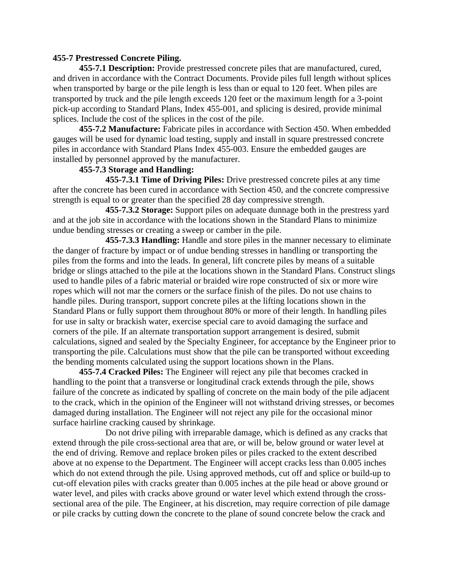### **455-7 Prestressed Concrete Piling.**

**455-7.1 Description:** Provide prestressed concrete piles that are manufactured, cured, and driven in accordance with the Contract Documents. Provide piles full length without splices when transported by barge or the pile length is less than or equal to 120 feet. When piles are transported by truck and the pile length exceeds 120 feet or the maximum length for a 3-point pick-up according to Standard Plans, Index 455-001, and splicing is desired, provide minimal splices. Include the cost of the splices in the cost of the pile.

**455-7.2 Manufacture:** Fabricate piles in accordance with Section 450. When embedded gauges will be used for dynamic load testing, supply and install in square prestressed concrete piles in accordance with Standard Plans Index 455-003. Ensure the embedded gauges are installed by personnel approved by the manufacturer.

# **455-7.3 Storage and Handling:**

**455-7.3.1 Time of Driving Piles:** Drive prestressed concrete piles at any time after the concrete has been cured in accordance with Section 450, and the concrete compressive strength is equal to or greater than the specified 28 day compressive strength.

**455-7.3.2 Storage:** Support piles on adequate dunnage both in the prestress yard and at the job site in accordance with the locations shown in the Standard Plans to minimize undue bending stresses or creating a sweep or camber in the pile.

**455-7.3.3 Handling:** Handle and store piles in the manner necessary to eliminate the danger of fracture by impact or of undue bending stresses in handling or transporting the piles from the forms and into the leads. In general, lift concrete piles by means of a suitable bridge or slings attached to the pile at the locations shown in the Standard Plans. Construct slings used to handle piles of a fabric material or braided wire rope constructed of six or more wire ropes which will not mar the corners or the surface finish of the piles. Do not use chains to handle piles. During transport, support concrete piles at the lifting locations shown in the Standard Plans or fully support them throughout 80% or more of their length. In handling piles for use in salty or brackish water, exercise special care to avoid damaging the surface and corners of the pile. If an alternate transportation support arrangement is desired, submit calculations, signed and sealed by the Specialty Engineer, for acceptance by the Engineer prior to transporting the pile. Calculations must show that the pile can be transported without exceeding the bending moments calculated using the support locations shown in the Plans.

**455-7.4 Cracked Piles:** The Engineer will reject any pile that becomes cracked in handling to the point that a transverse or longitudinal crack extends through the pile, shows failure of the concrete as indicated by spalling of concrete on the main body of the pile adjacent to the crack, which in the opinion of the Engineer will not withstand driving stresses, or becomes damaged during installation. The Engineer will not reject any pile for the occasional minor surface hairline cracking caused by shrinkage.

Do not drive piling with irreparable damage, which is defined as any cracks that extend through the pile cross-sectional area that are, or will be, below ground or water level at the end of driving. Remove and replace broken piles or piles cracked to the extent described above at no expense to the Department. The Engineer will accept cracks less than 0.005 inches which do not extend through the pile. Using approved methods, cut off and splice or build-up to cut-off elevation piles with cracks greater than 0.005 inches at the pile head or above ground or water level, and piles with cracks above ground or water level which extend through the crosssectional area of the pile. The Engineer, at his discretion, may require correction of pile damage or pile cracks by cutting down the concrete to the plane of sound concrete below the crack and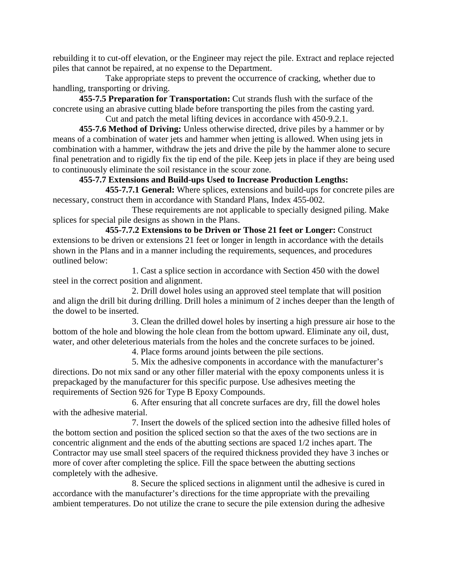rebuilding it to cut-off elevation, or the Engineer may reject the pile. Extract and replace rejected piles that cannot be repaired, at no expense to the Department.

Take appropriate steps to prevent the occurrence of cracking, whether due to handling, transporting or driving.

**455-7.5 Preparation for Transportation:** Cut strands flush with the surface of the concrete using an abrasive cutting blade before transporting the piles from the casting yard. Cut and patch the metal lifting devices in accordance with 450-9.2.1.

**455-7.6 Method of Driving:** Unless otherwise directed, drive piles by a hammer or by means of a combination of water jets and hammer when jetting is allowed. When using jets in combination with a hammer, withdraw the jets and drive the pile by the hammer alone to secure final penetration and to rigidly fix the tip end of the pile. Keep jets in place if they are being used to continuously eliminate the soil resistance in the scour zone.

# **455-7.7 Extensions and Build-ups Used to Increase Production Lengths:**

**455-7.7.1 General:** Where splices, extensions and build-ups for concrete piles are necessary, construct them in accordance with Standard Plans, Index 455-002.

These requirements are not applicable to specially designed piling. Make splices for special pile designs as shown in the Plans.

**455-7.7.2 Extensions to be Driven or Those 21 feet or Longer:** Construct extensions to be driven or extensions 21 feet or longer in length in accordance with the details shown in the Plans and in a manner including the requirements, sequences, and procedures outlined below:

1. Cast a splice section in accordance with Section 450 with the dowel steel in the correct position and alignment.

2. Drill dowel holes using an approved steel template that will position and align the drill bit during drilling. Drill holes a minimum of 2 inches deeper than the length of the dowel to be inserted.

3. Clean the drilled dowel holes by inserting a high pressure air hose to the bottom of the hole and blowing the hole clean from the bottom upward. Eliminate any oil, dust, water, and other deleterious materials from the holes and the concrete surfaces to be joined.

4. Place forms around joints between the pile sections.

5. Mix the adhesive components in accordance with the manufacturer's directions. Do not mix sand or any other filler material with the epoxy components unless it is prepackaged by the manufacturer for this specific purpose. Use adhesives meeting the requirements of Section 926 for Type B Epoxy Compounds.

6. After ensuring that all concrete surfaces are dry, fill the dowel holes with the adhesive material.

7. Insert the dowels of the spliced section into the adhesive filled holes of the bottom section and position the spliced section so that the axes of the two sections are in concentric alignment and the ends of the abutting sections are spaced 1/2 inches apart. The Contractor may use small steel spacers of the required thickness provided they have 3 inches or more of cover after completing the splice. Fill the space between the abutting sections completely with the adhesive.

8. Secure the spliced sections in alignment until the adhesive is cured in accordance with the manufacturer's directions for the time appropriate with the prevailing ambient temperatures. Do not utilize the crane to secure the pile extension during the adhesive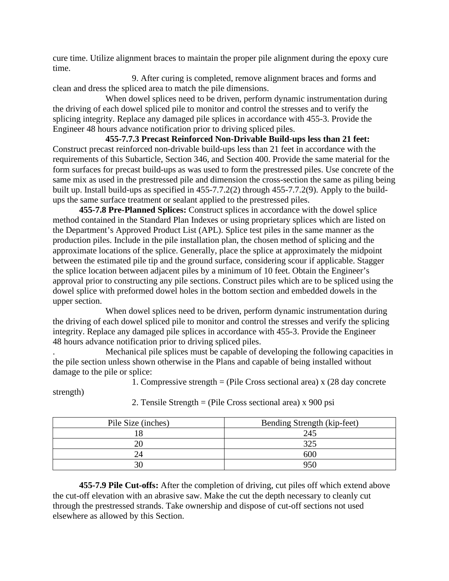cure time. Utilize alignment braces to maintain the proper pile alignment during the epoxy cure time.

9. After curing is completed, remove alignment braces and forms and clean and dress the spliced area to match the pile dimensions.

When dowel splices need to be driven, perform dynamic instrumentation during the driving of each dowel spliced pile to monitor and control the stresses and to verify the splicing integrity. Replace any damaged pile splices in accordance with 455-3. Provide the Engineer 48 hours advance notification prior to driving spliced piles.

**455-7.7.3 Precast Reinforced Non-Drivable Build-ups less than 21 feet:** Construct precast reinforced non-drivable build-ups less than 21 feet in accordance with the requirements of this Subarticle, Section 346, and Section 400. Provide the same material for the form surfaces for precast build-ups as was used to form the prestressed piles. Use concrete of the same mix as used in the prestressed pile and dimension the cross-section the same as piling being built up. Install build-ups as specified in 455-7.7.2(2) through 455-7.7.2(9). Apply to the buildups the same surface treatment or sealant applied to the prestressed piles.

**455-7.8 Pre-Planned Splices:** Construct splices in accordance with the dowel splice method contained in the Standard Plan Indexes or using proprietary splices which are listed on the Department's Approved Product List (APL). Splice test piles in the same manner as the production piles. Include in the pile installation plan, the chosen method of splicing and the approximate locations of the splice. Generally, place the splice at approximately the midpoint between the estimated pile tip and the ground surface, considering scour if applicable. Stagger the splice location between adjacent piles by a minimum of 10 feet. Obtain the Engineer's approval prior to constructing any pile sections. Construct piles which are to be spliced using the dowel splice with preformed dowel holes in the bottom section and embedded dowels in the upper section.

When dowel splices need to be driven, perform dynamic instrumentation during the driving of each dowel spliced pile to monitor and control the stresses and verify the splicing integrity. Replace any damaged pile splices in accordance with 455-3. Provide the Engineer 48 hours advance notification prior to driving spliced piles.

. Mechanical pile splices must be capable of developing the following capacities in the pile section unless shown otherwise in the Plans and capable of being installed without damage to the pile or splice:

1. Compressive strength = (Pile Cross sectional area) x (28 day concrete

strength)

| Pile Size (inches) | Bending Strength (kip-feet) |
|--------------------|-----------------------------|
|                    | 245                         |
| Ωſ                 | つつく                         |
|                    | 60C                         |
| or                 |                             |

2. Tensile Strength = (Pile Cross sectional area) x 900 psi

**455-7.9 Pile Cut-offs:** After the completion of driving, cut piles off which extend above the cut-off elevation with an abrasive saw. Make the cut the depth necessary to cleanly cut through the prestressed strands. Take ownership and dispose of cut-off sections not used elsewhere as allowed by this Section.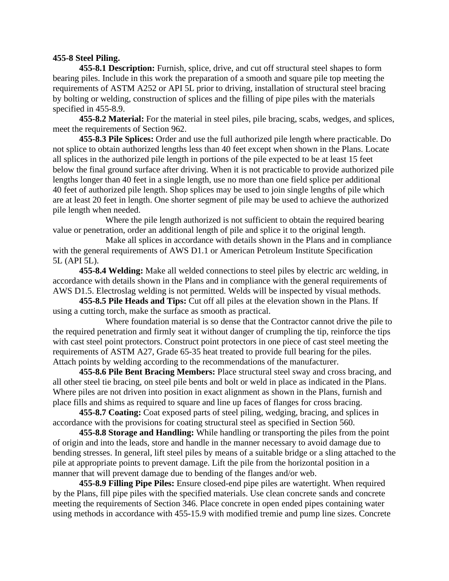### **455-8 Steel Piling.**

**455-8.1 Description:** Furnish, splice, drive, and cut off structural steel shapes to form bearing piles. Include in this work the preparation of a smooth and square pile top meeting the requirements of ASTM A252 or API 5L prior to driving, installation of structural steel bracing by bolting or welding, construction of splices and the filling of pipe piles with the materials specified in 455-8.9.

**455-8.2 Material:** For the material in steel piles, pile bracing, scabs, wedges, and splices, meet the requirements of Section 962.

**455-8.3 Pile Splices:** Order and use the full authorized pile length where practicable. Do not splice to obtain authorized lengths less than 40 feet except when shown in the Plans. Locate all splices in the authorized pile length in portions of the pile expected to be at least 15 feet below the final ground surface after driving. When it is not practicable to provide authorized pile lengths longer than 40 feet in a single length, use no more than one field splice per additional 40 feet of authorized pile length. Shop splices may be used to join single lengths of pile which are at least 20 feet in length. One shorter segment of pile may be used to achieve the authorized pile length when needed.

Where the pile length authorized is not sufficient to obtain the required bearing value or penetration, order an additional length of pile and splice it to the original length.

Make all splices in accordance with details shown in the Plans and in compliance with the general requirements of AWS D1.1 or American Petroleum Institute Specification 5L (API 5L).

**455-8.4 Welding:** Make all welded connections to steel piles by electric arc welding, in accordance with details shown in the Plans and in compliance with the general requirements of AWS D1.5. Electroslag welding is not permitted. Welds will be inspected by visual methods.

**455-8.5 Pile Heads and Tips:** Cut off all piles at the elevation shown in the Plans. If using a cutting torch, make the surface as smooth as practical.

Where foundation material is so dense that the Contractor cannot drive the pile to the required penetration and firmly seat it without danger of crumpling the tip, reinforce the tips with cast steel point protectors. Construct point protectors in one piece of cast steel meeting the requirements of ASTM A27, Grade 65-35 heat treated to provide full bearing for the piles. Attach points by welding according to the recommendations of the manufacturer.

**455-8.6 Pile Bent Bracing Members:** Place structural steel sway and cross bracing, and all other steel tie bracing, on steel pile bents and bolt or weld in place as indicated in the Plans. Where piles are not driven into position in exact alignment as shown in the Plans, furnish and place fills and shims as required to square and line up faces of flanges for cross bracing.

**455-8.7 Coating:** Coat exposed parts of steel piling, wedging, bracing, and splices in accordance with the provisions for coating structural steel as specified in Section 560.

**455-8.8 Storage and Handling:** While handling or transporting the piles from the point of origin and into the leads, store and handle in the manner necessary to avoid damage due to bending stresses. In general, lift steel piles by means of a suitable bridge or a sling attached to the pile at appropriate points to prevent damage. Lift the pile from the horizontal position in a manner that will prevent damage due to bending of the flanges and/or web.

**455-8.9 Filling Pipe Piles:** Ensure closed-end pipe piles are watertight. When required by the Plans, fill pipe piles with the specified materials. Use clean concrete sands and concrete meeting the requirements of Section 346. Place concrete in open ended pipes containing water using methods in accordance with 455-15.9 with modified tremie and pump line sizes. Concrete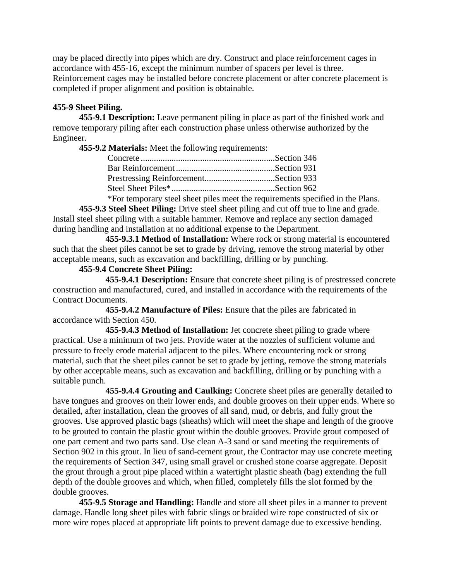may be placed directly into pipes which are dry. Construct and place reinforcement cages in accordance with 455-16, except the minimum number of spacers per level is three. Reinforcement cages may be installed before concrete placement or after concrete placement is completed if proper alignment and position is obtainable.

# **455-9 Sheet Piling.**

**455-9.1 Description:** Leave permanent piling in place as part of the finished work and remove temporary piling after each construction phase unless otherwise authorized by the Engineer.

**455-9.2 Materials:** Meet the following requirements:

| $*En$ temperary steel sheet piles meet the requirements species |  |
|-----------------------------------------------------------------|--|

\*For temporary steel sheet piles meet the requirements specified in the Plans.

**455-9.3 Steel Sheet Piling:** Drive steel sheet piling and cut off true to line and grade. Install steel sheet piling with a suitable hammer. Remove and replace any section damaged during handling and installation at no additional expense to the Department.

**455-9.3.1 Method of Installation:** Where rock or strong material is encountered such that the sheet piles cannot be set to grade by driving, remove the strong material by other acceptable means, such as excavation and backfilling, drilling or by punching.

# **455-9.4 Concrete Sheet Piling:**

**455-9.4.1 Description:** Ensure that concrete sheet piling is of prestressed concrete construction and manufactured, cured, and installed in accordance with the requirements of the Contract Documents.

**455-9.4.2 Manufacture of Piles:** Ensure that the piles are fabricated in accordance with Section 450.

**455-9.4.3 Method of Installation:** Jet concrete sheet piling to grade where practical. Use a minimum of two jets. Provide water at the nozzles of sufficient volume and pressure to freely erode material adjacent to the piles. Where encountering rock or strong material, such that the sheet piles cannot be set to grade by jetting, remove the strong materials by other acceptable means, such as excavation and backfilling, drilling or by punching with a suitable punch.

**455-9.4.4 Grouting and Caulking:** Concrete sheet piles are generally detailed to have tongues and grooves on their lower ends, and double grooves on their upper ends. Where so detailed, after installation, clean the grooves of all sand, mud, or debris, and fully grout the grooves. Use approved plastic bags (sheaths) which will meet the shape and length of the groove to be grouted to contain the plastic grout within the double grooves. Provide grout composed of one part cement and two parts sand. Use clean A-3 sand or sand meeting the requirements of Section 902 in this grout. In lieu of sand-cement grout, the Contractor may use concrete meeting the requirements of Section 347, using small gravel or crushed stone coarse aggregate. Deposit the grout through a grout pipe placed within a watertight plastic sheath (bag) extending the full depth of the double grooves and which, when filled, completely fills the slot formed by the double grooves.

**455-9.5 Storage and Handling:** Handle and store all sheet piles in a manner to prevent damage. Handle long sheet piles with fabric slings or braided wire rope constructed of six or more wire ropes placed at appropriate lift points to prevent damage due to excessive bending.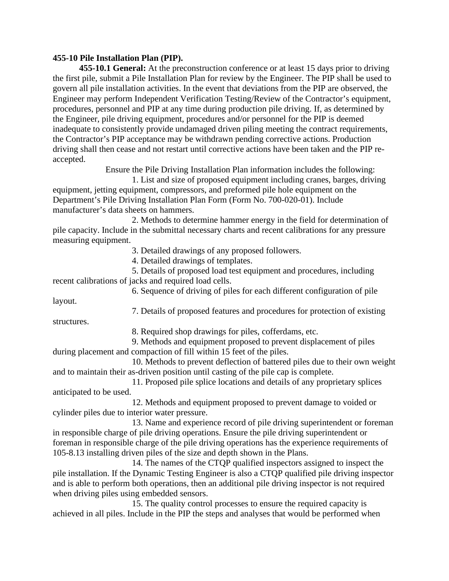## **455-10 Pile Installation Plan (PIP).**

**455-10.1 General:** At the preconstruction conference or at least 15 days prior to driving the first pile, submit a Pile Installation Plan for review by the Engineer. The PIP shall be used to govern all pile installation activities. In the event that deviations from the PIP are observed, the Engineer may perform Independent Verification Testing/Review of the Contractor's equipment, procedures, personnel and PIP at any time during production pile driving. If, as determined by the Engineer, pile driving equipment, procedures and/or personnel for the PIP is deemed inadequate to consistently provide undamaged driven piling meeting the contract requirements, the Contractor's PIP acceptance may be withdrawn pending corrective actions. Production driving shall then cease and not restart until corrective actions have been taken and the PIP reaccepted.

Ensure the Pile Driving Installation Plan information includes the following:

1. List and size of proposed equipment including cranes, barges, driving equipment, jetting equipment, compressors, and preformed pile hole equipment on the Department's Pile Driving Installation Plan Form (Form No. 700-020-01). Include manufacturer's data sheets on hammers.

2. Methods to determine hammer energy in the field for determination of pile capacity. Include in the submittal necessary charts and recent calibrations for any pressure measuring equipment.

3. Detailed drawings of any proposed followers.

4. Detailed drawings of templates.

5. Details of proposed load test equipment and procedures, including recent calibrations of jacks and required load cells.

6. Sequence of driving of piles for each different configuration of pile

layout.

structures.

7. Details of proposed features and procedures for protection of existing

8. Required shop drawings for piles, cofferdams, etc.

9. Methods and equipment proposed to prevent displacement of piles during placement and compaction of fill within 15 feet of the piles.

10. Methods to prevent deflection of battered piles due to their own weight and to maintain their as-driven position until casting of the pile cap is complete.

11. Proposed pile splice locations and details of any proprietary splices anticipated to be used.

12. Methods and equipment proposed to prevent damage to voided or cylinder piles due to interior water pressure.

13. Name and experience record of pile driving superintendent or foreman in responsible charge of pile driving operations. Ensure the pile driving superintendent or foreman in responsible charge of the pile driving operations has the experience requirements of 105-8.13 installing driven piles of the size and depth shown in the Plans.

14. The names of the CTQP qualified inspectors assigned to inspect the pile installation. If the Dynamic Testing Engineer is also a CTQP qualified pile driving inspector and is able to perform both operations, then an additional pile driving inspector is not required when driving piles using embedded sensors.

15. The quality control processes to ensure the required capacity is achieved in all piles. Include in the PIP the steps and analyses that would be performed when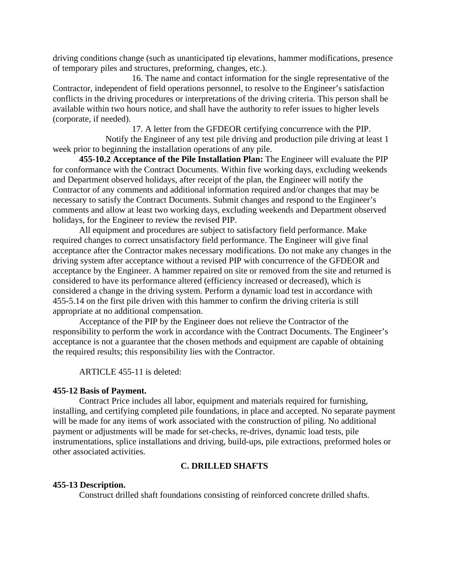driving conditions change (such as unanticipated tip elevations, hammer modifications, presence of temporary piles and structures, preforming, changes, etc.).

16. The name and contact information for the single representative of the Contractor, independent of field operations personnel, to resolve to the Engineer's satisfaction conflicts in the driving procedures or interpretations of the driving criteria. This person shall be available within two hours notice, and shall have the authority to refer issues to higher levels (corporate, if needed).

17. A letter from the GFDEOR certifying concurrence with the PIP.

Notify the Engineer of any test pile driving and production pile driving at least 1 week prior to beginning the installation operations of any pile.

**455-10.2 Acceptance of the Pile Installation Plan:** The Engineer will evaluate the PIP for conformance with the Contract Documents. Within five working days, excluding weekends and Department observed holidays, after receipt of the plan, the Engineer will notify the Contractor of any comments and additional information required and/or changes that may be necessary to satisfy the Contract Documents. Submit changes and respond to the Engineer's comments and allow at least two working days, excluding weekends and Department observed holidays, for the Engineer to review the revised PIP.

All equipment and procedures are subject to satisfactory field performance. Make required changes to correct unsatisfactory field performance. The Engineer will give final acceptance after the Contractor makes necessary modifications. Do not make any changes in the driving system after acceptance without a revised PIP with concurrence of the GFDEOR and acceptance by the Engineer. A hammer repaired on site or removed from the site and returned is considered to have its performance altered (efficiency increased or decreased), which is considered a change in the driving system. Perform a dynamic load test in accordance with 455-5.14 on the first pile driven with this hammer to confirm the driving criteria is still appropriate at no additional compensation.

Acceptance of the PIP by the Engineer does not relieve the Contractor of the responsibility to perform the work in accordance with the Contract Documents. The Engineer's acceptance is not a guarantee that the chosen methods and equipment are capable of obtaining the required results; this responsibility lies with the Contractor.

ARTICLE 455-11 is deleted:

### **455-12 Basis of Payment.**

Contract Price includes all labor, equipment and materials required for furnishing, installing, and certifying completed pile foundations, in place and accepted. No separate payment will be made for any items of work associated with the construction of piling. No additional payment or adjustments will be made for set-checks, re-drives, dynamic load tests, pile instrumentations, splice installations and driving, build-ups, pile extractions, preformed holes or other associated activities.

## **C. DRILLED SHAFTS**

### **455-13 Description.**

Construct drilled shaft foundations consisting of reinforced concrete drilled shafts.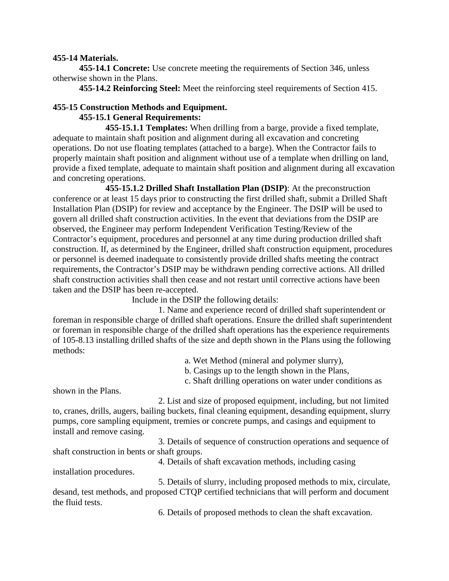## **455-14 Materials.**

**455-14.1 Concrete:** Use concrete meeting the requirements of Section 346, unless otherwise shown in the Plans.

**455-14.2 Reinforcing Steel:** Meet the reinforcing steel requirements of Section 415.

### **455-15 Construction Methods and Equipment. 455-15.1 General Requirements:**

**455-15.1.1 Templates:** When drilling from a barge, provide a fixed template, adequate to maintain shaft position and alignment during all excavation and concreting operations. Do not use floating templates (attached to a barge). When the Contractor fails to properly maintain shaft position and alignment without use of a template when drilling on land, provide a fixed template, adequate to maintain shaft position and alignment during all excavation and concreting operations.

**455-15.1.2 Drilled Shaft Installation Plan (DSIP)**: At the preconstruction conference or at least 15 days prior to constructing the first drilled shaft, submit a Drilled Shaft Installation Plan (DSIP) for review and acceptance by the Engineer. The DSIP will be used to govern all drilled shaft construction activities. In the event that deviations from the DSIP are observed, the Engineer may perform Independent Verification Testing/Review of the Contractor's equipment, procedures and personnel at any time during production drilled shaft construction. If, as determined by the Engineer, drilled shaft construction equipment, procedures or personnel is deemed inadequate to consistently provide drilled shafts meeting the contract requirements, the Contractor's DSIP may be withdrawn pending corrective actions. All drilled shaft construction activities shall then cease and not restart until corrective actions have been taken and the DSIP has been re-accepted.

Include in the DSIP the following details:

1. Name and experience record of drilled shaft superintendent or foreman in responsible charge of drilled shaft operations. Ensure the drilled shaft superintendent or foreman in responsible charge of the drilled shaft operations has the experience requirements of 105-8.13 installing drilled shafts of the size and depth shown in the Plans using the following methods:

a. Wet Method (mineral and polymer slurry),

b. Casings up to the length shown in the Plans,

c. Shaft drilling operations on water under conditions as

shown in the Plans.

2. List and size of proposed equipment, including, but not limited to, cranes, drills, augers, bailing buckets, final cleaning equipment, desanding equipment, slurry pumps, core sampling equipment, tremies or concrete pumps, and casings and equipment to install and remove casing.

3. Details of sequence of construction operations and sequence of shaft construction in bents or shaft groups.

4. Details of shaft excavation methods, including casing

installation procedures.

5. Details of slurry, including proposed methods to mix, circulate, desand, test methods, and proposed CTQP certified technicians that will perform and document the fluid tests.

6. Details of proposed methods to clean the shaft excavation.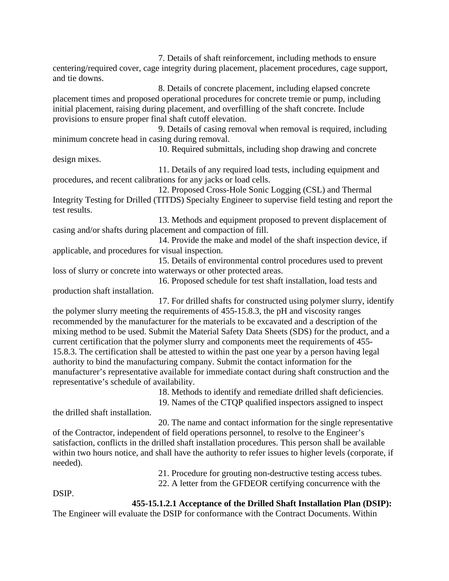7. Details of shaft reinforcement, including methods to ensure centering/required cover, cage integrity during placement, placement procedures, cage support, and tie downs.

8. Details of concrete placement, including elapsed concrete placement times and proposed operational procedures for concrete tremie or pump, including initial placement, raising during placement, and overfilling of the shaft concrete. Include provisions to ensure proper final shaft cutoff elevation.

9. Details of casing removal when removal is required, including minimum concrete head in casing during removal.

10. Required submittals, including shop drawing and concrete design mixes.

11. Details of any required load tests, including equipment and procedures, and recent calibrations for any jacks or load cells.

12. Proposed Cross-Hole Sonic Logging (CSL) and Thermal Integrity Testing for Drilled (TITDS) Specialty Engineer to supervise field testing and report the test results.

13. Methods and equipment proposed to prevent displacement of casing and/or shafts during placement and compaction of fill.

14. Provide the make and model of the shaft inspection device, if applicable, and procedures for visual inspection.

15. Details of environmental control procedures used to prevent loss of slurry or concrete into waterways or other protected areas.

16. Proposed schedule for test shaft installation, load tests and production shaft installation.

17. For drilled shafts for constructed using polymer slurry, identify the polymer slurry meeting the requirements of 455-15.8.3, the pH and viscosity ranges recommended by the manufacturer for the materials to be excavated and a description of the mixing method to be used. Submit the Material Safety Data Sheets (SDS) for the product, and a current certification that the polymer slurry and components meet the requirements of 455- 15.8.3. The certification shall be attested to within the past one year by a person having legal authority to bind the manufacturing company. Submit the contact information for the manufacturer's representative available for immediate contact during shaft construction and the representative's schedule of availability.

18. Methods to identify and remediate drilled shaft deficiencies.

19. Names of the CTQP qualified inspectors assigned to inspect

the drilled shaft installation.

20. The name and contact information for the single representative of the Contractor, independent of field operations personnel, to resolve to the Engineer's satisfaction, conflicts in the drilled shaft installation procedures. This person shall be available within two hours notice, and shall have the authority to refer issues to higher levels (corporate, if needed).

21. Procedure for grouting non-destructive testing access tubes.

22. A letter from the GFDEOR certifying concurrence with the

DSIP.

# **455-15.1.2.1 Acceptance of the Drilled Shaft Installation Plan (DSIP):**

The Engineer will evaluate the DSIP for conformance with the Contract Documents. Within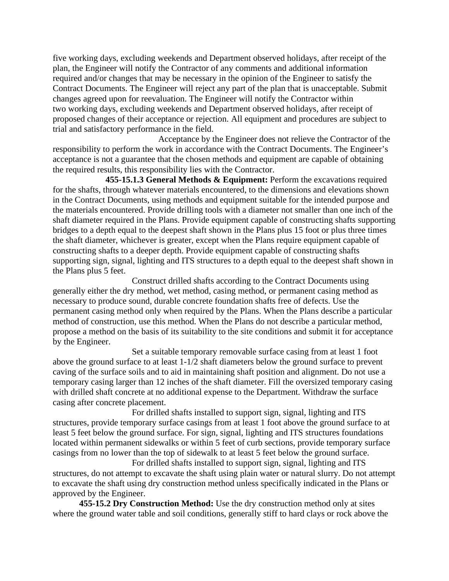five working days, excluding weekends and Department observed holidays, after receipt of the plan, the Engineer will notify the Contractor of any comments and additional information required and/or changes that may be necessary in the opinion of the Engineer to satisfy the Contract Documents. The Engineer will reject any part of the plan that is unacceptable. Submit changes agreed upon for reevaluation. The Engineer will notify the Contractor within two working days, excluding weekends and Department observed holidays, after receipt of proposed changes of their acceptance or rejection. All equipment and procedures are subject to trial and satisfactory performance in the field.

Acceptance by the Engineer does not relieve the Contractor of the responsibility to perform the work in accordance with the Contract Documents. The Engineer's acceptance is not a guarantee that the chosen methods and equipment are capable of obtaining the required results, this responsibility lies with the Contractor.

**455-15.1.3 General Methods & Equipment:** Perform the excavations required for the shafts, through whatever materials encountered, to the dimensions and elevations shown in the Contract Documents, using methods and equipment suitable for the intended purpose and the materials encountered. Provide drilling tools with a diameter not smaller than one inch of the shaft diameter required in the Plans. Provide equipment capable of constructing shafts supporting bridges to a depth equal to the deepest shaft shown in the Plans plus 15 foot or plus three times the shaft diameter, whichever is greater, except when the Plans require equipment capable of constructing shafts to a deeper depth. Provide equipment capable of constructing shafts supporting sign, signal, lighting and ITS structures to a depth equal to the deepest shaft shown in the Plans plus 5 feet.

Construct drilled shafts according to the Contract Documents using generally either the dry method, wet method, casing method, or permanent casing method as necessary to produce sound, durable concrete foundation shafts free of defects. Use the permanent casing method only when required by the Plans. When the Plans describe a particular method of construction, use this method. When the Plans do not describe a particular method, propose a method on the basis of its suitability to the site conditions and submit it for acceptance by the Engineer.

Set a suitable temporary removable surface casing from at least 1 foot above the ground surface to at least 1-1/2 shaft diameters below the ground surface to prevent caving of the surface soils and to aid in maintaining shaft position and alignment. Do not use a temporary casing larger than 12 inches of the shaft diameter. Fill the oversized temporary casing with drilled shaft concrete at no additional expense to the Department. Withdraw the surface casing after concrete placement.

For drilled shafts installed to support sign, signal, lighting and ITS structures, provide temporary surface casings from at least 1 foot above the ground surface to at least 5 feet below the ground surface. For sign, signal, lighting and ITS structures foundations located within permanent sidewalks or within 5 feet of curb sections, provide temporary surface casings from no lower than the top of sidewalk to at least 5 feet below the ground surface.

For drilled shafts installed to support sign, signal, lighting and ITS structures, do not attempt to excavate the shaft using plain water or natural slurry. Do not attempt to excavate the shaft using dry construction method unless specifically indicated in the Plans or approved by the Engineer.

**455-15.2 Dry Construction Method:** Use the dry construction method only at sites where the ground water table and soil conditions, generally stiff to hard clays or rock above the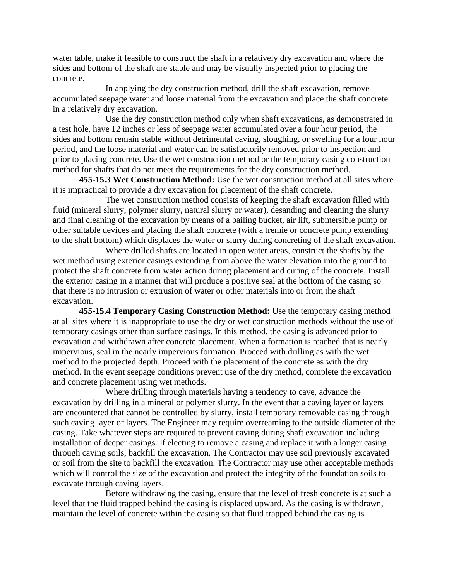water table, make it feasible to construct the shaft in a relatively dry excavation and where the sides and bottom of the shaft are stable and may be visually inspected prior to placing the concrete.

In applying the dry construction method, drill the shaft excavation, remove accumulated seepage water and loose material from the excavation and place the shaft concrete in a relatively dry excavation.

Use the dry construction method only when shaft excavations, as demonstrated in a test hole, have 12 inches or less of seepage water accumulated over a four hour period, the sides and bottom remain stable without detrimental caving, sloughing, or swelling for a four hour period, and the loose material and water can be satisfactorily removed prior to inspection and prior to placing concrete. Use the wet construction method or the temporary casing construction method for shafts that do not meet the requirements for the dry construction method.

**455-15.3 Wet Construction Method:** Use the wet construction method at all sites where it is impractical to provide a dry excavation for placement of the shaft concrete.

The wet construction method consists of keeping the shaft excavation filled with fluid (mineral slurry, polymer slurry, natural slurry or water), desanding and cleaning the slurry and final cleaning of the excavation by means of a bailing bucket, air lift, submersible pump or other suitable devices and placing the shaft concrete (with a tremie or concrete pump extending to the shaft bottom) which displaces the water or slurry during concreting of the shaft excavation.

Where drilled shafts are located in open water areas, construct the shafts by the wet method using exterior casings extending from above the water elevation into the ground to protect the shaft concrete from water action during placement and curing of the concrete. Install the exterior casing in a manner that will produce a positive seal at the bottom of the casing so that there is no intrusion or extrusion of water or other materials into or from the shaft excavation.

**455-15.4 Temporary Casing Construction Method:** Use the temporary casing method at all sites where it is inappropriate to use the dry or wet construction methods without the use of temporary casings other than surface casings. In this method, the casing is advanced prior to excavation and withdrawn after concrete placement. When a formation is reached that is nearly impervious, seal in the nearly impervious formation. Proceed with drilling as with the wet method to the projected depth. Proceed with the placement of the concrete as with the dry method. In the event seepage conditions prevent use of the dry method, complete the excavation and concrete placement using wet methods.

Where drilling through materials having a tendency to cave, advance the excavation by drilling in a mineral or polymer slurry. In the event that a caving layer or layers are encountered that cannot be controlled by slurry, install temporary removable casing through such caving layer or layers. The Engineer may require overreaming to the outside diameter of the casing. Take whatever steps are required to prevent caving during shaft excavation including installation of deeper casings. If electing to remove a casing and replace it with a longer casing through caving soils, backfill the excavation. The Contractor may use soil previously excavated or soil from the site to backfill the excavation. The Contractor may use other acceptable methods which will control the size of the excavation and protect the integrity of the foundation soils to excavate through caving layers.

Before withdrawing the casing, ensure that the level of fresh concrete is at such a level that the fluid trapped behind the casing is displaced upward. As the casing is withdrawn, maintain the level of concrete within the casing so that fluid trapped behind the casing is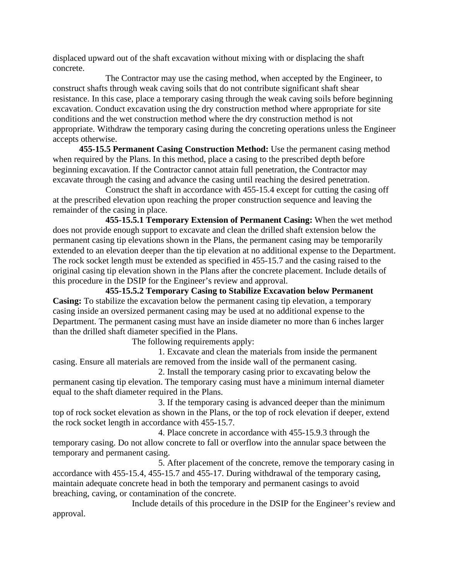displaced upward out of the shaft excavation without mixing with or displacing the shaft concrete.

The Contractor may use the casing method, when accepted by the Engineer, to construct shafts through weak caving soils that do not contribute significant shaft shear resistance. In this case, place a temporary casing through the weak caving soils before beginning excavation. Conduct excavation using the dry construction method where appropriate for site conditions and the wet construction method where the dry construction method is not appropriate. Withdraw the temporary casing during the concreting operations unless the Engineer accepts otherwise.

**455-15.5 Permanent Casing Construction Method:** Use the permanent casing method when required by the Plans. In this method, place a casing to the prescribed depth before beginning excavation. If the Contractor cannot attain full penetration, the Contractor may excavate through the casing and advance the casing until reaching the desired penetration.

Construct the shaft in accordance with 455-15.4 except for cutting the casing off at the prescribed elevation upon reaching the proper construction sequence and leaving the remainder of the casing in place.

**455-15.5.1 Temporary Extension of Permanent Casing:** When the wet method does not provide enough support to excavate and clean the drilled shaft extension below the permanent casing tip elevations shown in the Plans, the permanent casing may be temporarily extended to an elevation deeper than the tip elevation at no additional expense to the Department. The rock socket length must be extended as specified in 455-15.7 and the casing raised to the original casing tip elevation shown in the Plans after the concrete placement. Include details of this procedure in the DSIP for the Engineer's review and approval.

**455-15.5.2 Temporary Casing to Stabilize Excavation below Permanent Casing:** To stabilize the excavation below the permanent casing tip elevation, a temporary casing inside an oversized permanent casing may be used at no additional expense to the Department. The permanent casing must have an inside diameter no more than 6 inches larger than the drilled shaft diameter specified in the Plans.

The following requirements apply:

1. Excavate and clean the materials from inside the permanent casing. Ensure all materials are removed from the inside wall of the permanent casing.

2. Install the temporary casing prior to excavating below the permanent casing tip elevation. The temporary casing must have a minimum internal diameter equal to the shaft diameter required in the Plans.

3. If the temporary casing is advanced deeper than the minimum top of rock socket elevation as shown in the Plans, or the top of rock elevation if deeper, extend the rock socket length in accordance with 455-15.7.

4. Place concrete in accordance with 455-15.9.3 through the temporary casing. Do not allow concrete to fall or overflow into the annular space between the temporary and permanent casing.

5. After placement of the concrete, remove the temporary casing in accordance with 455-15.4, 455-15.7 and 455-17. During withdrawal of the temporary casing, maintain adequate concrete head in both the temporary and permanent casings to avoid breaching, caving, or contamination of the concrete.

Include details of this procedure in the DSIP for the Engineer's review and approval.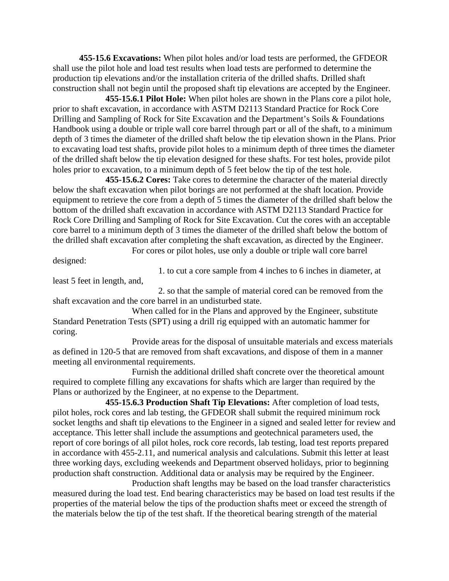**455-15.6 Excavations:** When pilot holes and/or load tests are performed, the GFDEOR shall use the pilot hole and load test results when load tests are performed to determine the production tip elevations and/or the installation criteria of the drilled shafts. Drilled shaft construction shall not begin until the proposed shaft tip elevations are accepted by the Engineer.

**455-15.6.1 Pilot Hole:** When pilot holes are shown in the Plans core a pilot hole, prior to shaft excavation, in accordance with ASTM D2113 Standard Practice for Rock Core Drilling and Sampling of Rock for Site Excavation and the Department's Soils & Foundations Handbook using a double or triple wall core barrel through part or all of the shaft, to a minimum depth of 3 times the diameter of the drilled shaft below the tip elevation shown in the Plans. Prior to excavating load test shafts, provide pilot holes to a minimum depth of three times the diameter of the drilled shaft below the tip elevation designed for these shafts. For test holes, provide pilot holes prior to excavation, to a minimum depth of 5 feet below the tip of the test hole.

**455-15.6.2 Cores:** Take cores to determine the character of the material directly below the shaft excavation when pilot borings are not performed at the shaft location. Provide equipment to retrieve the core from a depth of 5 times the diameter of the drilled shaft below the bottom of the drilled shaft excavation in accordance with ASTM D2113 Standard Practice for Rock Core Drilling and Sampling of Rock for Site Excavation. Cut the cores with an acceptable core barrel to a minimum depth of 3 times the diameter of the drilled shaft below the bottom of the drilled shaft excavation after completing the shaft excavation, as directed by the Engineer. For cores or pilot holes, use only a double or triple wall core barrel

designed:

1. to cut a core sample from 4 inches to 6 inches in diameter, at least 5 feet in length, and,

2. so that the sample of material cored can be removed from the shaft excavation and the core barrel in an undisturbed state.

When called for in the Plans and approved by the Engineer, substitute Standard Penetration Tests (SPT) using a drill rig equipped with an automatic hammer for coring.

Provide areas for the disposal of unsuitable materials and excess materials as defined in 120-5 that are removed from shaft excavations, and dispose of them in a manner meeting all environmental requirements.

Furnish the additional drilled shaft concrete over the theoretical amount required to complete filling any excavations for shafts which are larger than required by the Plans or authorized by the Engineer, at no expense to the Department.

**455-15.6.3 Production Shaft Tip Elevations:** After completion of load tests, pilot holes, rock cores and lab testing, the GFDEOR shall submit the required minimum rock socket lengths and shaft tip elevations to the Engineer in a signed and sealed letter for review and acceptance. This letter shall include the assumptions and geotechnical parameters used, the report of core borings of all pilot holes, rock core records, lab testing, load test reports prepared in accordance with 455-2.11, and numerical analysis and calculations. Submit this letter at least three working days, excluding weekends and Department observed holidays, prior to beginning production shaft construction. Additional data or analysis may be required by the Engineer.

Production shaft lengths may be based on the load transfer characteristics measured during the load test. End bearing characteristics may be based on load test results if the properties of the material below the tips of the production shafts meet or exceed the strength of the materials below the tip of the test shaft. If the theoretical bearing strength of the material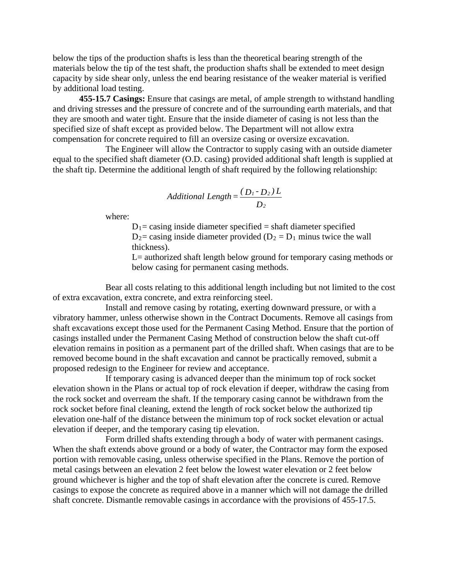below the tips of the production shafts is less than the theoretical bearing strength of the materials below the tip of the test shaft, the production shafts shall be extended to meet design capacity by side shear only, unless the end bearing resistance of the weaker material is verified by additional load testing.

**455-15.7 Casings:** Ensure that casings are metal, of ample strength to withstand handling and driving stresses and the pressure of concrete and of the surrounding earth materials, and that they are smooth and water tight. Ensure that the inside diameter of casing is not less than the specified size of shaft except as provided below. The Department will not allow extra compensation for concrete required to fill an oversize casing or oversize excavation.

The Engineer will allow the Contractor to supply casing with an outside diameter equal to the specified shaft diameter (O.D. casing) provided additional shaft length is supplied at the shaft tip. Determine the additional length of shaft required by the following relationship:

Additional Length = 
$$
\frac{(D_1 - D_2)L}{D_2}
$$

where:

 $D_1$  = casing inside diameter specified = shaft diameter specified  $D_2$  = casing inside diameter provided ( $D_2 = D_1$  minus twice the wall thickness).

L= authorized shaft length below ground for temporary casing methods or below casing for permanent casing methods.

Bear all costs relating to this additional length including but not limited to the cost of extra excavation, extra concrete, and extra reinforcing steel.

Install and remove casing by rotating, exerting downward pressure, or with a vibratory hammer, unless otherwise shown in the Contract Documents. Remove all casings from shaft excavations except those used for the Permanent Casing Method. Ensure that the portion of casings installed under the Permanent Casing Method of construction below the shaft cut-off elevation remains in position as a permanent part of the drilled shaft. When casings that are to be removed become bound in the shaft excavation and cannot be practically removed, submit a proposed redesign to the Engineer for review and acceptance.

If temporary casing is advanced deeper than the minimum top of rock socket elevation shown in the Plans or actual top of rock elevation if deeper, withdraw the casing from the rock socket and overream the shaft. If the temporary casing cannot be withdrawn from the rock socket before final cleaning, extend the length of rock socket below the authorized tip elevation one-half of the distance between the minimum top of rock socket elevation or actual elevation if deeper, and the temporary casing tip elevation.

Form drilled shafts extending through a body of water with permanent casings. When the shaft extends above ground or a body of water, the Contractor may form the exposed portion with removable casing, unless otherwise specified in the Plans. Remove the portion of metal casings between an elevation 2 feet below the lowest water elevation or 2 feet below ground whichever is higher and the top of shaft elevation after the concrete is cured. Remove casings to expose the concrete as required above in a manner which will not damage the drilled shaft concrete. Dismantle removable casings in accordance with the provisions of 455-17.5.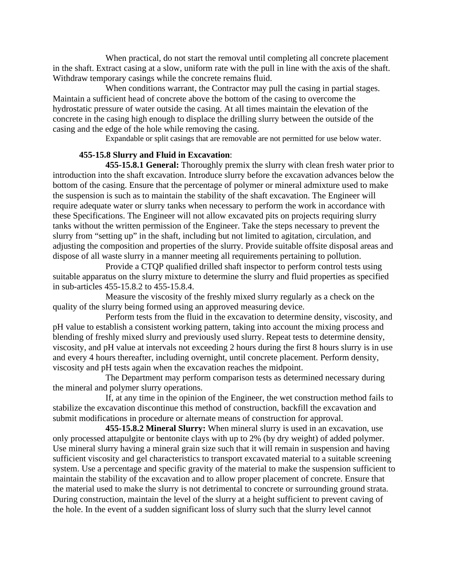When practical, do not start the removal until completing all concrete placement in the shaft. Extract casing at a slow, uniform rate with the pull in line with the axis of the shaft. Withdraw temporary casings while the concrete remains fluid.

When conditions warrant, the Contractor may pull the casing in partial stages. Maintain a sufficient head of concrete above the bottom of the casing to overcome the hydrostatic pressure of water outside the casing. At all times maintain the elevation of the concrete in the casing high enough to displace the drilling slurry between the outside of the casing and the edge of the hole while removing the casing.

Expandable or split casings that are removable are not permitted for use below water.

# **455-15.8 Slurry and Fluid in Excavation**:

**455-15.8.1 General:** Thoroughly premix the slurry with clean fresh water prior to introduction into the shaft excavation. Introduce slurry before the excavation advances below the bottom of the casing. Ensure that the percentage of polymer or mineral admixture used to make the suspension is such as to maintain the stability of the shaft excavation. The Engineer will require adequate water or slurry tanks when necessary to perform the work in accordance with these Specifications. The Engineer will not allow excavated pits on projects requiring slurry tanks without the written permission of the Engineer. Take the steps necessary to prevent the slurry from "setting up" in the shaft, including but not limited to agitation, circulation, and adjusting the composition and properties of the slurry. Provide suitable offsite disposal areas and dispose of all waste slurry in a manner meeting all requirements pertaining to pollution.

Provide a CTQP qualified drilled shaft inspector to perform control tests using suitable apparatus on the slurry mixture to determine the slurry and fluid properties as specified in sub-articles 455-15.8.2 to 455-15.8.4.

Measure the viscosity of the freshly mixed slurry regularly as a check on the quality of the slurry being formed using an approved measuring device.

Perform tests from the fluid in the excavation to determine density, viscosity, and pH value to establish a consistent working pattern, taking into account the mixing process and blending of freshly mixed slurry and previously used slurry. Repeat tests to determine density, viscosity, and pH value at intervals not exceeding 2 hours during the first 8 hours slurry is in use and every 4 hours thereafter, including overnight, until concrete placement. Perform density, viscosity and pH tests again when the excavation reaches the midpoint.

The Department may perform comparison tests as determined necessary during the mineral and polymer slurry operations.

If, at any time in the opinion of the Engineer, the wet construction method fails to stabilize the excavation discontinue this method of construction, backfill the excavation and submit modifications in procedure or alternate means of construction for approval.

**455-15.8.2 Mineral Slurry:** When mineral slurry is used in an excavation, use only processed attapulgite or bentonite clays with up to 2% (by dry weight) of added polymer. Use mineral slurry having a mineral grain size such that it will remain in suspension and having sufficient viscosity and gel characteristics to transport excavated material to a suitable screening system. Use a percentage and specific gravity of the material to make the suspension sufficient to maintain the stability of the excavation and to allow proper placement of concrete. Ensure that the material used to make the slurry is not detrimental to concrete or surrounding ground strata. During construction, maintain the level of the slurry at a height sufficient to prevent caving of the hole. In the event of a sudden significant loss of slurry such that the slurry level cannot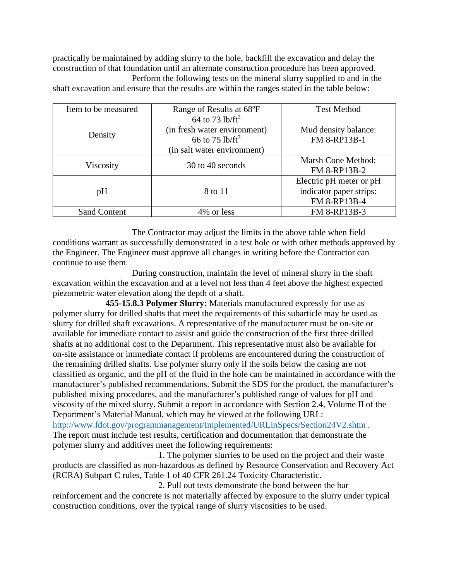practically be maintained by adding slurry to the hole, backfill the excavation and delay the construction of that foundation until an alternate construction procedure has been approved. Perform the following tests on the mineral slurry supplied to and in the

shaft excavation and ensure that the results are within the ranges stated in the table below:

| Item to be measured | Range of Results at 68°F                                                                                                             | <b>Test Method</b>                                                 |
|---------------------|--------------------------------------------------------------------------------------------------------------------------------------|--------------------------------------------------------------------|
| Density             | $\frac{}{64}$ to 73 lb/ft <sup>3</sup><br>(in fresh water environment)<br>66 to 75 lb/ft <sup>3</sup><br>(in salt water environment) | Mud density balance:<br>FM 8-RP13B-1                               |
| Viscosity           | 30 to 40 seconds                                                                                                                     | Marsh Cone Method:<br>FM 8-RP13B-2                                 |
| pH                  | 8 to 11                                                                                                                              | Electric pH meter or pH<br>indicator paper strips:<br>FM 8-RP13B-4 |
| <b>Sand Content</b> | 4\% or less                                                                                                                          | FM 8-RP13B-3                                                       |

The Contractor may adjust the limits in the above table when field conditions warrant as successfully demonstrated in a test hole or with other methods approved by the Engineer. The Engineer must approve all changes in writing before the Contractor can continue to use them.

During construction, maintain the level of mineral slurry in the shaft excavation within the excavation and at a level not less than 4 feet above the highest expected piezometric water elevation along the depth of a shaft.

**455-15.8.3 Polymer Slurry:** Materials manufactured expressly for use as polymer slurry for drilled shafts that meet the requirements of this subarticle may be used as slurry for drilled shaft excavations. A representative of the manufacturer must be on-site or available for immediate contact to assist and guide the construction of the first three drilled shafts at no additional cost to the Department. This representative must also be available for on-site assistance or immediate contact if problems are encountered during the construction of the remaining drilled shafts. Use polymer slurry only if the soils below the casing are not classified as organic, and the pH of the fluid in the hole can be maintained in accordance with the manufacturer's published recommendations. Submit the SDS for the product, the manufacturer's published mixing procedures, and the manufacturer's published range of values for pH and viscosity of the mixed slurry. Submit a report in accordance with Section 2.4, Volume II of the Department's Material Manual, which may be viewed at the following URL: <http://www.fdot.gov/programmanagement/Implemented/URLinSpecs/Section24V2.shtm> . The report must include test results, certification and documentation that demonstrate the polymer slurry and additives meet the following requirements:

1. The polymer slurries to be used on the project and their waste products are classified as non-hazardous as defined by Resource Conservation and Recovery Act (RCRA) Subpart C rules, Table 1 of 40 CFR 261.24 Toxicity Characteristic.

2. Pull out tests demonstrate the bond between the bar reinforcement and the concrete is not materially affected by exposure to the slurry under typical construction conditions, over the typical range of slurry viscosities to be used.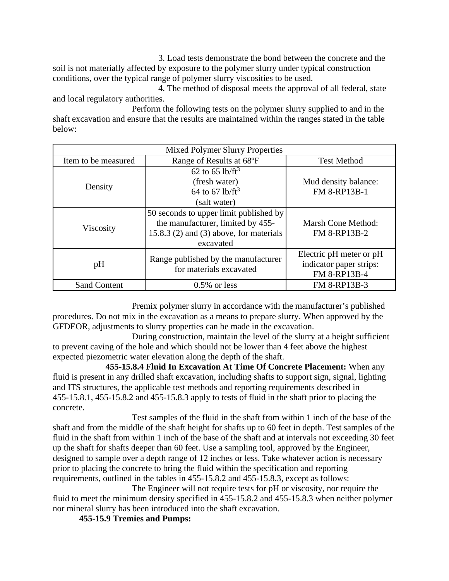3. Load tests demonstrate the bond between the concrete and the soil is not materially affected by exposure to the polymer slurry under typical construction conditions, over the typical range of polymer slurry viscosities to be used.

4. The method of disposal meets the approval of all federal, state and local regulatory authorities.

Perform the following tests on the polymer slurry supplied to and in the shaft excavation and ensure that the results are maintained within the ranges stated in the table below:

| <b>Mixed Polymer Slurry Properties</b> |                                                                                                                                         |                                                                    |  |
|----------------------------------------|-----------------------------------------------------------------------------------------------------------------------------------------|--------------------------------------------------------------------|--|
| Item to be measured                    | Range of Results at 68°F                                                                                                                | <b>Test Method</b>                                                 |  |
| Density                                | 62 to 65 lb/ $ft^3$<br>(fresh water)<br>64 to 67 lb/ft <sup>3</sup><br>(salt water)                                                     | Mud density balance:<br>FM 8-RP13B-1                               |  |
| Viscosity                              | 50 seconds to upper limit published by<br>the manufacturer, limited by 455-<br>15.8.3 $(2)$ and $(3)$ above, for materials<br>excavated | Marsh Cone Method:<br><b>FM 8-RP13B-2</b>                          |  |
| pH                                     | Range published by the manufacturer<br>for materials excavated                                                                          | Electric pH meter or pH<br>indicator paper strips:<br>FM 8-RP13B-4 |  |
| <b>Sand Content</b>                    | $0.5\%$ or less                                                                                                                         | FM 8-RP13B-3                                                       |  |

Premix polymer slurry in accordance with the manufacturer's published procedures. Do not mix in the excavation as a means to prepare slurry. When approved by the GFDEOR, adjustments to slurry properties can be made in the excavation.

During construction, maintain the level of the slurry at a height sufficient to prevent caving of the hole and which should not be lower than 4 feet above the highest expected piezometric water elevation along the depth of the shaft.

**455-15.8.4 Fluid In Excavation At Time Of Concrete Placement:** When any fluid is present in any drilled shaft excavation, including shafts to support sign, signal, lighting and ITS structures, the applicable test methods and reporting requirements described in 455-15.8.1, 455-15.8.2 and 455-15.8.3 apply to tests of fluid in the shaft prior to placing the concrete.

Test samples of the fluid in the shaft from within 1 inch of the base of the shaft and from the middle of the shaft height for shafts up to 60 feet in depth. Test samples of the fluid in the shaft from within 1 inch of the base of the shaft and at intervals not exceeding 30 feet up the shaft for shafts deeper than 60 feet. Use a sampling tool, approved by the Engineer, designed to sample over a depth range of 12 inches or less. Take whatever action is necessary prior to placing the concrete to bring the fluid within the specification and reporting requirements, outlined in the tables in 455-15.8.2 and 455-15.8.3, except as follows:

The Engineer will not require tests for pH or viscosity, nor require the fluid to meet the minimum density specified in 455-15.8.2 and 455-15.8.3 when neither polymer nor mineral slurry has been introduced into the shaft excavation.

**455-15.9 Tremies and Pumps:**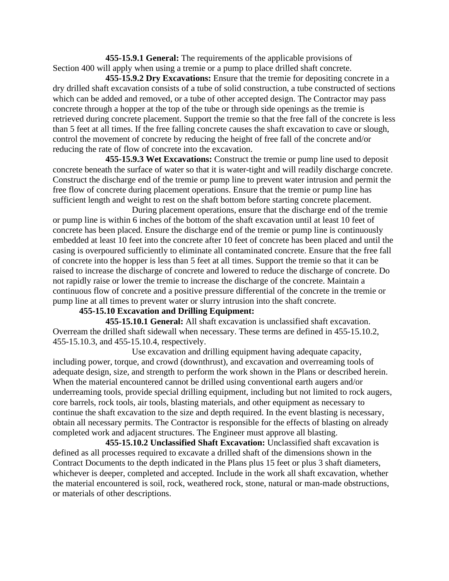**455-15.9.1 General:** The requirements of the applicable provisions of Section 400 will apply when using a tremie or a pump to place drilled shaft concrete.

**455-15.9.2 Dry Excavations:** Ensure that the tremie for depositing concrete in a dry drilled shaft excavation consists of a tube of solid construction, a tube constructed of sections which can be added and removed, or a tube of other accepted design. The Contractor may pass concrete through a hopper at the top of the tube or through side openings as the tremie is retrieved during concrete placement. Support the tremie so that the free fall of the concrete is less than 5 feet at all times. If the free falling concrete causes the shaft excavation to cave or slough, control the movement of concrete by reducing the height of free fall of the concrete and/or reducing the rate of flow of concrete into the excavation.

**455-15.9.3 Wet Excavations:** Construct the tremie or pump line used to deposit concrete beneath the surface of water so that it is water-tight and will readily discharge concrete. Construct the discharge end of the tremie or pump line to prevent water intrusion and permit the free flow of concrete during placement operations. Ensure that the tremie or pump line has sufficient length and weight to rest on the shaft bottom before starting concrete placement.

During placement operations, ensure that the discharge end of the tremie or pump line is within 6 inches of the bottom of the shaft excavation until at least 10 feet of concrete has been placed. Ensure the discharge end of the tremie or pump line is continuously embedded at least 10 feet into the concrete after 10 feet of concrete has been placed and until the casing is overpoured sufficiently to eliminate all contaminated concrete. Ensure that the free fall of concrete into the hopper is less than 5 feet at all times. Support the tremie so that it can be raised to increase the discharge of concrete and lowered to reduce the discharge of concrete. Do not rapidly raise or lower the tremie to increase the discharge of the concrete. Maintain a continuous flow of concrete and a positive pressure differential of the concrete in the tremie or pump line at all times to prevent water or slurry intrusion into the shaft concrete.

# **455-15.10 Excavation and Drilling Equipment:**

**455-15.10.1 General:** All shaft excavation is unclassified shaft excavation. Overream the drilled shaft sidewall when necessary. These terms are defined in 455-15.10.2, 455-15.10.3, and 455-15.10.4, respectively.

Use excavation and drilling equipment having adequate capacity, including power, torque, and crowd (downthrust), and excavation and overreaming tools of adequate design, size, and strength to perform the work shown in the Plans or described herein. When the material encountered cannot be drilled using conventional earth augers and/or underreaming tools, provide special drilling equipment, including but not limited to rock augers, core barrels, rock tools, air tools, blasting materials, and other equipment as necessary to continue the shaft excavation to the size and depth required. In the event blasting is necessary, obtain all necessary permits. The Contractor is responsible for the effects of blasting on already completed work and adjacent structures. The Engineer must approve all blasting.

**455-15.10.2 Unclassified Shaft Excavation:** Unclassified shaft excavation is defined as all processes required to excavate a drilled shaft of the dimensions shown in the Contract Documents to the depth indicated in the Plans plus 15 feet or plus 3 shaft diameters, whichever is deeper, completed and accepted. Include in the work all shaft excavation, whether the material encountered is soil, rock, weathered rock, stone, natural or man-made obstructions, or materials of other descriptions.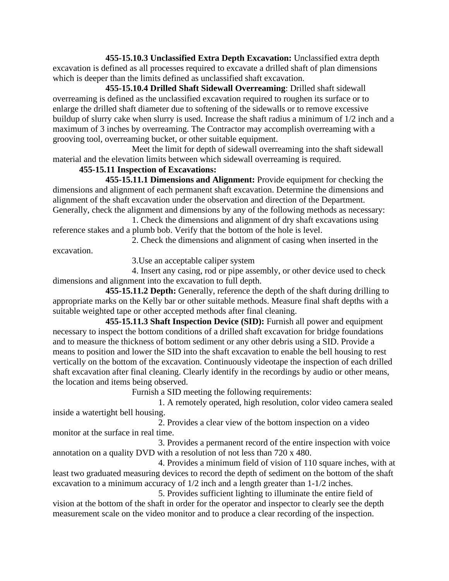**455-15.10.3 Unclassified Extra Depth Excavation:** Unclassified extra depth excavation is defined as all processes required to excavate a drilled shaft of plan dimensions which is deeper than the limits defined as unclassified shaft excavation.

**455-15.10.4 Drilled Shaft Sidewall Overreaming**: Drilled shaft sidewall overreaming is defined as the unclassified excavation required to roughen its surface or to enlarge the drilled shaft diameter due to softening of the sidewalls or to remove excessive buildup of slurry cake when slurry is used. Increase the shaft radius a minimum of 1/2 inch and a maximum of 3 inches by overreaming. The Contractor may accomplish overreaming with a grooving tool, overreaming bucket, or other suitable equipment.

Meet the limit for depth of sidewall overreaming into the shaft sidewall material and the elevation limits between which sidewall overreaming is required.

# **455-15.11 Inspection of Excavations:**

**455-15.11.1 Dimensions and Alignment:** Provide equipment for checking the dimensions and alignment of each permanent shaft excavation. Determine the dimensions and alignment of the shaft excavation under the observation and direction of the Department. Generally, check the alignment and dimensions by any of the following methods as necessary:

1. Check the dimensions and alignment of dry shaft excavations using reference stakes and a plumb bob. Verify that the bottom of the hole is level.

2. Check the dimensions and alignment of casing when inserted in the

excavation.

3.Use an acceptable caliper system

4. Insert any casing, rod or pipe assembly, or other device used to check dimensions and alignment into the excavation to full depth.

**455-15.11.2 Depth:** Generally, reference the depth of the shaft during drilling to appropriate marks on the Kelly bar or other suitable methods. Measure final shaft depths with a suitable weighted tape or other accepted methods after final cleaning.

**455-15.11.3 Shaft Inspection Device (SID):** Furnish all power and equipment necessary to inspect the bottom conditions of a drilled shaft excavation for bridge foundations and to measure the thickness of bottom sediment or any other debris using a SID. Provide a means to position and lower the SID into the shaft excavation to enable the bell housing to rest vertically on the bottom of the excavation. Continuously videotape the inspection of each drilled shaft excavation after final cleaning. Clearly identify in the recordings by audio or other means, the location and items being observed.

Furnish a SID meeting the following requirements:

1. A remotely operated, high resolution, color video camera sealed inside a watertight bell housing.

2. Provides a clear view of the bottom inspection on a video monitor at the surface in real time.

3. Provides a permanent record of the entire inspection with voice annotation on a quality DVD with a resolution of not less than 720 x 480.

4. Provides a minimum field of vision of 110 square inches, with at least two graduated measuring devices to record the depth of sediment on the bottom of the shaft excavation to a minimum accuracy of 1/2 inch and a length greater than 1-1/2 inches.

5. Provides sufficient lighting to illuminate the entire field of vision at the bottom of the shaft in order for the operator and inspector to clearly see the depth measurement scale on the video monitor and to produce a clear recording of the inspection.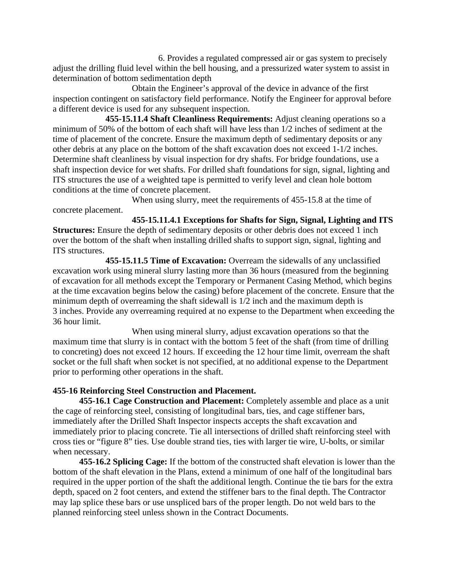6. Provides a regulated compressed air or gas system to precisely adjust the drilling fluid level within the bell housing, and a pressurized water system to assist in determination of bottom sedimentation depth

Obtain the Engineer's approval of the device in advance of the first inspection contingent on satisfactory field performance. Notify the Engineer for approval before a different device is used for any subsequent inspection.

**455-15.11.4 Shaft Cleanliness Requirements:** Adjust cleaning operations so a minimum of 50% of the bottom of each shaft will have less than 1/2 inches of sediment at the time of placement of the concrete. Ensure the maximum depth of sedimentary deposits or any other debris at any place on the bottom of the shaft excavation does not exceed 1-1/2 inches. Determine shaft cleanliness by visual inspection for dry shafts. For bridge foundations, use a shaft inspection device for wet shafts. For drilled shaft foundations for sign, signal, lighting and ITS structures the use of a weighted tape is permitted to verify level and clean hole bottom conditions at the time of concrete placement.

When using slurry, meet the requirements of 455-15.8 at the time of concrete placement.

**455-15.11.4.1 Exceptions for Shafts for Sign, Signal, Lighting and ITS Structures:** Ensure the depth of sedimentary deposits or other debris does not exceed 1 inch over the bottom of the shaft when installing drilled shafts to support sign, signal, lighting and ITS structures.

**455-15.11.5 Time of Excavation:** Overream the sidewalls of any unclassified excavation work using mineral slurry lasting more than 36 hours (measured from the beginning of excavation for all methods except the Temporary or Permanent Casing Method, which begins at the time excavation begins below the casing) before placement of the concrete. Ensure that the minimum depth of overreaming the shaft sidewall is 1/2 inch and the maximum depth is 3 inches. Provide any overreaming required at no expense to the Department when exceeding the 36 hour limit.

When using mineral slurry, adjust excavation operations so that the maximum time that slurry is in contact with the bottom 5 feet of the shaft (from time of drilling to concreting) does not exceed 12 hours. If exceeding the 12 hour time limit, overream the shaft socket or the full shaft when socket is not specified, at no additional expense to the Department prior to performing other operations in the shaft.

# **455-16 Reinforcing Steel Construction and Placement.**

**455-16.1 Cage Construction and Placement:** Completely assemble and place as a unit the cage of reinforcing steel, consisting of longitudinal bars, ties, and cage stiffener bars, immediately after the Drilled Shaft Inspector inspects accepts the shaft excavation and immediately prior to placing concrete. Tie all intersections of drilled shaft reinforcing steel with cross ties or "figure 8" ties. Use double strand ties, ties with larger tie wire, U-bolts, or similar when necessary.

**455-16.2 Splicing Cage:** If the bottom of the constructed shaft elevation is lower than the bottom of the shaft elevation in the Plans, extend a minimum of one half of the longitudinal bars required in the upper portion of the shaft the additional length. Continue the tie bars for the extra depth, spaced on 2 foot centers, and extend the stiffener bars to the final depth. The Contractor may lap splice these bars or use unspliced bars of the proper length. Do not weld bars to the planned reinforcing steel unless shown in the Contract Documents.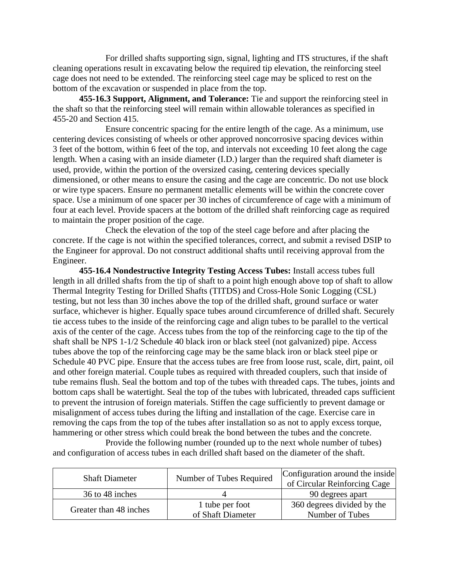For drilled shafts supporting sign, signal, lighting and ITS structures, if the shaft cleaning operations result in excavating below the required tip elevation, the reinforcing steel cage does not need to be extended. The reinforcing steel cage may be spliced to rest on the bottom of the excavation or suspended in place from the top.

**455-16.3 Support, Alignment, and Tolerance:** Tie and support the reinforcing steel in the shaft so that the reinforcing steel will remain within allowable tolerances as specified in 455-20 and Section 415.

Ensure concentric spacing for the entire length of the cage. As a minimum, use centering devices consisting of wheels or other approved noncorrosive spacing devices within 3 feet of the bottom, within 6 feet of the top, and intervals not exceeding 10 feet along the cage length. When a casing with an inside diameter (I.D.) larger than the required shaft diameter is used, provide, within the portion of the oversized casing, centering devices specially dimensioned, or other means to ensure the casing and the cage are concentric. Do not use block or wire type spacers. Ensure no permanent metallic elements will be within the concrete cover space. Use a minimum of one spacer per 30 inches of circumference of cage with a minimum of four at each level. Provide spacers at the bottom of the drilled shaft reinforcing cage as required to maintain the proper position of the cage.

Check the elevation of the top of the steel cage before and after placing the concrete. If the cage is not within the specified tolerances, correct, and submit a revised DSIP to the Engineer for approval. Do not construct additional shafts until receiving approval from the Engineer.

**455-16.4 Nondestructive Integrity Testing Access Tubes:** Install access tubes full length in all drilled shafts from the tip of shaft to a point high enough above top of shaft to allow Thermal Integrity Testing for Drilled Shafts (TITDS) and Cross-Hole Sonic Logging (CSL) testing, but not less than 30 inches above the top of the drilled shaft, ground surface or water surface, whichever is higher. Equally space tubes around circumference of drilled shaft. Securely tie access tubes to the inside of the reinforcing cage and align tubes to be parallel to the vertical axis of the center of the cage. Access tubes from the top of the reinforcing cage to the tip of the shaft shall be NPS 1-1/2 Schedule 40 black iron or black steel (not galvanized) pipe. Access tubes above the top of the reinforcing cage may be the same black iron or black steel pipe or Schedule 40 PVC pipe. Ensure that the access tubes are free from loose rust, scale, dirt, paint, oil and other foreign material. Couple tubes as required with threaded couplers, such that inside of tube remains flush. Seal the bottom and top of the tubes with threaded caps. The tubes, joints and bottom caps shall be watertight. Seal the top of the tubes with lubricated, threaded caps sufficient to prevent the intrusion of foreign materials. Stiffen the cage sufficiently to prevent damage or misalignment of access tubes during the lifting and installation of the cage. Exercise care in removing the caps from the top of the tubes after installation so as not to apply excess torque, hammering or other stress which could break the bond between the tubes and the concrete.

Provide the following number (rounded up to the next whole number of tubes) and configuration of access tubes in each drilled shaft based on the diameter of the shaft.

| <b>Shaft Diameter</b>  | Number of Tubes Required | Configuration around the inside<br>of Circular Reinforcing Cage |
|------------------------|--------------------------|-----------------------------------------------------------------|
| 36 to 48 inches        |                          | 90 degrees apart                                                |
| Greater than 48 inches | 1 tube per foot          | 360 degrees divided by the                                      |
|                        | of Shaft Diameter        | Number of Tubes                                                 |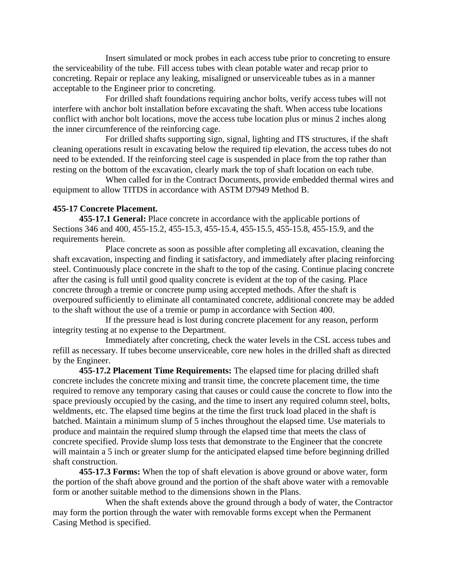Insert simulated or mock probes in each access tube prior to concreting to ensure the serviceability of the tube. Fill access tubes with clean potable water and recap prior to concreting. Repair or replace any leaking, misaligned or unserviceable tubes as in a manner acceptable to the Engineer prior to concreting.

For drilled shaft foundations requiring anchor bolts, verify access tubes will not interfere with anchor bolt installation before excavating the shaft. When access tube locations conflict with anchor bolt locations, move the access tube location plus or minus 2 inches along the inner circumference of the reinforcing cage.

For drilled shafts supporting sign, signal, lighting and ITS structures, if the shaft cleaning operations result in excavating below the required tip elevation, the access tubes do not need to be extended. If the reinforcing steel cage is suspended in place from the top rather than resting on the bottom of the excavation, clearly mark the top of shaft location on each tube.

When called for in the Contract Documents, provide embedded thermal wires and equipment to allow TITDS in accordance with ASTM D7949 Method B.

# **455-17 Concrete Placement.**

**455-17.1 General:** Place concrete in accordance with the applicable portions of Sections 346 and 400, 455-15.2, 455-15.3, 455-15.4, 455-15.5, 455-15.8, 455-15.9, and the requirements herein.

Place concrete as soon as possible after completing all excavation, cleaning the shaft excavation, inspecting and finding it satisfactory, and immediately after placing reinforcing steel. Continuously place concrete in the shaft to the top of the casing. Continue placing concrete after the casing is full until good quality concrete is evident at the top of the casing. Place concrete through a tremie or concrete pump using accepted methods. After the shaft is overpoured sufficiently to eliminate all contaminated concrete, additional concrete may be added to the shaft without the use of a tremie or pump in accordance with Section 400.

If the pressure head is lost during concrete placement for any reason, perform integrity testing at no expense to the Department.

Immediately after concreting, check the water levels in the CSL access tubes and refill as necessary. If tubes become unserviceable, core new holes in the drilled shaft as directed by the Engineer.

**455-17.2 Placement Time Requirements:** The elapsed time for placing drilled shaft concrete includes the concrete mixing and transit time, the concrete placement time, the time required to remove any temporary casing that causes or could cause the concrete to flow into the space previously occupied by the casing, and the time to insert any required column steel, bolts, weldments, etc. The elapsed time begins at the time the first truck load placed in the shaft is batched. Maintain a minimum slump of 5 inches throughout the elapsed time. Use materials to produce and maintain the required slump through the elapsed time that meets the class of concrete specified. Provide slump loss tests that demonstrate to the Engineer that the concrete will maintain a 5 inch or greater slump for the anticipated elapsed time before beginning drilled shaft construction.

**455-17.3 Forms:** When the top of shaft elevation is above ground or above water, form the portion of the shaft above ground and the portion of the shaft above water with a removable form or another suitable method to the dimensions shown in the Plans.

When the shaft extends above the ground through a body of water, the Contractor may form the portion through the water with removable forms except when the Permanent Casing Method is specified.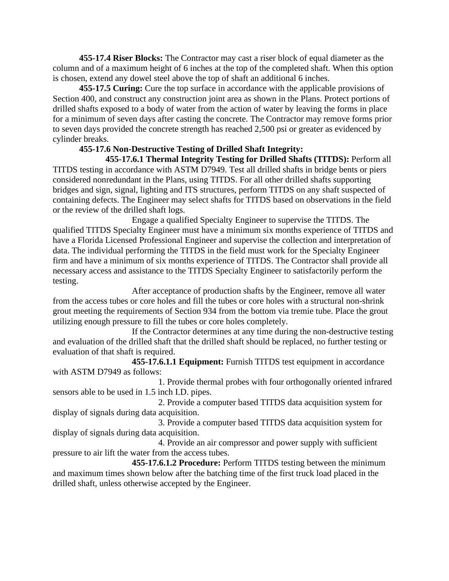**455-17.4 Riser Blocks:** The Contractor may cast a riser block of equal diameter as the column and of a maximum height of 6 inches at the top of the completed shaft. When this option is chosen, extend any dowel steel above the top of shaft an additional 6 inches.

**455-17.5 Curing:** Cure the top surface in accordance with the applicable provisions of Section 400, and construct any construction joint area as shown in the Plans. Protect portions of drilled shafts exposed to a body of water from the action of water by leaving the forms in place for a minimum of seven days after casting the concrete. The Contractor may remove forms prior to seven days provided the concrete strength has reached 2,500 psi or greater as evidenced by cylinder breaks.

# **455-17.6 Non-Destructive Testing of Drilled Shaft Integrity:**

**455-17.6.1 Thermal Integrity Testing for Drilled Shafts (TITDS):** Perform all TITDS testing in accordance with ASTM D7949. Test all drilled shafts in bridge bents or piers considered nonredundant in the Plans, using TITDS. For all other drilled shafts supporting bridges and sign, signal, lighting and ITS structures, perform TITDS on any shaft suspected of containing defects. The Engineer may select shafts for TITDS based on observations in the field or the review of the drilled shaft logs.

Engage a qualified Specialty Engineer to supervise the TITDS. The qualified TITDS Specialty Engineer must have a minimum six months experience of TITDS and have a Florida Licensed Professional Engineer and supervise the collection and interpretation of data. The individual performing the TITDS in the field must work for the Specialty Engineer firm and have a minimum of six months experience of TITDS. The Contractor shall provide all necessary access and assistance to the TITDS Specialty Engineer to satisfactorily perform the testing.

After acceptance of production shafts by the Engineer, remove all water from the access tubes or core holes and fill the tubes or core holes with a structural non-shrink grout meeting the requirements of Section 934 from the bottom via tremie tube. Place the grout utilizing enough pressure to fill the tubes or core holes completely.

If the Contractor determines at any time during the non-destructive testing and evaluation of the drilled shaft that the drilled shaft should be replaced, no further testing or evaluation of that shaft is required.

**455-17.6.1.1 Equipment:** Furnish TITDS test equipment in accordance with ASTM D7949 as follows:

1. Provide thermal probes with four orthogonally oriented infrared sensors able to be used in 1.5 inch I.D. pipes.

2. Provide a computer based TITDS data acquisition system for display of signals during data acquisition.

3. Provide a computer based TITDS data acquisition system for display of signals during data acquisition.

4. Provide an air compressor and power supply with sufficient pressure to air lift the water from the access tubes.

**455-17.6.1.2 Procedure:** Perform TITDS testing between the minimum and maximum times shown below after the batching time of the first truck load placed in the drilled shaft, unless otherwise accepted by the Engineer.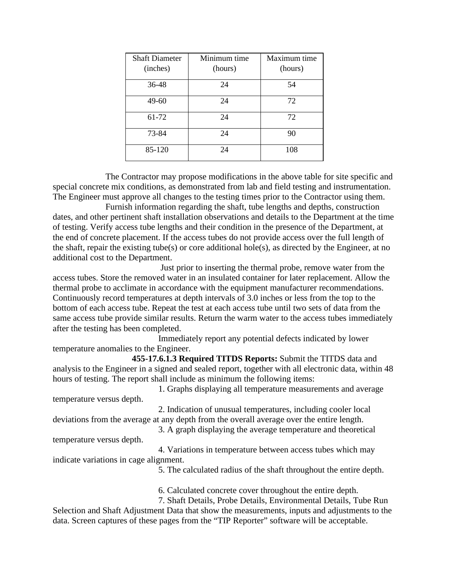| <b>Shaft Diameter</b><br>(inches) | Minimum time<br>(hours) | Maximum time<br>(hours) |
|-----------------------------------|-------------------------|-------------------------|
| 36-48                             | 24                      | 54                      |
| 49-60                             | 24                      | 72                      |
| 61-72                             | 24                      | 72                      |
| 73-84                             | 24                      | 90                      |
| 85-120                            | 24                      | 108                     |

The Contractor may propose modifications in the above table for site specific and special concrete mix conditions, as demonstrated from lab and field testing and instrumentation. The Engineer must approve all changes to the testing times prior to the Contractor using them.

Furnish information regarding the shaft, tube lengths and depths, construction dates, and other pertinent shaft installation observations and details to the Department at the time of testing. Verify access tube lengths and their condition in the presence of the Department, at the end of concrete placement. If the access tubes do not provide access over the full length of the shaft, repair the existing tube(s) or core additional hole(s), as directed by the Engineer, at no additional cost to the Department.

Just prior to inserting the thermal probe, remove water from the access tubes. Store the removed water in an insulated container for later replacement. Allow the thermal probe to acclimate in accordance with the equipment manufacturer recommendations. Continuously record temperatures at depth intervals of 3.0 inches or less from the top to the bottom of each access tube. Repeat the test at each access tube until two sets of data from the same access tube provide similar results. Return the warm water to the access tubes immediately after the testing has been completed.

Immediately report any potential defects indicated by lower temperature anomalies to the Engineer.

**455-17.6.1.3 Required TITDS Reports:** Submit the TITDS data and analysis to the Engineer in a signed and sealed report, together with all electronic data, within 48 hours of testing. The report shall include as minimum the following items:

1. Graphs displaying all temperature measurements and average temperature versus depth.

2. Indication of unusual temperatures, including cooler local deviations from the average at any depth from the overall average over the entire length.

3. A graph displaying the average temperature and theoretical temperature versus depth.

4. Variations in temperature between access tubes which may indicate variations in cage alignment.

5. The calculated radius of the shaft throughout the entire depth.

6. Calculated concrete cover throughout the entire depth.

7. Shaft Details, Probe Details, Environmental Details, Tube Run Selection and Shaft Adjustment Data that show the measurements, inputs and adjustments to the data. Screen captures of these pages from the "TIP Reporter" software will be acceptable.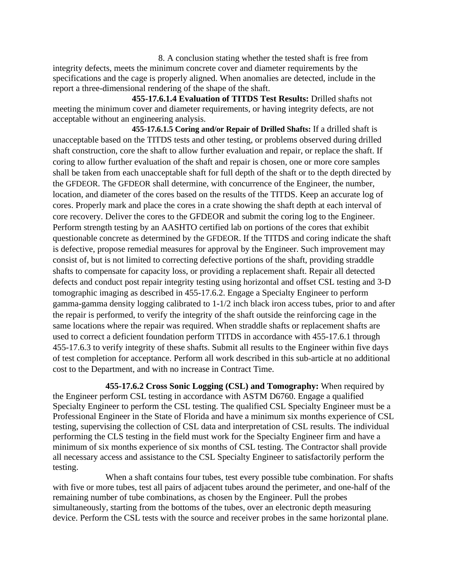8. A conclusion stating whether the tested shaft is free from integrity defects, meets the minimum concrete cover and diameter requirements by the specifications and the cage is properly aligned. When anomalies are detected, include in the report a three-dimensional rendering of the shape of the shaft.

**455-17.6.1.4 Evaluation of TITDS Test Results:** Drilled shafts not meeting the minimum cover and diameter requirements, or having integrity defects, are not acceptable without an engineering analysis.

**455-17.6.1.5 Coring and/or Repair of Drilled Shafts:** If a drilled shaft is unacceptable based on the TITDS tests and other testing, or problems observed during drilled shaft construction, core the shaft to allow further evaluation and repair, or replace the shaft. If coring to allow further evaluation of the shaft and repair is chosen, one or more core samples shall be taken from each unacceptable shaft for full depth of the shaft or to the depth directed by the GFDEOR. The GFDEOR shall determine, with concurrence of the Engineer, the number, location, and diameter of the cores based on the results of the TITDS. Keep an accurate log of cores. Properly mark and place the cores in a crate showing the shaft depth at each interval of core recovery. Deliver the cores to the GFDEOR and submit the coring log to the Engineer. Perform strength testing by an AASHTO certified lab on portions of the cores that exhibit questionable concrete as determined by the GFDEOR. If the TITDS and coring indicate the shaft is defective, propose remedial measures for approval by the Engineer. Such improvement may consist of, but is not limited to correcting defective portions of the shaft, providing straddle shafts to compensate for capacity loss, or providing a replacement shaft. Repair all detected defects and conduct post repair integrity testing using horizontal and offset CSL testing and 3-D tomographic imaging as described in 455-17.6.2. Engage a Specialty Engineer to perform gamma-gamma density logging calibrated to 1-1/2 inch black iron access tubes, prior to and after the repair is performed, to verify the integrity of the shaft outside the reinforcing cage in the same locations where the repair was required. When straddle shafts or replacement shafts are used to correct a deficient foundation perform TITDS in accordance with 455-17.6.1 through 455-17.6.3 to verify integrity of these shafts. Submit all results to the Engineer within five days of test completion for acceptance. Perform all work described in this sub-article at no additional cost to the Department, and with no increase in Contract Time.

**455-17.6.2 Cross Sonic Logging (CSL) and Tomography:** When required by the Engineer perform CSL testing in accordance with ASTM D6760. Engage a qualified Specialty Engineer to perform the CSL testing. The qualified CSL Specialty Engineer must be a Professional Engineer in the State of Florida and have a minimum six months experience of CSL testing, supervising the collection of CSL data and interpretation of CSL results. The individual performing the CLS testing in the field must work for the Specialty Engineer firm and have a minimum of six months experience of six months of CSL testing. The Contractor shall provide all necessary access and assistance to the CSL Specialty Engineer to satisfactorily perform the testing.

When a shaft contains four tubes, test every possible tube combination. For shafts with five or more tubes, test all pairs of adjacent tubes around the perimeter, and one-half of the remaining number of tube combinations, as chosen by the Engineer. Pull the probes simultaneously, starting from the bottoms of the tubes, over an electronic depth measuring device. Perform the CSL tests with the source and receiver probes in the same horizontal plane.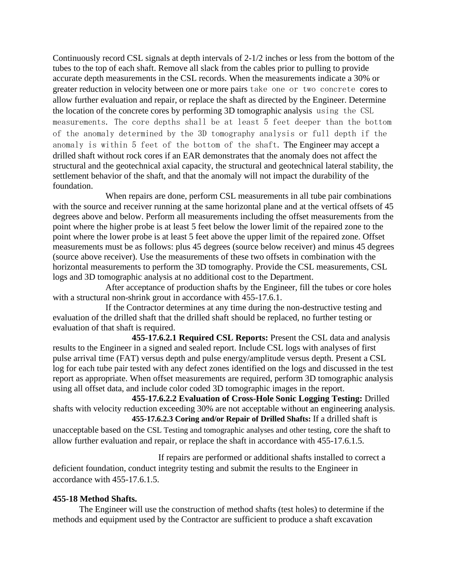Continuously record CSL signals at depth intervals of 2-1/2 inches or less from the bottom of the tubes to the top of each shaft. Remove all slack from the cables prior to pulling to provide accurate depth measurements in the CSL records. When the measurements indicate a 30% or greater reduction in velocity between one or more pairs take one or two concrete cores to allow further evaluation and repair, or replace the shaft as directed by the Engineer. Determine the location of the concrete cores by performing 3D tomographic analysis using the CSL measurements. The core depths shall be at least 5 feet deeper than the bottom of the anomaly determined by the 3D tomography analysis or full depth if the anomaly is within 5 feet of the bottom of the shaft. The Engineer may accept a drilled shaft without rock cores if an EAR demonstrates that the anomaly does not affect the structural and the geotechnical axial capacity, the structural and geotechnical lateral stability, the settlement behavior of the shaft, and that the anomaly will not impact the durability of the foundation.

When repairs are done, perform CSL measurements in all tube pair combinations with the source and receiver running at the same horizontal plane and at the vertical offsets of 45 degrees above and below. Perform all measurements including the offset measurements from the point where the higher probe is at least 5 feet below the lower limit of the repaired zone to the point where the lower probe is at least 5 feet above the upper limit of the repaired zone. Offset measurements must be as follows: plus 45 degrees (source below receiver) and minus 45 degrees (source above receiver). Use the measurements of these two offsets in combination with the horizontal measurements to perform the 3D tomography. Provide the CSL measurements, CSL logs and 3D tomographic analysis at no additional cost to the Department.

After acceptance of production shafts by the Engineer, fill the tubes or core holes with a structural non-shrink grout in accordance with 455-17.6.1.

If the Contractor determines at any time during the non-destructive testing and evaluation of the drilled shaft that the drilled shaft should be replaced, no further testing or evaluation of that shaft is required.

**455-17.6.2.1 Required CSL Reports:** Present the CSL data and analysis results to the Engineer in a signed and sealed report. Include CSL logs with analyses of first pulse arrival time (FAT) versus depth and pulse energy/amplitude versus depth. Present a CSL log for each tube pair tested with any defect zones identified on the logs and discussed in the test report as appropriate. When offset measurements are required, perform 3D tomographic analysis using all offset data, and include color coded 3D tomographic images in the report.

**455-17.6.2.2 Evaluation of Cross-Hole Sonic Logging Testing:** Drilled shafts with velocity reduction exceeding 30% are not acceptable without an engineering analysis. **455-17.6.2.3 Coring and/or Repair of Drilled Shafts:** If a drilled shaft is

unacceptable based on the CSL Testing and tomographic analyses and other testing, core the shaft to allow further evaluation and repair, or replace the shaft in accordance with 455-17.6.1.5.

If repairs are performed or additional shafts installed to correct a deficient foundation, conduct integrity testing and submit the results to the Engineer in accordance with 455-17.6.1.5.

## **455-18 Method Shafts.**

The Engineer will use the construction of method shafts (test holes) to determine if the methods and equipment used by the Contractor are sufficient to produce a shaft excavation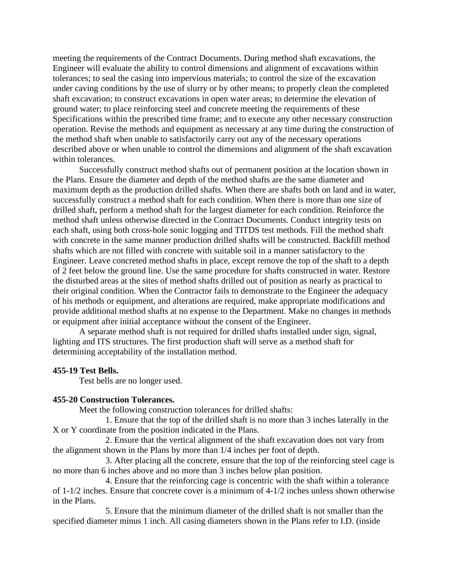meeting the requirements of the Contract Documents. During method shaft excavations, the Engineer will evaluate the ability to control dimensions and alignment of excavations within tolerances; to seal the casing into impervious materials; to control the size of the excavation under caving conditions by the use of slurry or by other means; to properly clean the completed shaft excavation; to construct excavations in open water areas; to determine the elevation of ground water; to place reinforcing steel and concrete meeting the requirements of these Specifications within the prescribed time frame; and to execute any other necessary construction operation. Revise the methods and equipment as necessary at any time during the construction of the method shaft when unable to satisfactorily carry out any of the necessary operations described above or when unable to control the dimensions and alignment of the shaft excavation within tolerances.

Successfully construct method shafts out of permanent position at the location shown in the Plans. Ensure the diameter and depth of the method shafts are the same diameter and maximum depth as the production drilled shafts. When there are shafts both on land and in water, successfully construct a method shaft for each condition. When there is more than one size of drilled shaft, perform a method shaft for the largest diameter for each condition. Reinforce the method shaft unless otherwise directed in the Contract Documents. Conduct integrity tests on each shaft, using both cross-hole sonic logging and TITDS test methods. Fill the method shaft with concrete in the same manner production drilled shafts will be constructed. Backfill method shafts which are not filled with concrete with suitable soil in a manner satisfactory to the Engineer. Leave concreted method shafts in place, except remove the top of the shaft to a depth of 2 feet below the ground line. Use the same procedure for shafts constructed in water. Restore the disturbed areas at the sites of method shafts drilled out of position as nearly as practical to their original condition. When the Contractor fails to demonstrate to the Engineer the adequacy of his methods or equipment, and alterations are required, make appropriate modifications and provide additional method shafts at no expense to the Department. Make no changes in methods or equipment after initial acceptance without the consent of the Engineer.

A separate method shaft is not required for drilled shafts installed under sign, signal, lighting and ITS structures. The first production shaft will serve as a method shaft for determining acceptability of the installation method.

### **455-19 Test Bells.**

Test bells are no longer used.

#### **455-20 Construction Tolerances.**

Meet the following construction tolerances for drilled shafts:

1. Ensure that the top of the drilled shaft is no more than 3 inches laterally in the X or Y coordinate from the position indicated in the Plans.

2. Ensure that the vertical alignment of the shaft excavation does not vary from the alignment shown in the Plans by more than 1/4 inches per foot of depth.

3. After placing all the concrete, ensure that the top of the reinforcing steel cage is no more than 6 inches above and no more than 3 inches below plan position.

4. Ensure that the reinforcing cage is concentric with the shaft within a tolerance of 1-1/2 inches. Ensure that concrete cover is a minimum of 4-1/2 inches unless shown otherwise in the Plans.

5. Ensure that the minimum diameter of the drilled shaft is not smaller than the specified diameter minus 1 inch. All casing diameters shown in the Plans refer to I.D. (inside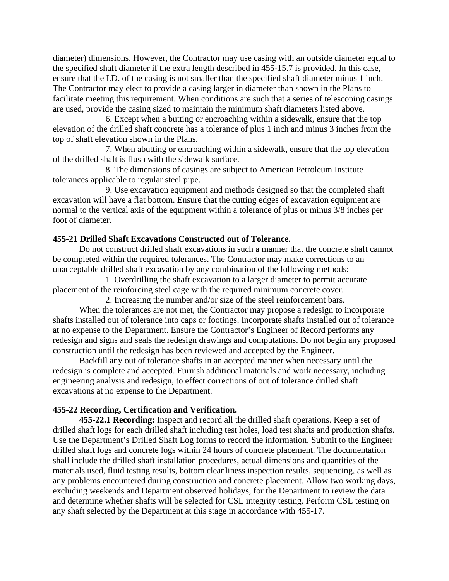diameter) dimensions. However, the Contractor may use casing with an outside diameter equal to the specified shaft diameter if the extra length described in 455-15.7 is provided. In this case, ensure that the I.D. of the casing is not smaller than the specified shaft diameter minus 1 inch. The Contractor may elect to provide a casing larger in diameter than shown in the Plans to facilitate meeting this requirement. When conditions are such that a series of telescoping casings are used, provide the casing sized to maintain the minimum shaft diameters listed above.

6. Except when a butting or encroaching within a sidewalk, ensure that the top elevation of the drilled shaft concrete has a tolerance of plus 1 inch and minus 3 inches from the top of shaft elevation shown in the Plans.

7. When abutting or encroaching within a sidewalk, ensure that the top elevation of the drilled shaft is flush with the sidewalk surface.

8. The dimensions of casings are subject to American Petroleum Institute tolerances applicable to regular steel pipe.

9. Use excavation equipment and methods designed so that the completed shaft excavation will have a flat bottom. Ensure that the cutting edges of excavation equipment are normal to the vertical axis of the equipment within a tolerance of plus or minus 3/8 inches per foot of diameter.

## **455-21 Drilled Shaft Excavations Constructed out of Tolerance.**

Do not construct drilled shaft excavations in such a manner that the concrete shaft cannot be completed within the required tolerances. The Contractor may make corrections to an unacceptable drilled shaft excavation by any combination of the following methods:

1. Overdrilling the shaft excavation to a larger diameter to permit accurate placement of the reinforcing steel cage with the required minimum concrete cover.

2. Increasing the number and/or size of the steel reinforcement bars. When the tolerances are not met, the Contractor may propose a redesign to incorporate shafts installed out of tolerance into caps or footings. Incorporate shafts installed out of tolerance at no expense to the Department. Ensure the Contractor's Engineer of Record performs any redesign and signs and seals the redesign drawings and computations. Do not begin any proposed construction until the redesign has been reviewed and accepted by the Engineer.

Backfill any out of tolerance shafts in an accepted manner when necessary until the redesign is complete and accepted. Furnish additional materials and work necessary, including engineering analysis and redesign, to effect corrections of out of tolerance drilled shaft excavations at no expense to the Department.

## **455-22 Recording, Certification and Verification.**

**455-22.1 Recording:** Inspect and record all the drilled shaft operations. Keep a set of drilled shaft logs for each drilled shaft including test holes, load test shafts and production shafts. Use the Department's Drilled Shaft Log forms to record the information. Submit to the Engineer drilled shaft logs and concrete logs within 24 hours of concrete placement. The documentation shall include the drilled shaft installation procedures, actual dimensions and quantities of the materials used, fluid testing results, bottom cleanliness inspection results, sequencing, as well as any problems encountered during construction and concrete placement. Allow two working days, excluding weekends and Department observed holidays, for the Department to review the data and determine whether shafts will be selected for CSL integrity testing. Perform CSL testing on any shaft selected by the Department at this stage in accordance with 455-17.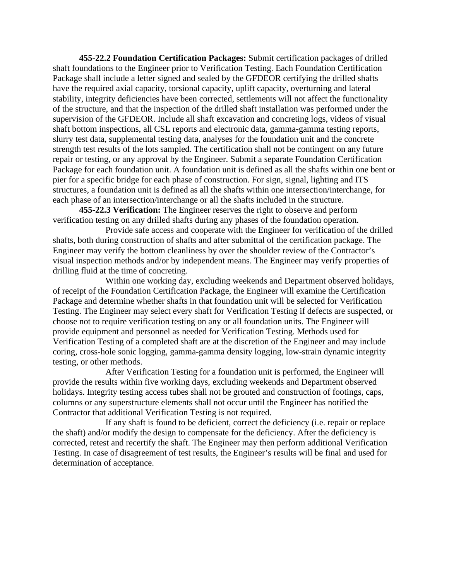**455-22.2 Foundation Certification Packages:** Submit certification packages of drilled shaft foundations to the Engineer prior to Verification Testing. Each Foundation Certification Package shall include a letter signed and sealed by the GFDEOR certifying the drilled shafts have the required axial capacity, torsional capacity, uplift capacity, overturning and lateral stability, integrity deficiencies have been corrected, settlements will not affect the functionality of the structure, and that the inspection of the drilled shaft installation was performed under the supervision of the GFDEOR. Include all shaft excavation and concreting logs, videos of visual shaft bottom inspections, all CSL reports and electronic data, gamma-gamma testing reports, slurry test data, supplemental testing data, analyses for the foundation unit and the concrete strength test results of the lots sampled. The certification shall not be contingent on any future repair or testing, or any approval by the Engineer. Submit a separate Foundation Certification Package for each foundation unit. A foundation unit is defined as all the shafts within one bent or pier for a specific bridge for each phase of construction. For sign, signal, lighting and ITS structures, a foundation unit is defined as all the shafts within one intersection/interchange, for each phase of an intersection/interchange or all the shafts included in the structure.

**455-22.3 Verification:** The Engineer reserves the right to observe and perform verification testing on any drilled shafts during any phases of the foundation operation.

Provide safe access and cooperate with the Engineer for verification of the drilled shafts, both during construction of shafts and after submittal of the certification package. The Engineer may verify the bottom cleanliness by over the shoulder review of the Contractor's visual inspection methods and/or by independent means. The Engineer may verify properties of drilling fluid at the time of concreting.

Within one working day, excluding weekends and Department observed holidays, of receipt of the Foundation Certification Package, the Engineer will examine the Certification Package and determine whether shafts in that foundation unit will be selected for Verification Testing. The Engineer may select every shaft for Verification Testing if defects are suspected, or choose not to require verification testing on any or all foundation units. The Engineer will provide equipment and personnel as needed for Verification Testing. Methods used for Verification Testing of a completed shaft are at the discretion of the Engineer and may include coring, cross-hole sonic logging, gamma-gamma density logging, low-strain dynamic integrity testing, or other methods.

After Verification Testing for a foundation unit is performed, the Engineer will provide the results within five working days, excluding weekends and Department observed holidays. Integrity testing access tubes shall not be grouted and construction of footings, caps, columns or any superstructure elements shall not occur until the Engineer has notified the Contractor that additional Verification Testing is not required.

If any shaft is found to be deficient, correct the deficiency (i.e. repair or replace the shaft) and/or modify the design to compensate for the deficiency. After the deficiency is corrected, retest and recertify the shaft. The Engineer may then perform additional Verification Testing. In case of disagreement of test results, the Engineer's results will be final and used for determination of acceptance.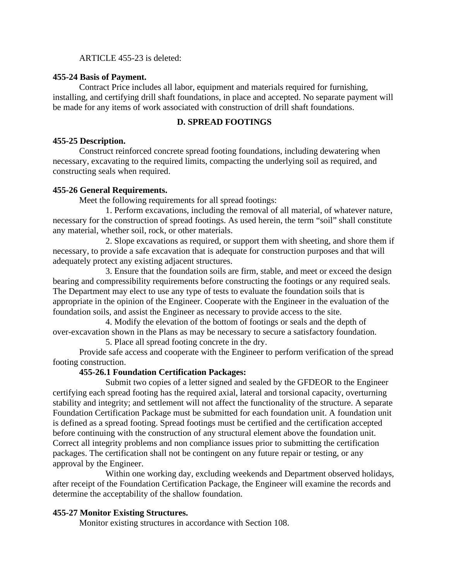ARTICLE 455-23 is deleted:

## **455-24 Basis of Payment.**

Contract Price includes all labor, equipment and materials required for furnishing, installing, and certifying drill shaft foundations, in place and accepted. No separate payment will be made for any items of work associated with construction of drill shaft foundations.

## **D. SPREAD FOOTINGS**

## **455-25 Description.**

Construct reinforced concrete spread footing foundations, including dewatering when necessary, excavating to the required limits, compacting the underlying soil as required, and constructing seals when required.

## **455-26 General Requirements.**

Meet the following requirements for all spread footings:

1. Perform excavations, including the removal of all material, of whatever nature, necessary for the construction of spread footings. As used herein, the term "soil" shall constitute any material, whether soil, rock, or other materials.

2. Slope excavations as required, or support them with sheeting, and shore them if necessary, to provide a safe excavation that is adequate for construction purposes and that will adequately protect any existing adjacent structures.

3. Ensure that the foundation soils are firm, stable, and meet or exceed the design bearing and compressibility requirements before constructing the footings or any required seals. The Department may elect to use any type of tests to evaluate the foundation soils that is appropriate in the opinion of the Engineer. Cooperate with the Engineer in the evaluation of the foundation soils, and assist the Engineer as necessary to provide access to the site.

4. Modify the elevation of the bottom of footings or seals and the depth of over-excavation shown in the Plans as may be necessary to secure a satisfactory foundation.

5. Place all spread footing concrete in the dry.

Provide safe access and cooperate with the Engineer to perform verification of the spread footing construction.

## **455-26.1 Foundation Certification Packages:**

Submit two copies of a letter signed and sealed by the GFDEOR to the Engineer certifying each spread footing has the required axial, lateral and torsional capacity, overturning stability and integrity; and settlement will not affect the functionality of the structure. A separate Foundation Certification Package must be submitted for each foundation unit. A foundation unit is defined as a spread footing. Spread footings must be certified and the certification accepted before continuing with the construction of any structural element above the foundation unit. Correct all integrity problems and non compliance issues prior to submitting the certification packages. The certification shall not be contingent on any future repair or testing, or any approval by the Engineer.

Within one working day, excluding weekends and Department observed holidays, after receipt of the Foundation Certification Package, the Engineer will examine the records and determine the acceptability of the shallow foundation.

## **455-27 Monitor Existing Structures.**

Monitor existing structures in accordance with Section 108.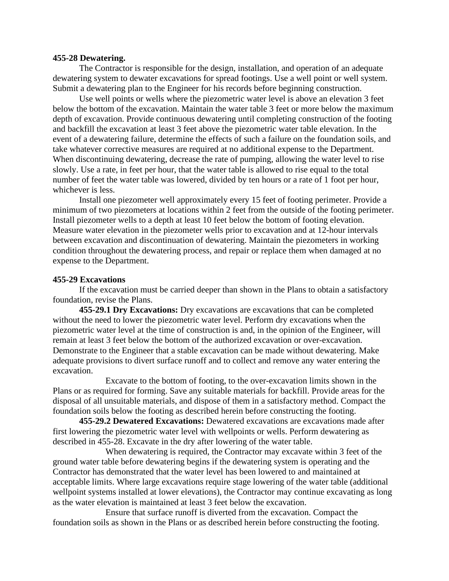#### **455-28 Dewatering.**

The Contractor is responsible for the design, installation, and operation of an adequate dewatering system to dewater excavations for spread footings. Use a well point or well system. Submit a dewatering plan to the Engineer for his records before beginning construction.

Use well points or wells where the piezometric water level is above an elevation 3 feet below the bottom of the excavation. Maintain the water table 3 feet or more below the maximum depth of excavation. Provide continuous dewatering until completing construction of the footing and backfill the excavation at least 3 feet above the piezometric water table elevation. In the event of a dewatering failure, determine the effects of such a failure on the foundation soils, and take whatever corrective measures are required at no additional expense to the Department. When discontinuing dewatering, decrease the rate of pumping, allowing the water level to rise slowly. Use a rate, in feet per hour, that the water table is allowed to rise equal to the total number of feet the water table was lowered, divided by ten hours or a rate of 1 foot per hour, whichever is less.

Install one piezometer well approximately every 15 feet of footing perimeter. Provide a minimum of two piezometers at locations within 2 feet from the outside of the footing perimeter. Install piezometer wells to a depth at least 10 feet below the bottom of footing elevation. Measure water elevation in the piezometer wells prior to excavation and at 12-hour intervals between excavation and discontinuation of dewatering. Maintain the piezometers in working condition throughout the dewatering process, and repair or replace them when damaged at no expense to the Department.

### **455-29 Excavations**

If the excavation must be carried deeper than shown in the Plans to obtain a satisfactory foundation, revise the Plans.

**455-29.1 Dry Excavations:** Dry excavations are excavations that can be completed without the need to lower the piezometric water level. Perform dry excavations when the piezometric water level at the time of construction is and, in the opinion of the Engineer, will remain at least 3 feet below the bottom of the authorized excavation or over-excavation. Demonstrate to the Engineer that a stable excavation can be made without dewatering. Make adequate provisions to divert surface runoff and to collect and remove any water entering the excavation.

Excavate to the bottom of footing, to the over-excavation limits shown in the Plans or as required for forming. Save any suitable materials for backfill. Provide areas for the disposal of all unsuitable materials, and dispose of them in a satisfactory method. Compact the foundation soils below the footing as described herein before constructing the footing.

**455-29.2 Dewatered Excavations:** Dewatered excavations are excavations made after first lowering the piezometric water level with wellpoints or wells. Perform dewatering as described in 455-28. Excavate in the dry after lowering of the water table.

When dewatering is required, the Contractor may excavate within 3 feet of the ground water table before dewatering begins if the dewatering system is operating and the Contractor has demonstrated that the water level has been lowered to and maintained at acceptable limits. Where large excavations require stage lowering of the water table (additional wellpoint systems installed at lower elevations), the Contractor may continue excavating as long as the water elevation is maintained at least 3 feet below the excavation.

Ensure that surface runoff is diverted from the excavation. Compact the foundation soils as shown in the Plans or as described herein before constructing the footing.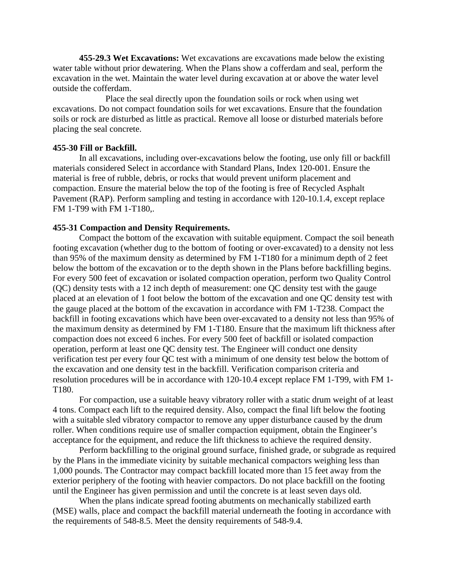**455-29.3 Wet Excavations:** Wet excavations are excavations made below the existing water table without prior dewatering. When the Plans show a cofferdam and seal, perform the excavation in the wet. Maintain the water level during excavation at or above the water level outside the cofferdam.

Place the seal directly upon the foundation soils or rock when using wet excavations. Do not compact foundation soils for wet excavations. Ensure that the foundation soils or rock are disturbed as little as practical. Remove all loose or disturbed materials before placing the seal concrete.

### **455-30 Fill or Backfill.**

In all excavations, including over-excavations below the footing, use only fill or backfill materials considered Select in accordance with Standard Plans, Index 120-001. Ensure the material is free of rubble, debris, or rocks that would prevent uniform placement and compaction. Ensure the material below the top of the footing is free of Recycled Asphalt Pavement (RAP). Perform sampling and testing in accordance with 120-10.1.4, except replace FM 1-T99 with FM 1-T180,.

### **455-31 Compaction and Density Requirements.**

Compact the bottom of the excavation with suitable equipment. Compact the soil beneath footing excavation (whether dug to the bottom of footing or over-excavated) to a density not less than 95% of the maximum density as determined by FM 1-T180 for a minimum depth of 2 feet below the bottom of the excavation or to the depth shown in the Plans before backfilling begins. For every 500 feet of excavation or isolated compaction operation, perform two Quality Control (QC) density tests with a 12 inch depth of measurement: one QC density test with the gauge placed at an elevation of 1 foot below the bottom of the excavation and one QC density test with the gauge placed at the bottom of the excavation in accordance with FM 1-T238. Compact the backfill in footing excavations which have been over-excavated to a density not less than 95% of the maximum density as determined by FM 1-T180. Ensure that the maximum lift thickness after compaction does not exceed 6 inches. For every 500 feet of backfill or isolated compaction operation, perform at least one QC density test. The Engineer will conduct one density verification test per every four QC test with a minimum of one density test below the bottom of the excavation and one density test in the backfill. Verification comparison criteria and resolution procedures will be in accordance with 120-10.4 except replace FM 1-T99, with FM 1- T180.

For compaction, use a suitable heavy vibratory roller with a static drum weight of at least 4 tons. Compact each lift to the required density. Also, compact the final lift below the footing with a suitable sled vibratory compactor to remove any upper disturbance caused by the drum roller. When conditions require use of smaller compaction equipment, obtain the Engineer's acceptance for the equipment, and reduce the lift thickness to achieve the required density.

Perform backfilling to the original ground surface, finished grade, or subgrade as required by the Plans in the immediate vicinity by suitable mechanical compactors weighing less than 1,000 pounds. The Contractor may compact backfill located more than 15 feet away from the exterior periphery of the footing with heavier compactors. Do not place backfill on the footing until the Engineer has given permission and until the concrete is at least seven days old.

When the plans indicate spread footing abutments on mechanically stabilized earth (MSE) walls, place and compact the backfill material underneath the footing in accordance with the requirements of 548-8.5. Meet the density requirements of 548-9.4.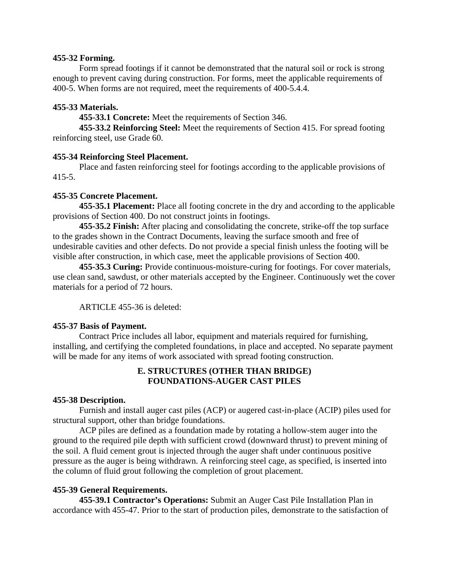### **455-32 Forming.**

Form spread footings if it cannot be demonstrated that the natural soil or rock is strong enough to prevent caving during construction. For forms, meet the applicable requirements of 400-5. When forms are not required, meet the requirements of 400-5.4.4.

# **455-33 Materials.**

**455-33.1 Concrete:** Meet the requirements of Section 346.

**455-33.2 Reinforcing Steel:** Meet the requirements of Section 415. For spread footing reinforcing steel, use Grade 60.

## **455-34 Reinforcing Steel Placement.**

Place and fasten reinforcing steel for footings according to the applicable provisions of 415-5.

## **455-35 Concrete Placement.**

**455-35.1 Placement:** Place all footing concrete in the dry and according to the applicable provisions of Section 400. Do not construct joints in footings.

**455-35.2 Finish:** After placing and consolidating the concrete, strike-off the top surface to the grades shown in the Contract Documents, leaving the surface smooth and free of undesirable cavities and other defects. Do not provide a special finish unless the footing will be visible after construction, in which case, meet the applicable provisions of Section 400.

**455-35.3 Curing:** Provide continuous-moisture-curing for footings. For cover materials, use clean sand, sawdust, or other materials accepted by the Engineer. Continuously wet the cover materials for a period of 72 hours.

ARTICLE 455-36 is deleted:

## **455-37 Basis of Payment.**

Contract Price includes all labor, equipment and materials required for furnishing, installing, and certifying the completed foundations, in place and accepted. No separate payment will be made for any items of work associated with spread footing construction.

# **E. STRUCTURES (OTHER THAN BRIDGE) FOUNDATIONS-AUGER CAST PILES**

## **455-38 Description.**

Furnish and install auger cast piles (ACP) or augered cast-in-place (ACIP) piles used for structural support, other than bridge foundations.

ACP piles are defined as a foundation made by rotating a hollow-stem auger into the ground to the required pile depth with sufficient crowd (downward thrust) to prevent mining of the soil. A fluid cement grout is injected through the auger shaft under continuous positive pressure as the auger is being withdrawn. A reinforcing steel cage, as specified, is inserted into the column of fluid grout following the completion of grout placement.

# **455-39 General Requirements.**

**455-39.1 Contractor's Operations:** Submit an Auger Cast Pile Installation Plan in accordance with 455-47. Prior to the start of production piles, demonstrate to the satisfaction of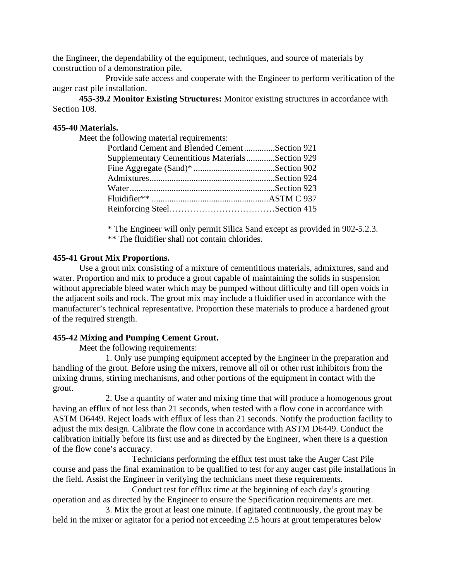the Engineer, the dependability of the equipment, techniques, and source of materials by construction of a demonstration pile.

Provide safe access and cooperate with the Engineer to perform verification of the auger cast pile installation.

**455-39.2 Monitor Existing Structures:** Monitor existing structures in accordance with Section 108.

## **455-40 Materials.**

Meet the following material requirements:

| Portland Cement and Blended CementSection 921   |
|-------------------------------------------------|
| Supplementary Cementitious MaterialsSection 929 |
|                                                 |
|                                                 |
|                                                 |
|                                                 |
|                                                 |
|                                                 |

\* The Engineer will only permit Silica Sand except as provided in 902-5.2.3.

\*\* The fluidifier shall not contain chlorides.

# **455-41 Grout Mix Proportions.**

Use a grout mix consisting of a mixture of cementitious materials, admixtures, sand and water. Proportion and mix to produce a grout capable of maintaining the solids in suspension without appreciable bleed water which may be pumped without difficulty and fill open voids in the adjacent soils and rock. The grout mix may include a fluidifier used in accordance with the manufacturer's technical representative. Proportion these materials to produce a hardened grout of the required strength.

## **455-42 Mixing and Pumping Cement Grout.**

Meet the following requirements:

1. Only use pumping equipment accepted by the Engineer in the preparation and handling of the grout. Before using the mixers, remove all oil or other rust inhibitors from the mixing drums, stirring mechanisms, and other portions of the equipment in contact with the grout.

2. Use a quantity of water and mixing time that will produce a homogenous grout having an efflux of not less than 21 seconds, when tested with a flow cone in accordance with ASTM D6449. Reject loads with efflux of less than 21 seconds. Notify the production facility to adjust the mix design. Calibrate the flow cone in accordance with ASTM D6449. Conduct the calibration initially before its first use and as directed by the Engineer, when there is a question of the flow cone's accuracy.

Technicians performing the efflux test must take the Auger Cast Pile course and pass the final examination to be qualified to test for any auger cast pile installations in the field. Assist the Engineer in verifying the technicians meet these requirements.

Conduct test for efflux time at the beginning of each day's grouting operation and as directed by the Engineer to ensure the Specification requirements are met.

3. Mix the grout at least one minute. If agitated continuously, the grout may be held in the mixer or agitator for a period not exceeding 2.5 hours at grout temperatures below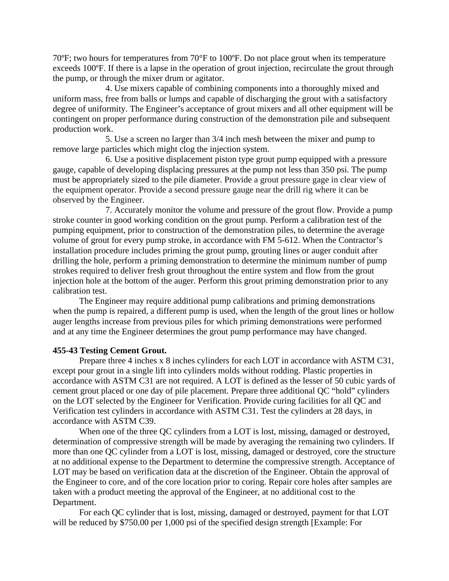70ºF; two hours for temperatures from 70°F to 100ºF. Do not place grout when its temperature exceeds 100ºF. If there is a lapse in the operation of grout injection, recirculate the grout through the pump, or through the mixer drum or agitator.

4. Use mixers capable of combining components into a thoroughly mixed and uniform mass, free from balls or lumps and capable of discharging the grout with a satisfactory degree of uniformity. The Engineer's acceptance of grout mixers and all other equipment will be contingent on proper performance during construction of the demonstration pile and subsequent production work.

5. Use a screen no larger than 3/4 inch mesh between the mixer and pump to remove large particles which might clog the injection system.

6. Use a positive displacement piston type grout pump equipped with a pressure gauge, capable of developing displacing pressures at the pump not less than 350 psi. The pump must be appropriately sized to the pile diameter. Provide a grout pressure gage in clear view of the equipment operator. Provide a second pressure gauge near the drill rig where it can be observed by the Engineer.

7. Accurately monitor the volume and pressure of the grout flow. Provide a pump stroke counter in good working condition on the grout pump. Perform a calibration test of the pumping equipment, prior to construction of the demonstration piles, to determine the average volume of grout for every pump stroke, in accordance with FM 5-612. When the Contractor's installation procedure includes priming the grout pump, grouting lines or auger conduit after drilling the hole, perform a priming demonstration to determine the minimum number of pump strokes required to deliver fresh grout throughout the entire system and flow from the grout injection hole at the bottom of the auger. Perform this grout priming demonstration prior to any calibration test.

The Engineer may require additional pump calibrations and priming demonstrations when the pump is repaired, a different pump is used, when the length of the grout lines or hollow auger lengths increase from previous piles for which priming demonstrations were performed and at any time the Engineer determines the grout pump performance may have changed.

### **455-43 Testing Cement Grout.**

Prepare three 4 inches x 8 inches cylinders for each LOT in accordance with ASTM C31, except pour grout in a single lift into cylinders molds without rodding. Plastic properties in accordance with ASTM C31 are not required. A LOT is defined as the lesser of 50 cubic yards of cement grout placed or one day of pile placement. Prepare three additional QC "hold" cylinders on the LOT selected by the Engineer for Verification. Provide curing facilities for all QC and Verification test cylinders in accordance with ASTM C31. Test the cylinders at 28 days, in accordance with ASTM C39.

When one of the three QC cylinders from a LOT is lost, missing, damaged or destroyed, determination of compressive strength will be made by averaging the remaining two cylinders. If more than one QC cylinder from a LOT is lost, missing, damaged or destroyed, core the structure at no additional expense to the Department to determine the compressive strength. Acceptance of LOT may be based on verification data at the discretion of the Engineer. Obtain the approval of the Engineer to core, and of the core location prior to coring. Repair core holes after samples are taken with a product meeting the approval of the Engineer, at no additional cost to the Department.

For each QC cylinder that is lost, missing, damaged or destroyed, payment for that LOT will be reduced by \$750.00 per 1,000 psi of the specified design strength [Example: For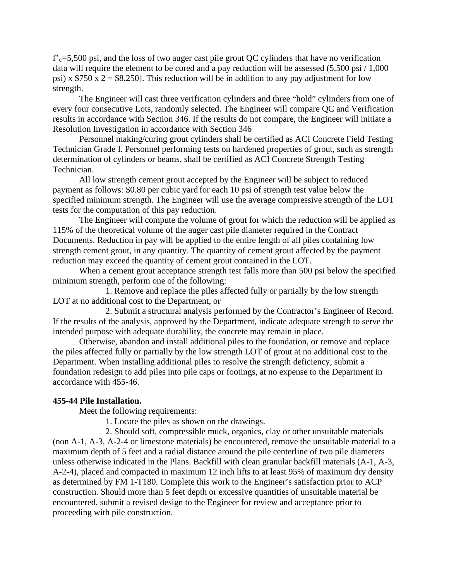$f'_{c}=5,500$  psi, and the loss of two auger cast pile grout QC cylinders that have no verification data will require the element to be cored and a pay reduction will be assessed (5,500 psi / 1,000) psi) x  $$750 \times 2 = $8,250$ . This reduction will be in addition to any pay adjustment for low strength.

The Engineer will cast three verification cylinders and three "hold" cylinders from one of every four consecutive Lots, randomly selected. The Engineer will compare QC and Verification results in accordance with Section 346. If the results do not compare, the Engineer will initiate a Resolution Investigation in accordance with Section 346

Personnel making/curing grout cylinders shall be certified as ACI Concrete Field Testing Technician Grade I. Personnel performing tests on hardened properties of grout, such as strength determination of cylinders or beams, shall be certified as ACI Concrete Strength Testing Technician.

All low strength cement grout accepted by the Engineer will be subject to reduced payment as follows: \$0.80 per cubic yard for each 10 psi of strength test value below the specified minimum strength. The Engineer will use the average compressive strength of the LOT tests for the computation of this pay reduction.

The Engineer will compute the volume of grout for which the reduction will be applied as 115% of the theoretical volume of the auger cast pile diameter required in the Contract Documents. Reduction in pay will be applied to the entire length of all piles containing low strength cement grout, in any quantity. The quantity of cement grout affected by the payment reduction may exceed the quantity of cement grout contained in the LOT.

When a cement grout acceptance strength test falls more than 500 psi below the specified minimum strength, perform one of the following:

1. Remove and replace the piles affected fully or partially by the low strength LOT at no additional cost to the Department, or

2. Submit a structural analysis performed by the Contractor's Engineer of Record. If the results of the analysis, approved by the Department, indicate adequate strength to serve the intended purpose with adequate durability, the concrete may remain in place.

Otherwise, abandon and install additional piles to the foundation, or remove and replace the piles affected fully or partially by the low strength LOT of grout at no additional cost to the Department. When installing additional piles to resolve the strength deficiency, submit a foundation redesign to add piles into pile caps or footings, at no expense to the Department in accordance with 455-46.

### **455-44 Pile Installation.**

Meet the following requirements:

1. Locate the piles as shown on the drawings.

2. Should soft, compressible muck, organics, clay or other unsuitable materials (non A-1, A-3, A-2-4 or limestone materials) be encountered, remove the unsuitable material to a maximum depth of 5 feet and a radial distance around the pile centerline of two pile diameters unless otherwise indicated in the Plans. Backfill with clean granular backfill materials (A-1, A-3, A-2-4), placed and compacted in maximum 12 inch lifts to at least 95% of maximum dry density as determined by FM 1-T180. Complete this work to the Engineer's satisfaction prior to ACP construction. Should more than 5 feet depth or excessive quantities of unsuitable material be encountered, submit a revised design to the Engineer for review and acceptance prior to proceeding with pile construction.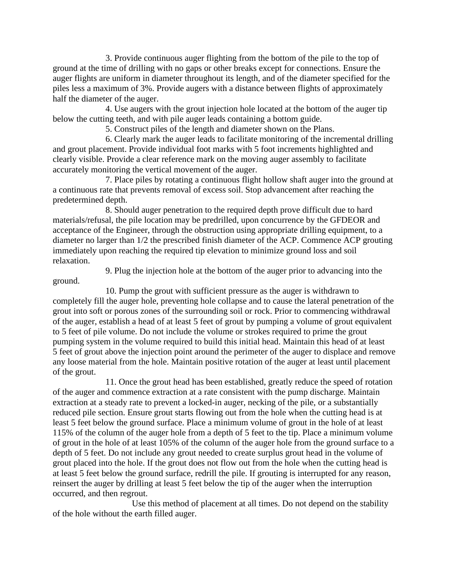3. Provide continuous auger flighting from the bottom of the pile to the top of ground at the time of drilling with no gaps or other breaks except for connections. Ensure the auger flights are uniform in diameter throughout its length, and of the diameter specified for the piles less a maximum of 3%. Provide augers with a distance between flights of approximately half the diameter of the auger.

4. Use augers with the grout injection hole located at the bottom of the auger tip below the cutting teeth, and with pile auger leads containing a bottom guide.

5. Construct piles of the length and diameter shown on the Plans.

6. Clearly mark the auger leads to facilitate monitoring of the incremental drilling and grout placement. Provide individual foot marks with 5 foot increments highlighted and clearly visible. Provide a clear reference mark on the moving auger assembly to facilitate accurately monitoring the vertical movement of the auger.

7. Place piles by rotating a continuous flight hollow shaft auger into the ground at a continuous rate that prevents removal of excess soil. Stop advancement after reaching the predetermined depth.

8. Should auger penetration to the required depth prove difficult due to hard materials/refusal, the pile location may be predrilled, upon concurrence by the GFDEOR and acceptance of the Engineer, through the obstruction using appropriate drilling equipment, to a diameter no larger than 1/2 the prescribed finish diameter of the ACP. Commence ACP grouting immediately upon reaching the required tip elevation to minimize ground loss and soil relaxation.

ground.

9. Plug the injection hole at the bottom of the auger prior to advancing into the

10. Pump the grout with sufficient pressure as the auger is withdrawn to completely fill the auger hole, preventing hole collapse and to cause the lateral penetration of the grout into soft or porous zones of the surrounding soil or rock. Prior to commencing withdrawal of the auger, establish a head of at least 5 feet of grout by pumping a volume of grout equivalent to 5 feet of pile volume. Do not include the volume or strokes required to prime the grout pumping system in the volume required to build this initial head. Maintain this head of at least 5 feet of grout above the injection point around the perimeter of the auger to displace and remove any loose material from the hole. Maintain positive rotation of the auger at least until placement of the grout.

11. Once the grout head has been established, greatly reduce the speed of rotation of the auger and commence extraction at a rate consistent with the pump discharge. Maintain extraction at a steady rate to prevent a locked-in auger, necking of the pile, or a substantially reduced pile section. Ensure grout starts flowing out from the hole when the cutting head is at least 5 feet below the ground surface. Place a minimum volume of grout in the hole of at least 115% of the column of the auger hole from a depth of 5 feet to the tip. Place a minimum volume of grout in the hole of at least 105% of the column of the auger hole from the ground surface to a depth of 5 feet. Do not include any grout needed to create surplus grout head in the volume of grout placed into the hole. If the grout does not flow out from the hole when the cutting head is at least 5 feet below the ground surface, redrill the pile. If grouting is interrupted for any reason, reinsert the auger by drilling at least 5 feet below the tip of the auger when the interruption occurred, and then regrout.

Use this method of placement at all times. Do not depend on the stability of the hole without the earth filled auger.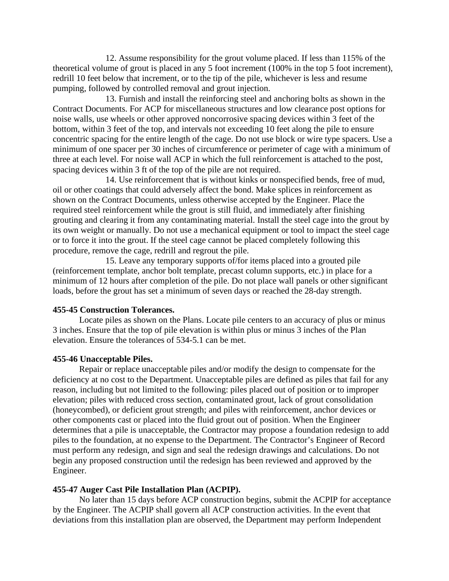12. Assume responsibility for the grout volume placed. If less than 115% of the theoretical volume of grout is placed in any 5 foot increment (100% in the top 5 foot increment), redrill 10 feet below that increment, or to the tip of the pile, whichever is less and resume pumping, followed by controlled removal and grout injection.

13. Furnish and install the reinforcing steel and anchoring bolts as shown in the Contract Documents. For ACP for miscellaneous structures and low clearance post options for noise walls, use wheels or other approved noncorrosive spacing devices within 3 feet of the bottom, within 3 feet of the top, and intervals not exceeding 10 feet along the pile to ensure concentric spacing for the entire length of the cage. Do not use block or wire type spacers. Use a minimum of one spacer per 30 inches of circumference or perimeter of cage with a minimum of three at each level. For noise wall ACP in which the full reinforcement is attached to the post, spacing devices within 3 ft of the top of the pile are not required.

14. Use reinforcement that is without kinks or nonspecified bends, free of mud, oil or other coatings that could adversely affect the bond. Make splices in reinforcement as shown on the Contract Documents, unless otherwise accepted by the Engineer. Place the required steel reinforcement while the grout is still fluid, and immediately after finishing grouting and clearing it from any contaminating material. Install the steel cage into the grout by its own weight or manually. Do not use a mechanical equipment or tool to impact the steel cage or to force it into the grout. If the steel cage cannot be placed completely following this procedure, remove the cage, redrill and regrout the pile.

15. Leave any temporary supports of/for items placed into a grouted pile (reinforcement template, anchor bolt template, precast column supports, etc.) in place for a minimum of 12 hours after completion of the pile. Do not place wall panels or other significant loads, before the grout has set a minimum of seven days or reached the 28-day strength.

### **455-45 Construction Tolerances.**

Locate piles as shown on the Plans. Locate pile centers to an accuracy of plus or minus 3 inches. Ensure that the top of pile elevation is within plus or minus 3 inches of the Plan elevation. Ensure the tolerances of 534-5.1 can be met.

### **455-46 Unacceptable Piles.**

Repair or replace unacceptable piles and/or modify the design to compensate for the deficiency at no cost to the Department. Unacceptable piles are defined as piles that fail for any reason, including but not limited to the following: piles placed out of position or to improper elevation; piles with reduced cross section, contaminated grout, lack of grout consolidation (honeycombed), or deficient grout strength; and piles with reinforcement, anchor devices or other components cast or placed into the fluid grout out of position. When the Engineer determines that a pile is unacceptable, the Contractor may propose a foundation redesign to add piles to the foundation, at no expense to the Department. The Contractor's Engineer of Record must perform any redesign, and sign and seal the redesign drawings and calculations. Do not begin any proposed construction until the redesign has been reviewed and approved by the Engineer.

#### **455-47 Auger Cast Pile Installation Plan (ACPIP).**

No later than 15 days before ACP construction begins, submit the ACPIP for acceptance by the Engineer. The ACPIP shall govern all ACP construction activities. In the event that deviations from this installation plan are observed, the Department may perform Independent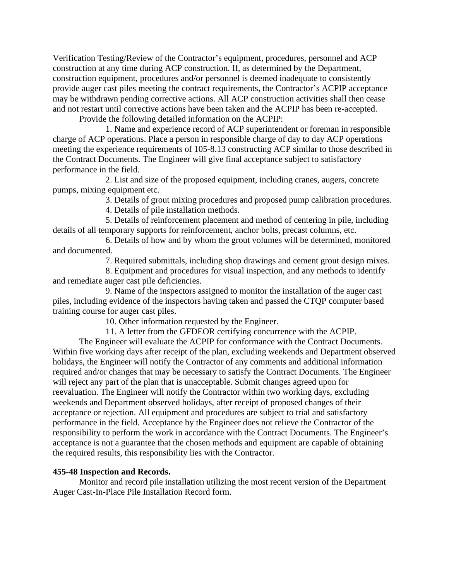Verification Testing/Review of the Contractor's equipment, procedures, personnel and ACP construction at any time during ACP construction. If, as determined by the Department, construction equipment, procedures and/or personnel is deemed inadequate to consistently provide auger cast piles meeting the contract requirements, the Contractor's ACPIP acceptance may be withdrawn pending corrective actions. All ACP construction activities shall then cease and not restart until corrective actions have been taken and the ACPIP has been re-accepted.

Provide the following detailed information on the ACPIP:

1. Name and experience record of ACP superintendent or foreman in responsible charge of ACP operations. Place a person in responsible charge of day to day ACP operations meeting the experience requirements of 105-8.13 constructing ACP similar to those described in the Contract Documents. The Engineer will give final acceptance subject to satisfactory performance in the field.

2. List and size of the proposed equipment, including cranes, augers, concrete pumps, mixing equipment etc.

3. Details of grout mixing procedures and proposed pump calibration procedures.

4. Details of pile installation methods.

5. Details of reinforcement placement and method of centering in pile, including details of all temporary supports for reinforcement, anchor bolts, precast columns, etc.

6. Details of how and by whom the grout volumes will be determined, monitored and documented.

7. Required submittals, including shop drawings and cement grout design mixes.

8. Equipment and procedures for visual inspection, and any methods to identify and remediate auger cast pile deficiencies.

9. Name of the inspectors assigned to monitor the installation of the auger cast piles, including evidence of the inspectors having taken and passed the CTQP computer based training course for auger cast piles.

10. Other information requested by the Engineer.

11. A letter from the GFDEOR certifying concurrence with the ACPIP.

The Engineer will evaluate the ACPIP for conformance with the Contract Documents. Within five working days after receipt of the plan, excluding weekends and Department observed holidays, the Engineer will notify the Contractor of any comments and additional information required and/or changes that may be necessary to satisfy the Contract Documents. The Engineer will reject any part of the plan that is unacceptable. Submit changes agreed upon for reevaluation. The Engineer will notify the Contractor within two working days, excluding weekends and Department observed holidays, after receipt of proposed changes of their acceptance or rejection. All equipment and procedures are subject to trial and satisfactory performance in the field. Acceptance by the Engineer does not relieve the Contractor of the responsibility to perform the work in accordance with the Contract Documents. The Engineer's acceptance is not a guarantee that the chosen methods and equipment are capable of obtaining the required results, this responsibility lies with the Contractor.

## **455-48 Inspection and Records.**

Monitor and record pile installation utilizing the most recent version of the Department Auger Cast-In-Place Pile Installation Record form.